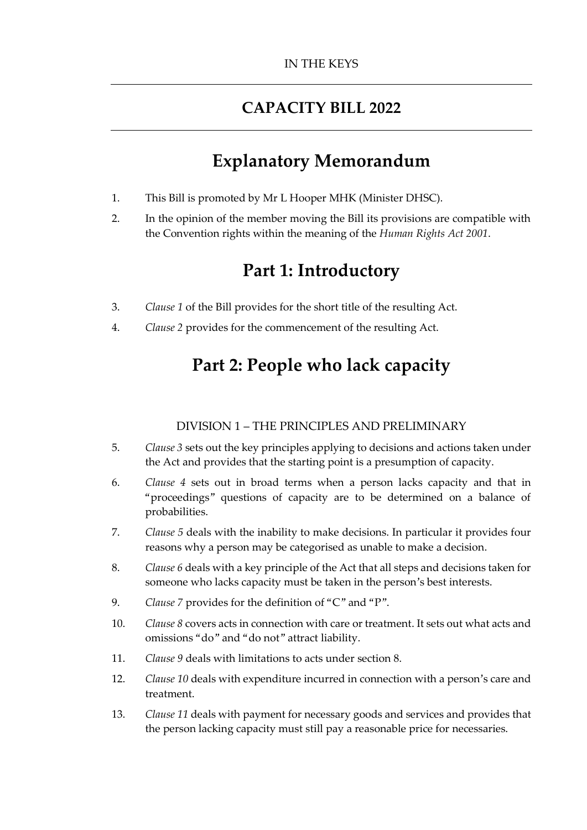### **CAPACITY BILL 2022**

# **Explanatory Memorandum**

- 1. This Bill is promoted by Mr L Hooper MHK (Minister DHSC).
- 2. In the opinion of the member moving the Bill its provisions are compatible with the Convention rights within the meaning of the *Human Rights Act 2001*.

# **Part 1: Introductory**

- 3. *Clause 1* of the Bill provides for the short title of the resulting Act.
- 4. *Clause 2* provides for the commencement of the resulting Act.

# **Part 2: People who lack capacity**

#### DIVISION 1 – THE PRINCIPLES AND PRELIMINARY

- 5. *Clause 3* sets out the key principles applying to decisions and actions taken under the Act and provides that the starting point is a presumption of capacity.
- 6. *Clause 4* sets out in broad terms when a person lacks capacity and that in "proceedings" questions of capacity are to be determined on a balance of probabilities.
- 7. *Clause 5* deals with the inability to make decisions. In particular it provides four reasons why a person may be categorised as unable to make a decision.
- 8. *Clause 6* deals with a key principle of the Act that all steps and decisions taken for someone who lacks capacity must be taken in the person's best interests.
- 9. *Clause 7* provides for the definition of "C" and "P".
- 10. *Clause 8* covers acts in connection with care or treatment. It sets out what acts and omissions "do" and "do not" attract liability.
- 11. *Clause 9* deals with limitations to acts under section 8.
- 12. *Clause 10* deals with expenditure incurred in connection with a person's care and treatment.
- 13. *Clause 11* deals with payment for necessary goods and services and provides that the person lacking capacity must still pay a reasonable price for necessaries.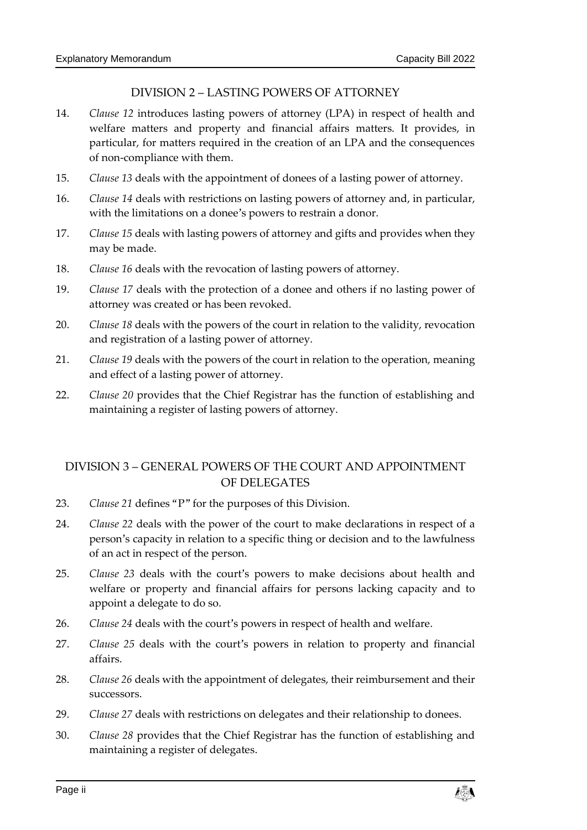#### DIVISION 2 – LASTING POWERS OF ATTORNEY

- 14. *Clause 12* introduces lasting powers of attorney (LPA) in respect of health and welfare matters and property and financial affairs matters. It provides, in particular, for matters required in the creation of an LPA and the consequences of non-compliance with them.
- 15. *Clause 13* deals with the appointment of donees of a lasting power of attorney.
- 16. *Clause 14* deals with restrictions on lasting powers of attorney and, in particular, with the limitations on a donee's powers to restrain a donor.
- 17. *Clause 15* deals with lasting powers of attorney and gifts and provides when they may be made.
- 18. *Clause 16* deals with the revocation of lasting powers of attorney.
- 19. *Clause 17* deals with the protection of a donee and others if no lasting power of attorney was created or has been revoked.
- 20. *Clause 18* deals with the powers of the court in relation to the validity, revocation and registration of a lasting power of attorney.
- 21. *Clause 19* deals with the powers of the court in relation to the operation, meaning and effect of a lasting power of attorney.
- 22. *Clause 20* provides that the Chief Registrar has the function of establishing and maintaining a register of lasting powers of attorney.

#### DIVISION 3 – GENERAL POWERS OF THE COURT AND APPOINTMENT OF DELEGATES

- 23. *Clause 21* defines "P" for the purposes of this Division.
- 24. *Clause 22* deals with the power of the court to make declarations in respect of a person's capacity in relation to a specific thing or decision and to the lawfulness of an act in respect of the person.
- 25. *Clause 23* deals with the court's powers to make decisions about health and welfare or property and financial affairs for persons lacking capacity and to appoint a delegate to do so.
- 26. *Clause 24* deals with the court's powers in respect of health and welfare.
- 27. *Clause 25* deals with the court's powers in relation to property and financial affairs.
- 28. *Clause 26* deals with the appointment of delegates, their reimbursement and their successors.
- 29. *Clause 27* deals with restrictions on delegates and their relationship to donees.
- 30. *Clause 28* provides that the Chief Registrar has the function of establishing and maintaining a register of delegates.

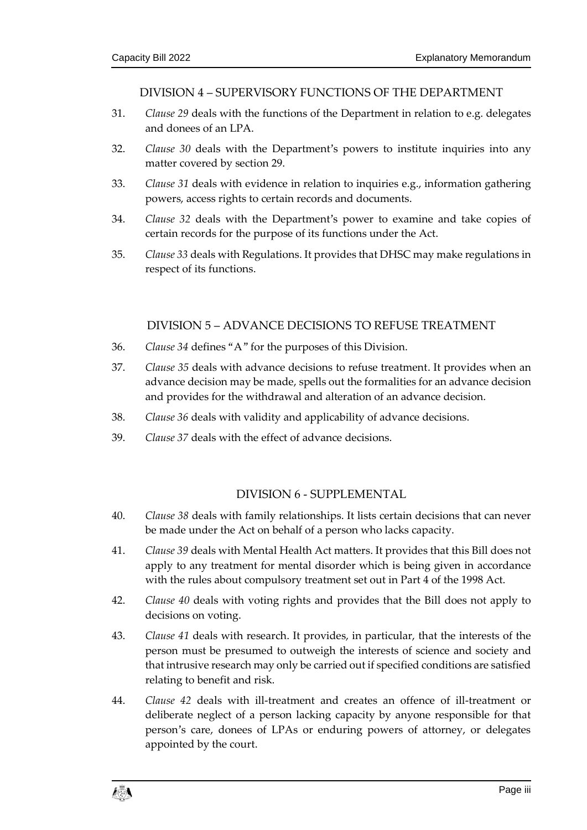DIVISION 4 – SUPERVISORY FUNCTIONS OF THE DEPARTMENT

- 31. *Clause 29* deals with the functions of the Department in relation to e.g. delegates and donees of an LPA.
- 32. *Clause 30* deals with the Department's powers to institute inquiries into any matter covered by section 29.
- 33. *Clause 31* deals with evidence in relation to inquiries e.g., information gathering powers, access rights to certain records and documents.
- 34. *Clause 32* deals with the Department's power to examine and take copies of certain records for the purpose of its functions under the Act.
- 35. *Clause 33* deals with Regulations. It provides that DHSC may make regulations in respect of its functions.

#### DIVISION 5 – ADVANCE DECISIONS TO REFUSE TREATMENT

- 36. *Clause 34* defines "A" for the purposes of this Division.
- 37. *Clause 35* deals with advance decisions to refuse treatment. It provides when an advance decision may be made, spells out the formalities for an advance decision and provides for the withdrawal and alteration of an advance decision.
- 38. *Clause 36* deals with validity and applicability of advance decisions.
- 39. *Clause 37* deals with the effect of advance decisions.

#### DIVISION 6 - SUPPLEMENTAL

- 40. *Clause 38* deals with family relationships. It lists certain decisions that can never be made under the Act on behalf of a person who lacks capacity.
- 41. *Clause 39* deals with Mental Health Act matters. It provides that this Bill does not apply to any treatment for mental disorder which is being given in accordance with the rules about compulsory treatment set out in Part 4 of the 1998 Act.
- 42. *Clause 40* deals with voting rights and provides that the Bill does not apply to decisions on voting.
- 43. *Clause 41* deals with research. It provides, in particular, that the interests of the person must be presumed to outweigh the interests of science and society and that intrusive research may only be carried out if specified conditions are satisfied relating to benefit and risk.
- 44. *Clause 42* deals with ill-treatment and creates an offence of ill-treatment or deliberate neglect of a person lacking capacity by anyone responsible for that person's care, donees of LPAs or enduring powers of attorney, or delegates appointed by the court.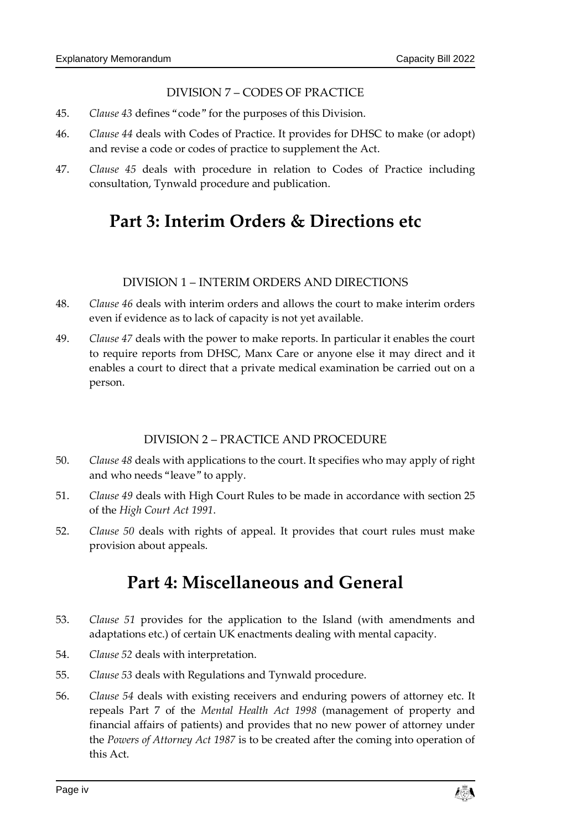#### DIVISION 7 – CODES OF PRACTICE

- 45. *Clause 43* defines "code" for the purposes of this Division.
- 46. *Clause 44* deals with Codes of Practice. It provides for DHSC to make (or adopt) and revise a code or codes of practice to supplement the Act.
- 47. *Clause 45* deals with procedure in relation to Codes of Practice including consultation, Tynwald procedure and publication.

# **Part 3: Interim Orders & Directions etc**

#### DIVISION 1 – INTERIM ORDERS AND DIRECTIONS

- 48. *Clause 46* deals with interim orders and allows the court to make interim orders even if evidence as to lack of capacity is not yet available.
- 49. *Clause 47* deals with the power to make reports. In particular it enables the court to require reports from DHSC, Manx Care or anyone else it may direct and it enables a court to direct that a private medical examination be carried out on a person.

#### DIVISION 2 – PRACTICE AND PROCEDURE

- 50. *Clause 48* deals with applications to the court. It specifies who may apply of right and who needs "leave" to apply.
- 51. *Clause 49* deals with High Court Rules to be made in accordance with section 25 of the *High Court Act 1991*.
- 52. *Clause 50* deals with rights of appeal. It provides that court rules must make provision about appeals.

## **Part 4: Miscellaneous and General**

- 53. *Clause 51* provides for the application to the Island (with amendments and adaptations etc.) of certain UK enactments dealing with mental capacity.
- 54. *Clause 52* deals with interpretation.
- 55. *Clause 53* deals with Regulations and Tynwald procedure.
- 56. *Clause 54* deals with existing receivers and enduring powers of attorney etc. It repeals Part 7 of the *Mental Health Act 1998* (management of property and financial affairs of patients) and provides that no new power of attorney under the *Powers of Attorney Act 1987* is to be created after the coming into operation of this Act.

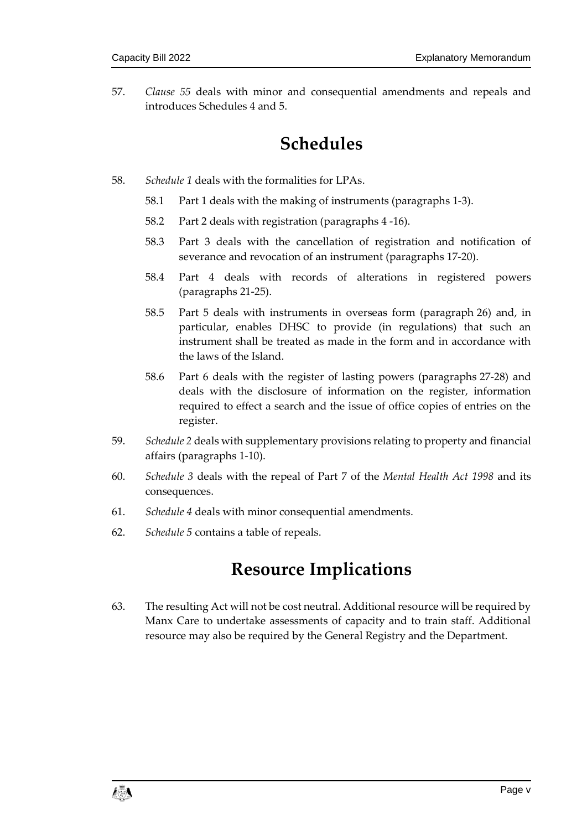57. *Clause 55* deals with minor and consequential amendments and repeals and introduces Schedules 4 and 5.

# **Schedules**

- 58. *Schedule 1* deals with the formalities for LPAs.
	- 58.1 Part 1 deals with the making of instruments (paragraphs 1-3).
	- 58.2 Part 2 deals with registration (paragraphs 4 -16).
	- 58.3 Part 3 deals with the cancellation of registration and notification of severance and revocation of an instrument (paragraphs 17-20).
	- 58.4 Part 4 deals with records of alterations in registered powers (paragraphs 21-25).
	- 58.5 Part 5 deals with instruments in overseas form (paragraph 26) and, in particular, enables DHSC to provide (in regulations) that such an instrument shall be treated as made in the form and in accordance with the laws of the Island.
	- 58.6 Part 6 deals with the register of lasting powers (paragraphs 27-28) and deals with the disclosure of information on the register, information required to effect a search and the issue of office copies of entries on the register.
- 59. *Schedule 2* deals with supplementary provisions relating to property and financial affairs (paragraphs 1-10).
- 60. *Schedule 3* deals with the repeal of Part 7 of the *Mental Health Act 1998* and its consequences.
- 61. *Schedule 4* deals with minor consequential amendments.
- 62. *Schedule 5* contains a table of repeals.

## **Resource Implications**

63. The resulting Act will not be cost neutral. Additional resource will be required by Manx Care to undertake assessments of capacity and to train staff. Additional resource may also be required by the General Registry and the Department.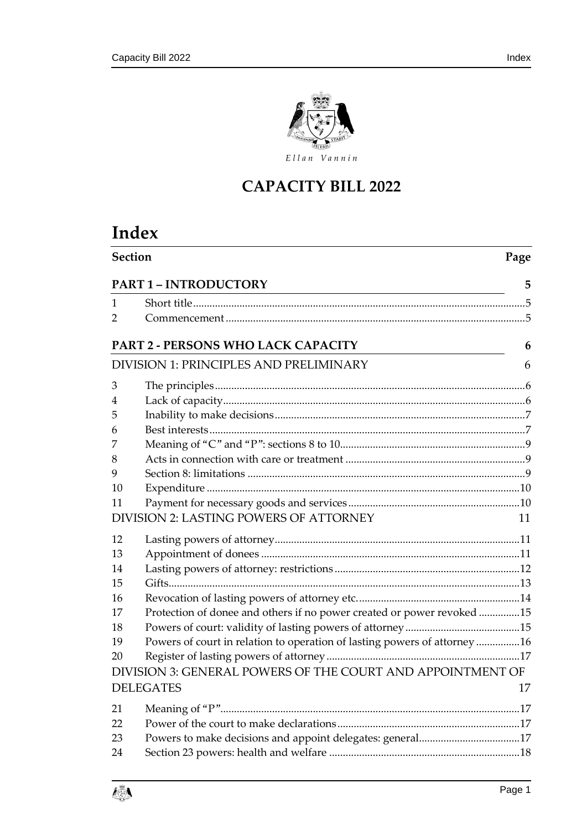

### **CAPACITY BILL 2022**

# **Index**

|          | <b>Section</b><br>Page                                                   |    |  |  |  |
|----------|--------------------------------------------------------------------------|----|--|--|--|
|          | <b>PART 1 - INTRODUCTORY</b>                                             | 5  |  |  |  |
| 1        |                                                                          |    |  |  |  |
| 2        |                                                                          |    |  |  |  |
|          | PART 2 - PERSONS WHO LACK CAPACITY                                       | 6  |  |  |  |
|          | DIVISION 1: PRINCIPLES AND PRELIMINARY                                   | 6  |  |  |  |
| 3        |                                                                          |    |  |  |  |
| 4        |                                                                          |    |  |  |  |
| 5        |                                                                          |    |  |  |  |
| 6        |                                                                          |    |  |  |  |
| 7        |                                                                          |    |  |  |  |
| 8        |                                                                          |    |  |  |  |
| 9        |                                                                          |    |  |  |  |
| 10       |                                                                          |    |  |  |  |
| 11       | DIVISION 2: LASTING POWERS OF ATTORNEY                                   |    |  |  |  |
|          |                                                                          | 11 |  |  |  |
| 12       |                                                                          |    |  |  |  |
| 13       |                                                                          |    |  |  |  |
| 14       |                                                                          |    |  |  |  |
| 15       |                                                                          |    |  |  |  |
| 16       |                                                                          |    |  |  |  |
| 17       | Protection of donee and others if no power created or power revoked 15   |    |  |  |  |
| 18       |                                                                          |    |  |  |  |
| 19<br>20 | Powers of court in relation to operation of lasting powers of attorney16 |    |  |  |  |
|          | DIVISION 3: GENERAL POWERS OF THE COURT AND APPOINTMENT OF               |    |  |  |  |
|          |                                                                          |    |  |  |  |
|          | <b>DELEGATES</b>                                                         | 17 |  |  |  |
| 21       |                                                                          |    |  |  |  |
| 22       |                                                                          |    |  |  |  |
| 23       |                                                                          |    |  |  |  |
| 24       |                                                                          |    |  |  |  |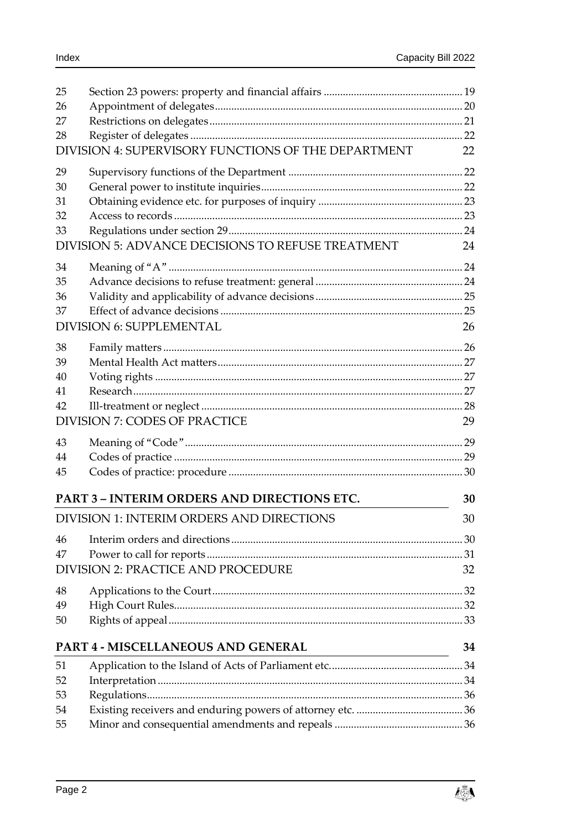| 25 |                                                     |    |
|----|-----------------------------------------------------|----|
| 26 |                                                     |    |
| 27 |                                                     |    |
| 28 |                                                     |    |
|    | DIVISION 4: SUPERVISORY FUNCTIONS OF THE DEPARTMENT | 22 |
| 29 |                                                     |    |
| 30 |                                                     |    |
| 31 |                                                     |    |
| 32 |                                                     |    |
| 33 |                                                     |    |
|    | DIVISION 5: ADVANCE DECISIONS TO REFUSE TREATMENT   | 24 |
| 34 |                                                     |    |
| 35 |                                                     |    |
| 36 |                                                     |    |
| 37 |                                                     |    |
|    | <b>DIVISION 6: SUPPLEMENTAL</b>                     | 26 |
| 38 |                                                     |    |
| 39 |                                                     |    |
| 40 |                                                     |    |
| 41 |                                                     |    |
| 42 |                                                     |    |
|    | <b>DIVISION 7: CODES OF PRACTICE</b>                | 29 |
| 43 |                                                     |    |
| 44 |                                                     |    |
| 45 |                                                     |    |
|    | <b>PART 3 - INTERIM ORDERS AND DIRECTIONS ETC.</b>  | 30 |
|    | <b>DIVISION 1: INTERIM ORDERS AND DIRECTIONS</b>    | 30 |
| 46 |                                                     |    |
| 47 |                                                     |    |
|    | <b>DIVISION 2: PRACTICE AND PROCEDURE</b>           | 32 |
| 48 |                                                     |    |
| 49 |                                                     |    |
| 50 |                                                     |    |
|    | PART 4 - MISCELLANEOUS AND GENERAL                  | 34 |
| 51 |                                                     |    |
| 52 |                                                     |    |
| 53 |                                                     |    |
| 54 |                                                     |    |
| 55 |                                                     |    |

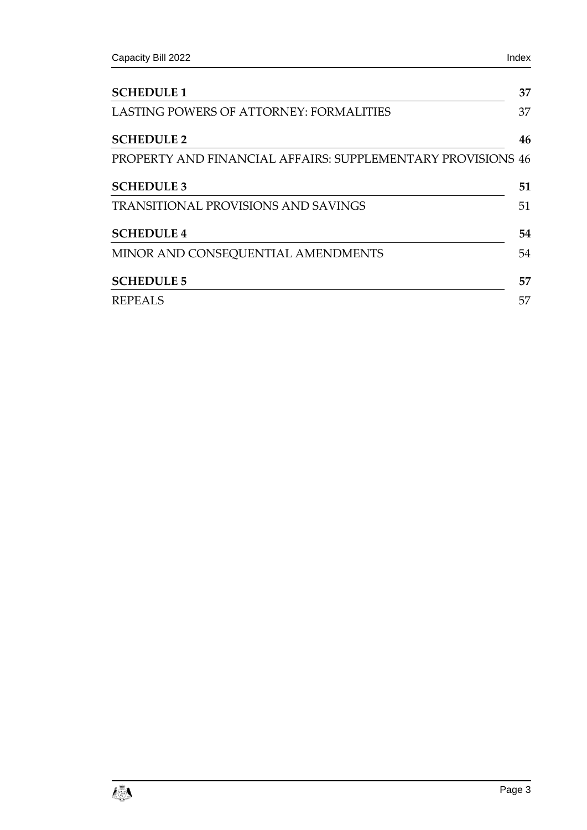| <b>SCHEDULE 1</b>                                           | 37 |
|-------------------------------------------------------------|----|
| LASTING POWERS OF ATTORNEY: FORMALITIES                     | 37 |
| <b>SCHEDULE 2</b>                                           | 46 |
| PROPERTY AND FINANCIAL AFFAIRS: SUPPLEMENTARY PROVISIONS 46 |    |
| <b>SCHEDULE 3</b>                                           | 51 |
| <b>TRANSITIONAL PROVISIONS AND SAVINGS</b>                  | 51 |
| <b>SCHEDULE 4</b>                                           | 54 |
| MINOR AND CONSEQUENTIAL AMENDMENTS                          | 54 |
| <b>SCHEDULE 5</b>                                           | 57 |
| <b>REPEALS</b>                                              | 57 |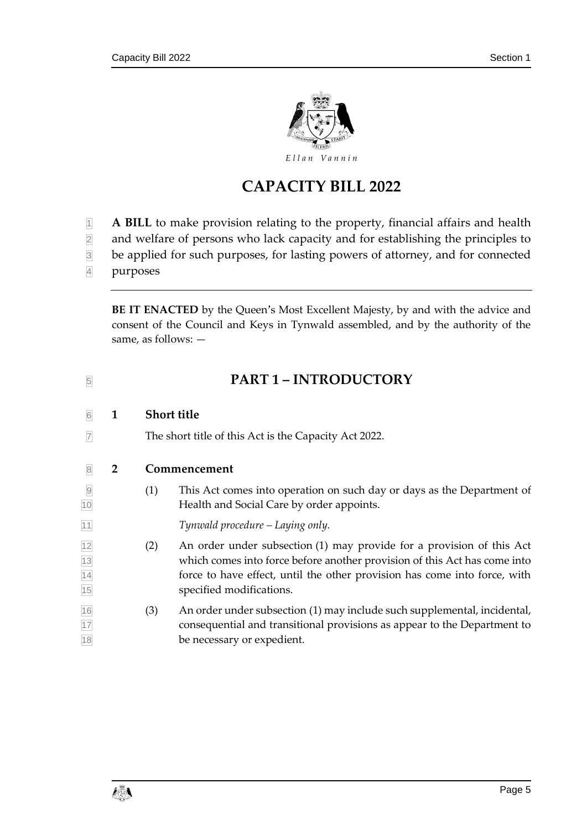

### **CAPACITY BILL 2022**

- **1 A BILL** to make provision relating to the property, financial affairs and health
- and welfare of persons who lack capacity and for establishing the principles to
- be applied for such purposes, for lasting powers of attorney, and for connected
- purposes

**BE IT ENACTED** by the Queen's Most Excellent Majesty, by and with the advice and consent of the Council and Keys in Tynwald assembled, and by the authority of the same, as follows: —

<span id="page-10-2"></span><span id="page-10-1"></span><span id="page-10-0"></span>

| $\sqrt{5}$                         |                |                    | <b>PART 1 - INTRODUCTORY</b>                                                                                                                                                                                                                                |  |  |  |
|------------------------------------|----------------|--------------------|-------------------------------------------------------------------------------------------------------------------------------------------------------------------------------------------------------------------------------------------------------------|--|--|--|
| 6                                  | 1              | <b>Short title</b> |                                                                                                                                                                                                                                                             |  |  |  |
| $\overline{7}$                     |                |                    | The short title of this Act is the Capacity Act 2022.                                                                                                                                                                                                       |  |  |  |
| $\sqrt{8}$                         | $\overline{2}$ |                    | Commencement                                                                                                                                                                                                                                                |  |  |  |
| $\overline{9}$<br>10               |                | (1)                | This Act comes into operation on such day or days as the Department of<br>Health and Social Care by order appoints.                                                                                                                                         |  |  |  |
| 11                                 |                |                    | Tynwald procedure – Laying only.                                                                                                                                                                                                                            |  |  |  |
| $\frac{12}{13}$<br>$\frac{14}{15}$ |                | (2)                | An order under subsection (1) may provide for a provision of this Act<br>which comes into force before another provision of this Act has come into<br>force to have effect, until the other provision has come into force, with<br>specified modifications. |  |  |  |
| 16<br>$\frac{17}{18}$              |                | (3)                | An order under subsection (1) may include such supplemental, incidental,<br>consequential and transitional provisions as appear to the Department to<br>be necessary or expedient.                                                                          |  |  |  |

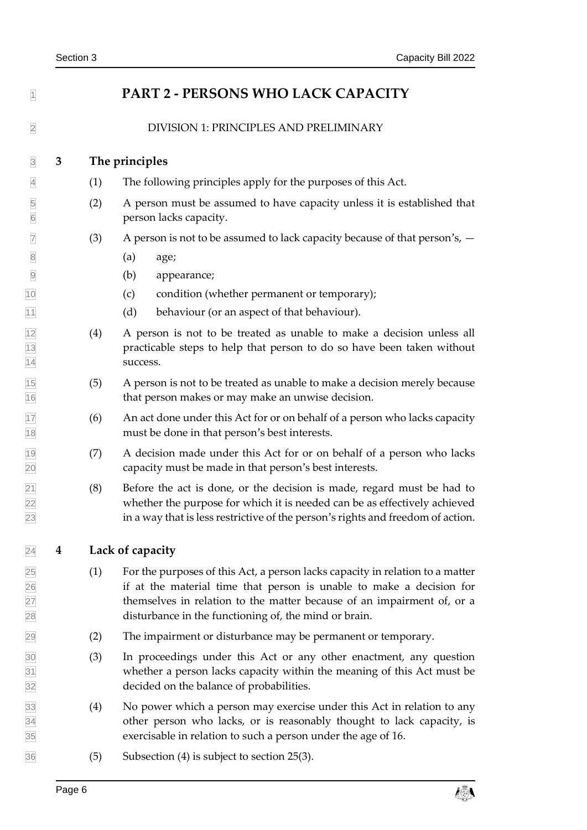<span id="page-11-3"></span><span id="page-11-2"></span><span id="page-11-1"></span><span id="page-11-0"></span>

| $\vert$ 1                          |   |     | PART 2 - PERSONS WHO LACK CAPACITY                                                                                                                                                                                                                                                       |
|------------------------------------|---|-----|------------------------------------------------------------------------------------------------------------------------------------------------------------------------------------------------------------------------------------------------------------------------------------------|
| $\overline{2}$                     |   |     | DIVISION 1: PRINCIPLES AND PRELIMINARY                                                                                                                                                                                                                                                   |
| $\overline{3}$                     | 3 |     | The principles                                                                                                                                                                                                                                                                           |
| $\overline{4}$                     |   | (1) | The following principles apply for the purposes of this Act.                                                                                                                                                                                                                             |
| 5<br>$6\overline{6}$               |   | (2) | A person must be assumed to have capacity unless it is established that<br>person lacks capacity.                                                                                                                                                                                        |
| $\boxed{7}$                        |   | (3) | A person is not to be assumed to lack capacity because of that person's, $-$                                                                                                                                                                                                             |
| $\overline{8}$                     |   |     | (a)<br>age;                                                                                                                                                                                                                                                                              |
| $\overline{9}$                     |   |     | (b)<br>appearance;                                                                                                                                                                                                                                                                       |
| 10                                 |   |     | condition (whether permanent or temporary);<br>(c)                                                                                                                                                                                                                                       |
| 11                                 |   |     | (d)<br>behaviour (or an aspect of that behaviour).                                                                                                                                                                                                                                       |
| $\frac{12}{13}$<br>$\frac{14}{14}$ |   | (4) | A person is not to be treated as unable to make a decision unless all<br>practicable steps to help that person to do so have been taken without<br>success.                                                                                                                              |
| 15<br>16                           |   | (5) | A person is not to be treated as unable to make a decision merely because<br>that person makes or may make an unwise decision.                                                                                                                                                           |
| 17<br>18                           |   | (6) | An act done under this Act for or on behalf of a person who lacks capacity<br>must be done in that person's best interests.                                                                                                                                                              |
| $\frac{19}{20}$                    |   | (7) | A decision made under this Act for or on behalf of a person who lacks<br>capacity must be made in that person's best interests.                                                                                                                                                          |
| $\frac{21}{22}$<br>$\frac{22}{23}$ |   | (8) | Before the act is done, or the decision is made, regard must be had to<br>whether the purpose for which it is needed can be as effectively achieved<br>in a way that is less restrictive of the person's rights and freedom of action.                                                   |
| 24                                 | 4 |     | Lack of capacity                                                                                                                                                                                                                                                                         |
| 25<br>26<br>27<br>28               |   | (1) | For the purposes of this Act, a person lacks capacity in relation to a matter<br>if at the material time that person is unable to make a decision for<br>themselves in relation to the matter because of an impairment of, or a<br>disturbance in the functioning of, the mind or brain. |
| 29                                 |   | (2) | The impairment or disturbance may be permanent or temporary.                                                                                                                                                                                                                             |
| 30<br>$\overline{31}$<br>32        |   | (3) | In proceedings under this Act or any other enactment, any question<br>whether a person lacks capacity within the meaning of this Act must be<br>decided on the balance of probabilities.                                                                                                 |
| 33<br>34<br>35                     |   | (4) | No power which a person may exercise under this Act in relation to any<br>other person who lacks, or is reasonably thought to lack capacity, is<br>exercisable in relation to such a person under the age of 16.                                                                         |
| 36                                 |   | (5) | Subsection $(4)$ is subject to section 25 $(3)$ .                                                                                                                                                                                                                                        |

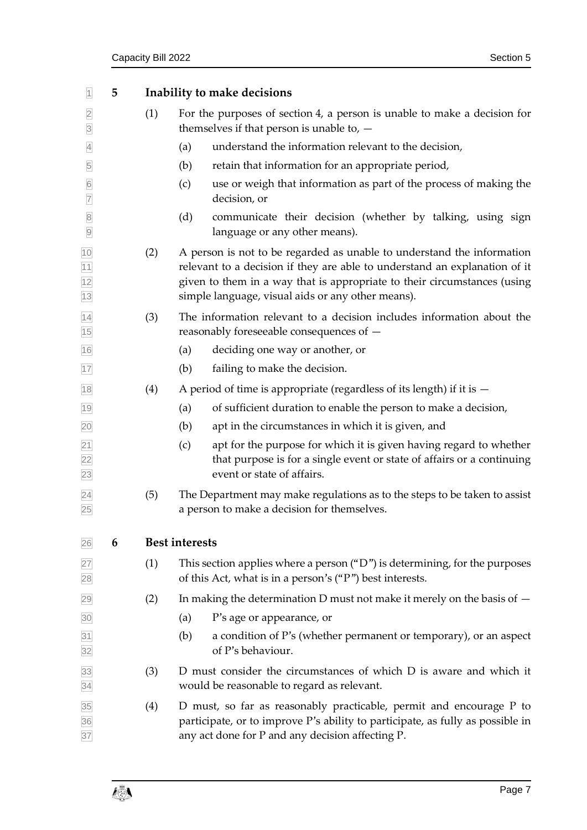<span id="page-12-1"></span><span id="page-12-0"></span>

| $\vert$ 1                                       | 5 |     | Inability to make decisions                                                                                                                                                                                                                                                           |
|-------------------------------------------------|---|-----|---------------------------------------------------------------------------------------------------------------------------------------------------------------------------------------------------------------------------------------------------------------------------------------|
| $\overline{2}$<br>$\overline{3}$                |   | (1) | For the purposes of section 4, a person is unable to make a decision for<br>themselves if that person is unable to, $-$                                                                                                                                                               |
| $\overline{4}$                                  |   |     | understand the information relevant to the decision,<br>(a)                                                                                                                                                                                                                           |
| $\overline{5}$                                  |   |     | retain that information for an appropriate period,<br>(b)                                                                                                                                                                                                                             |
| $6\overline{6}$<br>$\overline{7}$               |   |     | (c)<br>use or weigh that information as part of the process of making the<br>decision, or                                                                                                                                                                                             |
| $\overline{8}$<br>$\overline{9}$                |   |     | (d)<br>communicate their decision (whether by talking, using sign<br>language or any other means).                                                                                                                                                                                    |
| $\frac{10}{11}$ $\frac{11}{12}$ $\frac{12}{13}$ |   | (2) | A person is not to be regarded as unable to understand the information<br>relevant to a decision if they are able to understand an explanation of it<br>given to them in a way that is appropriate to their circumstances (using<br>simple language, visual aids or any other means). |
| $\overline{14}$<br>15                           |   | (3) | The information relevant to a decision includes information about the<br>reasonably foreseeable consequences of -                                                                                                                                                                     |
| 16                                              |   |     | (a)<br>deciding one way or another, or                                                                                                                                                                                                                                                |
| 17                                              |   |     | (b)<br>failing to make the decision.                                                                                                                                                                                                                                                  |
| 18                                              |   | (4) | A period of time is appropriate (regardless of its length) if it is $-$                                                                                                                                                                                                               |
| 19                                              |   |     | of sufficient duration to enable the person to make a decision,<br>(a)                                                                                                                                                                                                                |
| $\overline{20}$                                 |   |     | (b)<br>apt in the circumstances in which it is given, and                                                                                                                                                                                                                             |
| $\frac{21}{22}$<br>$\frac{22}{23}$              |   |     | apt for the purpose for which it is given having regard to whether<br>(c)<br>that purpose is for a single event or state of affairs or a continuing<br>event or state of affairs.                                                                                                     |
| $\overline{24}$<br>25                           |   | (5) | The Department may make regulations as to the steps to be taken to assist<br>a person to make a decision for themselves.                                                                                                                                                              |
| 26                                              | 6 |     | <b>Best interests</b>                                                                                                                                                                                                                                                                 |
| 27<br>28                                        |   | (1) | This section applies where a person $("D")$ is determining, for the purposes<br>of this Act, what is in a person's ("P") best interests.                                                                                                                                              |
| 29                                              |   | (2) | In making the determination D must not make it merely on the basis of $-$                                                                                                                                                                                                             |
| 30                                              |   |     | P's age or appearance, or<br>(a)                                                                                                                                                                                                                                                      |
| $\frac{31}{32}$                                 |   |     | a condition of P's (whether permanent or temporary), or an aspect<br>(b)<br>of P's behaviour.                                                                                                                                                                                         |
| 33<br>34                                        |   | (3) | D must consider the circumstances of which D is aware and which it<br>would be reasonable to regard as relevant.                                                                                                                                                                      |
| 35<br>36<br>37                                  |   | (4) | D must, so far as reasonably practicable, permit and encourage P to<br>participate, or to improve P's ability to participate, as fully as possible in<br>any act done for P and any decision affecting P.                                                                             |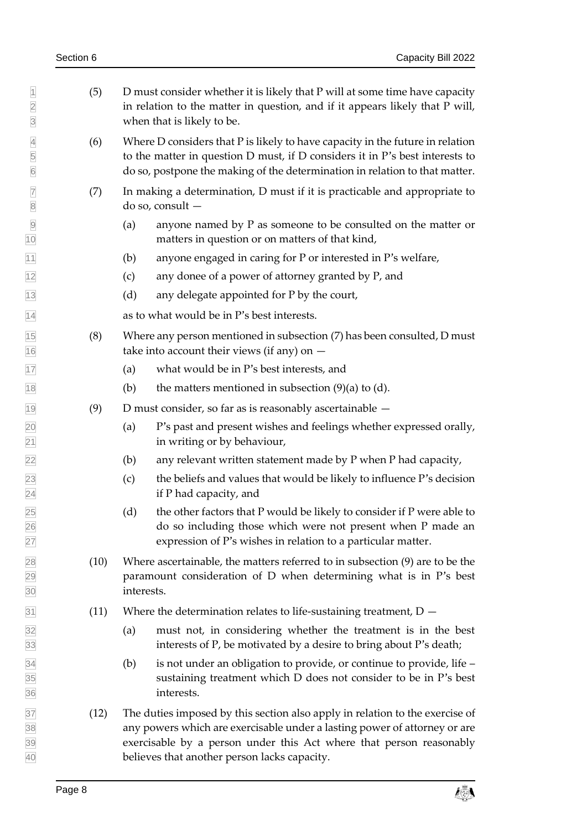$\vert$  (5) D must consider whether it is likely that P will at some time have capacity in relation to the matter in question, and if it appears likely that P will, when that is likely to be. (6) Where D considers that P is likely to have capacity in the future in relation to the matter in question D must, if D considers it in P's best interests to do so, postpone the making of the determination in relation to that matter.  $\boxed{7}$  (7) In making a determination, D must if it is practicable and appropriate to do so, consult — (a) anyone named by P as someone to be consulted on the matter or matters in question or on matters of that kind, (b) anyone engaged in caring for P or interested in P's welfare,  $\frac{1}{2}$  (c) any donee of a power of attorney granted by P, and (d) any delegate appointed for P by the court, as to what would be in P's best interests. (8) Where any person mentioned in subsection (7) has been consulted, D must 16 take into account their views (if any) on  $-$  (a) what would be in P's best interests, and 18 (b) the matters mentioned in subsection  $(9)(a)$  to  $(d)$ . D must consider, so far as is reasonably ascertainable  $-$  (a) P's past and present wishes and feelings whether expressed orally, in writing or by behaviour,  $\sqrt{22}$  (b) any relevant written statement made by P when P had capacity,  $(23)$  (c) the beliefs and values that would be likely to influence P's decision if P had capacity, and  $\overline{25}$  (d) the other factors that P would be likely to consider if P were able to do so including those which were not present when P made an expression of P's wishes in relation to a particular matter. (10) Where ascertainable, the matters referred to in subsection (9) are to be the paramount consideration of D when determining what is in P's best interests.  $\overline{31}$  (11) Where the determination relates to life-sustaining treatment, D – (a) must not, in considering whether the treatment is in the best  $\overline{33}$  interests of P, be motivated by a desire to bring about P's death;  $\overline{34}$  (b) is not under an obligation to provide, or continue to provide, life – sustaining treatment which D does not consider to be in P's best interests. (12) The duties imposed by this section also apply in relation to the exercise of any powers which are exercisable under a lasting power of attorney or are exercisable by a person under this Act where that person reasonably believes that another person lacks capacity.

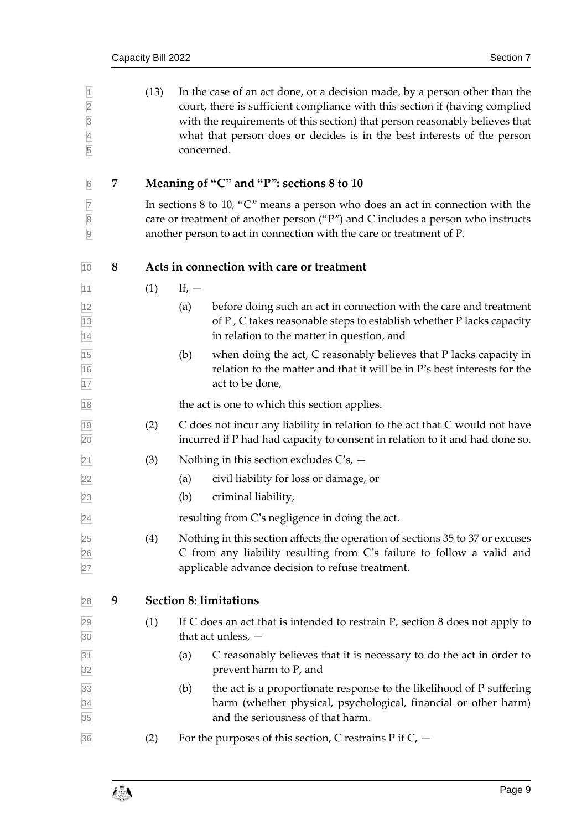<span id="page-14-2"></span><span id="page-14-1"></span><span id="page-14-0"></span>

| $\overline{1}$<br>$\begin{array}{c c} 2 & 3 \\ \hline 4 & 4 \end{array}$<br>5 |   | (13) | In the case of an act done, or a decision made, by a person other than the<br>court, there is sufficient compliance with this section if (having complied<br>with the requirements of this section) that person reasonably believes that<br>what that person does or decides is in the best interests of the person<br>concerned. |
|-------------------------------------------------------------------------------|---|------|-----------------------------------------------------------------------------------------------------------------------------------------------------------------------------------------------------------------------------------------------------------------------------------------------------------------------------------|
| $\overline{6}$                                                                | 7 |      | Meaning of "C" and "P": sections 8 to 10                                                                                                                                                                                                                                                                                          |
| $\overline{7}$<br>$\sqrt{8}$<br>$\overline{9}$                                |   |      | In sections 8 to 10, " $C$ " means a person who does an act in connection with the<br>care or treatment of another person ("P") and C includes a person who instructs<br>another person to act in connection with the care or treatment of P.                                                                                     |
| 10                                                                            | 8 |      | Acts in connection with care or treatment                                                                                                                                                                                                                                                                                         |
| $11$                                                                          |   | (1)  | If, $-$                                                                                                                                                                                                                                                                                                                           |
| $\frac{12}{13}$ $\frac{12}{14}$                                               |   |      | (a)<br>before doing such an act in connection with the care and treatment<br>of P, C takes reasonable steps to establish whether P lacks capacity<br>in relation to the matter in question, and                                                                                                                                   |
| $\frac{15}{16}$                                                               |   |      | when doing the act, C reasonably believes that P lacks capacity in<br>(b)<br>relation to the matter and that it will be in P's best interests for the<br>act to be done,                                                                                                                                                          |
| 18                                                                            |   |      | the act is one to which this section applies.                                                                                                                                                                                                                                                                                     |
| 19<br>20                                                                      |   | (2)  | C does not incur any liability in relation to the act that C would not have<br>incurred if P had had capacity to consent in relation to it and had done so.                                                                                                                                                                       |
| 21                                                                            |   | (3)  | Nothing in this section excludes $C$ 's, $-$                                                                                                                                                                                                                                                                                      |
| 22                                                                            |   |      | civil liability for loss or damage, or<br>(a)                                                                                                                                                                                                                                                                                     |
| 23                                                                            |   |      | (b)<br>criminal liability,                                                                                                                                                                                                                                                                                                        |
| 24                                                                            |   |      | resulting from C's negligence in doing the act.                                                                                                                                                                                                                                                                                   |
| 25<br>26<br>27                                                                |   | (4)  | Nothing in this section affects the operation of sections 35 to 37 or excuses<br>C from any liability resulting from C's failure to follow a valid and<br>applicable advance decision to refuse treatment.                                                                                                                        |
| 28                                                                            | 9 |      | <b>Section 8: limitations</b>                                                                                                                                                                                                                                                                                                     |
| 29<br>30                                                                      |   | (1)  | If C does an act that is intended to restrain $P$ , section 8 does not apply to<br>that act unless, $-$                                                                                                                                                                                                                           |
| 31<br>32                                                                      |   |      | C reasonably believes that it is necessary to do the act in order to<br>(a)<br>prevent harm to P, and                                                                                                                                                                                                                             |
| 33<br>34<br>35                                                                |   |      | the act is a proportionate response to the likelihood of P suffering<br>(b)<br>harm (whether physical, psychological, financial or other harm)<br>and the seriousness of that harm.                                                                                                                                               |
| 36                                                                            |   | (2)  | For the purposes of this section, C restrains $P$ if $C$ , $-$                                                                                                                                                                                                                                                                    |
|                                                                               |   |      |                                                                                                                                                                                                                                                                                                                                   |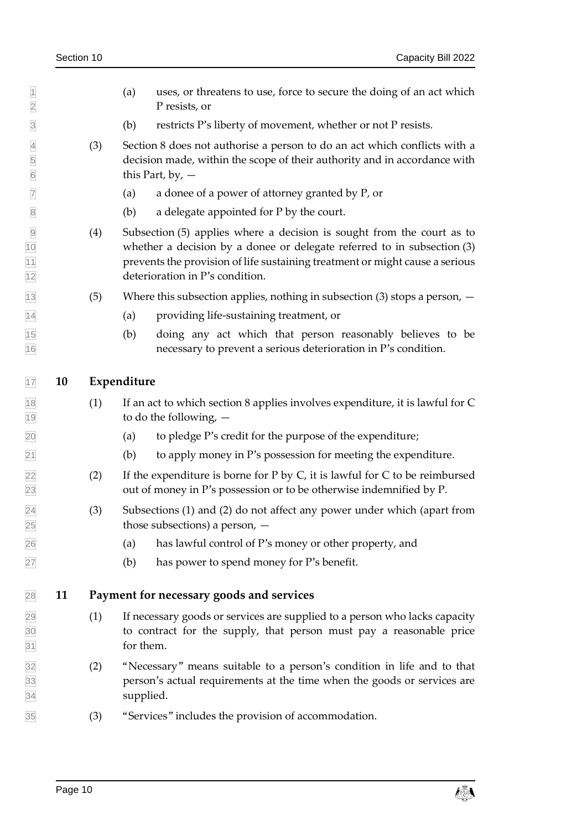- $\Box$  (a) uses, or threatens to use, force to secure the doing of an act which P resists, or
- (b) restricts P's liberty of movement, whether or not P resists.
- (3) Section [8](#page-14-1) does not authorise a person to do an act which conflicts with a decision made, within the scope of their authority and in accordance with this Part, by,  $-$
- (a) a donee of a power of attorney granted by P, or
- $\otimes$  (b) a delegate appointed for P by the court.
- (4) Subsection (5) applies where a decision is sought from the court as to whether a decision by a donee or delegate referred to in subsection (3) prevents the provision of life sustaining treatment or might cause a serious deterioration in P's condition.
- 13 (5) Where this subsection applies, nothing in subsection (3) stops a person,  $-$
- (a) providing life-sustaining treatment, or
- (b) doing any act which that person reasonably believes to be necessary to prevent a serious deterioration in P's condition.

#### <span id="page-15-0"></span>**10 Expenditure**

- (1) If an act to which section [8](#page-14-1) applies involves expenditure, it is lawful for C to do the following, —
- (a) to pledge P's credit for the purpose of the expenditure;
- $\boxed{21}$  (b) to apply money in P's possession for meeting the expenditure.
- 22 (2) If the expenditure is borne for P by C, it is lawful for C to be reimbursed out of money in P's possession or to be otherwise indemnified by P.
- $\sqrt{24}$  (3) Subsections (1) and (2) do not affect any power under which (apart from those subsections) a person, —
- (a) has lawful control of P's money or other property, and
- <span id="page-15-1"></span>(b) has power to spend money for P's benefit.

#### **11 Payment for necessary goods and services**

- (1) If necessary goods or services are supplied to a person who lacks capacity to contract for the supply, that person must pay a reasonable price for them.
- (2) "Necessary" means suitable to a person's condition in life and to that person's actual requirements at the time when the goods or services are supplied.
- (3) "Services" includes the provision of accommodation.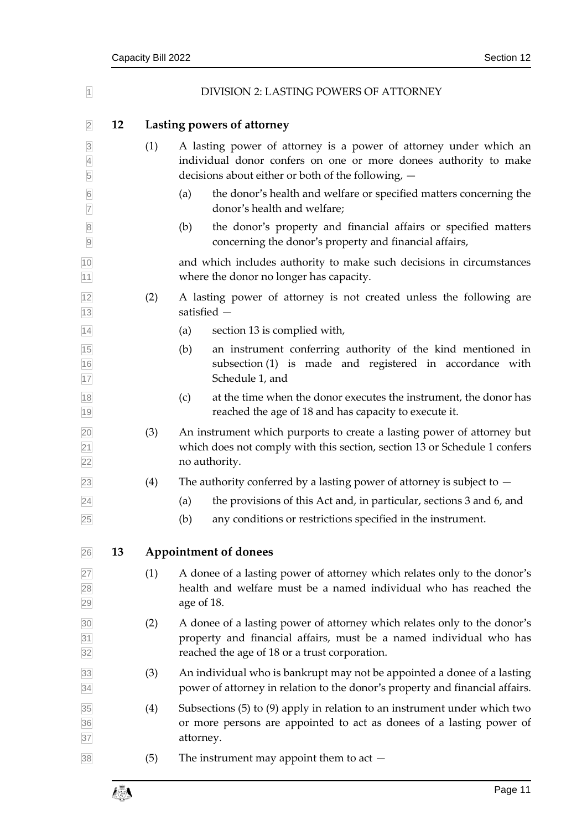<span id="page-16-1"></span><span id="page-16-0"></span>

| $\overline{1}$                        |    |     | DIVISION 2: LASTING POWERS OF ATTORNEY                                                                                                                                                          |
|---------------------------------------|----|-----|-------------------------------------------------------------------------------------------------------------------------------------------------------------------------------------------------|
| $\overline{2}$                        | 12 |     | Lasting powers of attorney                                                                                                                                                                      |
| $\overline{3}$<br>$\overline{4}$<br>5 |    | (1) | A lasting power of attorney is a power of attorney under which an<br>individual donor confers on one or more donees authority to make<br>decisions about either or both of the following, -     |
| $6\overline{6}$<br>$\overline{7}$     |    |     | the donor's health and welfare or specified matters concerning the<br>(a)<br>donor's health and welfare;                                                                                        |
| $\overline{8}$<br>$\overline{9}$      |    |     | the donor's property and financial affairs or specified matters<br>(b)<br>concerning the donor's property and financial affairs,                                                                |
| 10<br>11                              |    |     | and which includes authority to make such decisions in circumstances<br>where the donor no longer has capacity.                                                                                 |
| 12<br>13                              |    | (2) | A lasting power of attorney is not created unless the following are<br>satisfied -                                                                                                              |
| 14                                    |    |     | section 13 is complied with,<br>(a)                                                                                                                                                             |
| $\frac{15}{16}$<br>$\frac{1}{17}$     |    |     | an instrument conferring authority of the kind mentioned in<br>(b)<br>subsection (1) is made and registered in accordance with<br>Schedule 1, and                                               |
| $\frac{18}{1}$<br>19                  |    |     | at the time when the donor executes the instrument, the donor has<br>(c)<br>reached the age of 18 and has capacity to execute it.                                                               |
| $\frac{20}{21}$<br>$\frac{21}{22}$    |    | (3) | An instrument which purports to create a lasting power of attorney but<br>which does not comply with this section, section 13 or Schedule 1 confers<br>no authority.                            |
| 23                                    |    | (4) | The authority conferred by a lasting power of attorney is subject to $-$                                                                                                                        |
| 24                                    |    |     | the provisions of this Act and, in particular, sections 3 and 6, and<br>(a)                                                                                                                     |
| 25                                    |    |     | (b)<br>any conditions or restrictions specified in the instrument.                                                                                                                              |
| 26                                    | 13 |     | <b>Appointment of donees</b>                                                                                                                                                                    |
| 27<br>28<br>29                        |    | (1) | A donee of a lasting power of attorney which relates only to the donor's<br>health and welfare must be a named individual who has reached the<br>age of 18.                                     |
| 30<br>31<br>32                        |    | (2) | A donee of a lasting power of attorney which relates only to the donor's<br>property and financial affairs, must be a named individual who has<br>reached the age of 18 or a trust corporation. |
| 33<br>34                              |    | (3) | An individual who is bankrupt may not be appointed a donee of a lasting<br>power of attorney in relation to the donor's property and financial affairs.                                         |
| 35<br>36<br>37                        |    | (4) | Subsections $(5)$ to $(9)$ apply in relation to an instrument under which two<br>or more persons are appointed to act as donees of a lasting power of<br>attorney.                              |
| 38                                    |    | (5) | The instrument may appoint them to act $-$                                                                                                                                                      |

<span id="page-16-2"></span>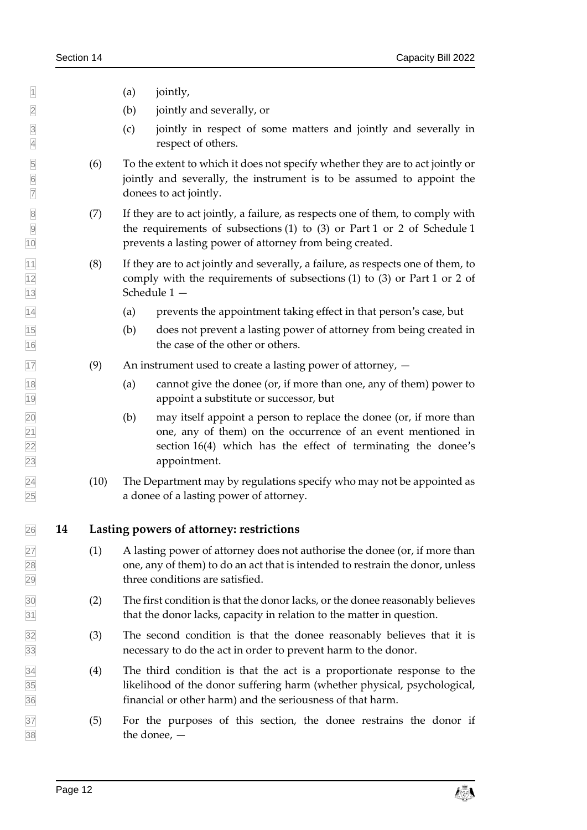$\begin{array}{ccc} \hline \end{array}$  (a) jointly,

(b) jointly and severally, or

- (c) jointly in respect of some matters and jointly and severally in respect of others.
- (6) To the extent to which it does not specify whether they are to act jointly or jointly and severally, the instrument is to be assumed to appoint the donees to act jointly.
- (7) If they are to act jointly, a failure, as respects one of them, to comply with the requirements of subsections (1) to (3) or Part 1 or 2 of Schedule 1 prevents a lasting power of attorney from being created.
- $|11|$  (8) If they are to act jointly and severally, a failure, as respects one of them, to comply with the requirements of subsections (1) to (3) or Part 1 or 2 of Schedule 1 —
- (a) prevents the appointment taking effect in that person's case, but
- (b) does not prevent a lasting power of attorney from being created in the case of the other or others.
- $\overline{17}$  (9) An instrument used to create a lasting power of attorney,  $-$
- (a) cannot give the donee (or, if more than one, any of them) power to appoint a substitute or successor, but
- (b) may itself appoint a person to replace the donee (or, if more than one, any of them) on the occurrence of an event mentioned in section [16\(4\)](#page-19-1) which has the effect of terminating the donee's appointment.
- $\sqrt{24}$  (10) The Department may by regulations specify who may not be appointed as a donee of a lasting power of attorney.

#### <span id="page-17-0"></span>**14 Lasting powers of attorney: restrictions**

- (1) A lasting power of attorney does not authorise the donee (or, if more than  $\overline{28}$  one, any of them) to do an act that is intended to restrain the donor, unless three conditions are satisfied.
- (2) The first condition is that the donor lacks, or the donee reasonably believes  $\frac{31}{31}$  that the donor lacks, capacity in relation to the matter in question.
- (3) The second condition is that the donee reasonably believes that it is necessary to do the act in order to prevent harm to the donor.
- (4) The third condition is that the act is a proportionate response to the likelihood of the donor suffering harm (whether physical, psychological, financial or other harm) and the seriousness of that harm.
- (5) For the purposes of this section, the donee restrains the donor if the donee, —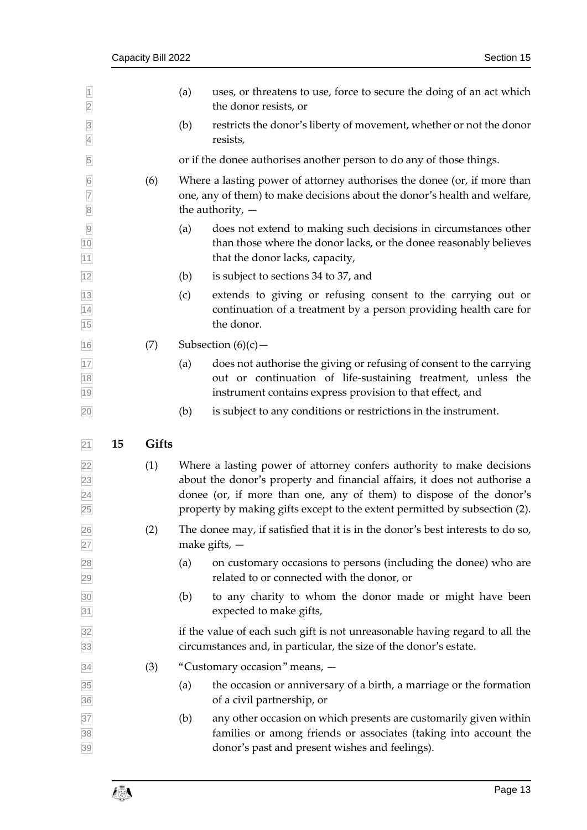<span id="page-18-1"></span><span id="page-18-0"></span>

| $\overline{1}$<br>$\overline{2}$                   |    |       | (a) | uses, or threatens to use, force to secure the doing of an act which<br>the donor resists, or                                                                                                                                                                                                           |
|----------------------------------------------------|----|-------|-----|---------------------------------------------------------------------------------------------------------------------------------------------------------------------------------------------------------------------------------------------------------------------------------------------------------|
| $\overline{3}$<br>$\overline{4}$                   |    |       | (b) | restricts the donor's liberty of movement, whether or not the donor<br>resists,                                                                                                                                                                                                                         |
| 5                                                  |    |       |     | or if the donee authorises another person to do any of those things.                                                                                                                                                                                                                                    |
| $\overline{6}$<br>$\overline{7}$<br>$\overline{8}$ |    | (6)   |     | Where a lasting power of attorney authorises the donee (or, if more than<br>one, any of them) to make decisions about the donor's health and welfare,<br>the authority, $-$                                                                                                                             |
| $\overline{9}$<br>10<br>11                         |    |       | (a) | does not extend to making such decisions in circumstances other<br>than those where the donor lacks, or the donee reasonably believes<br>that the donor lacks, capacity,                                                                                                                                |
| 12                                                 |    |       | (b) | is subject to sections 34 to 37, and                                                                                                                                                                                                                                                                    |
| 13<br>14<br>15                                     |    |       | (c) | extends to giving or refusing consent to the carrying out or<br>continuation of a treatment by a person providing health care for<br>the donor.                                                                                                                                                         |
| 16                                                 |    | (7)   |     | Subsection $(6)(c)$ –                                                                                                                                                                                                                                                                                   |
| 17<br>18<br>19                                     |    |       | (a) | does not authorise the giving or refusing of consent to the carrying<br>out or continuation of life-sustaining treatment, unless the<br>instrument contains express provision to that effect, and                                                                                                       |
| 20                                                 |    |       | (b) | is subject to any conditions or restrictions in the instrument.                                                                                                                                                                                                                                         |
|                                                    |    |       |     |                                                                                                                                                                                                                                                                                                         |
|                                                    |    |       |     |                                                                                                                                                                                                                                                                                                         |
| 21                                                 | 15 | Gifts |     |                                                                                                                                                                                                                                                                                                         |
| 22<br>23<br>$\overline{24}$<br>25                  |    | (1)   |     | Where a lasting power of attorney confers authority to make decisions<br>about the donor's property and financial affairs, it does not authorise a<br>donee (or, if more than one, any of them) to dispose of the donor's<br>property by making gifts except to the extent permitted by subsection (2). |
| 26<br>27                                           |    | (2)   |     | The donee may, if satisfied that it is in the donor's best interests to do so,<br>make gifts, $-$                                                                                                                                                                                                       |
| $\overline{28}$<br>29                              |    |       | (a) | on customary occasions to persons (including the donee) who are<br>related to or connected with the donor, or                                                                                                                                                                                           |
| 30<br>31                                           |    |       | (b) | to any charity to whom the donor made or might have been<br>expected to make gifts,                                                                                                                                                                                                                     |
| 32<br>33                                           |    |       |     | if the value of each such gift is not unreasonable having regard to all the<br>circumstances and, in particular, the size of the donor's estate.                                                                                                                                                        |
| 34                                                 |    | (3)   |     | "Customary occasion" means, -                                                                                                                                                                                                                                                                           |
| 35<br>36                                           |    |       | (a) | the occasion or anniversary of a birth, a marriage or the formation<br>of a civil partnership, or                                                                                                                                                                                                       |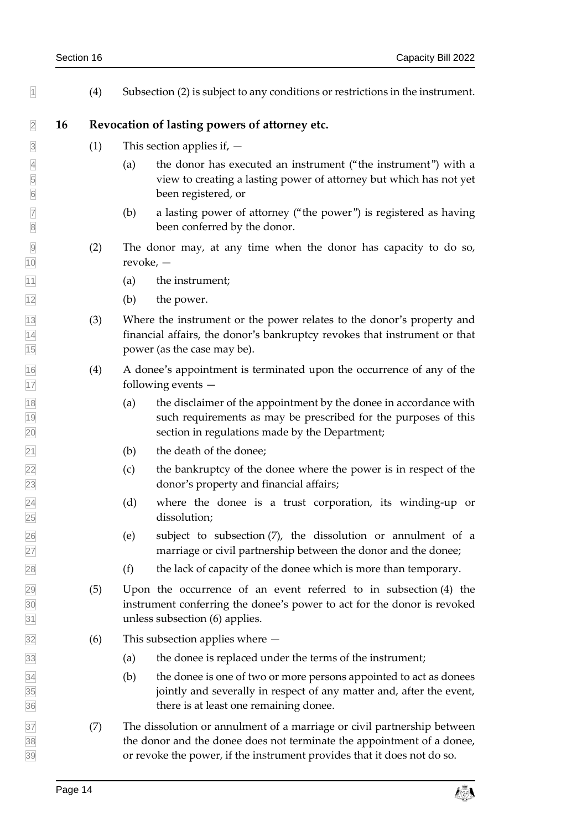| Section 16 |  |
|------------|--|
|------------|--|

<span id="page-19-1"></span><span id="page-19-0"></span>

| $\overline{1}$                                                   |    | (4) | Subsection (2) is subject to any conditions or restrictions in the instrument.                                                                                                                                               |
|------------------------------------------------------------------|----|-----|------------------------------------------------------------------------------------------------------------------------------------------------------------------------------------------------------------------------------|
| $\overline{2}$                                                   | 16 |     | Revocation of lasting powers of attorney etc.                                                                                                                                                                                |
| $\overline{3}$                                                   |    | (1) | This section applies if, $-$                                                                                                                                                                                                 |
| $\overline{4}$<br>$\begin{array}{c c} 5 \\ \hline 6 \end{array}$ |    |     | the donor has executed an instrument ("the instrument") with a<br>(a)<br>view to creating a lasting power of attorney but which has not yet<br>been registered, or                                                           |
| $\overline{7}$<br>$\bf 8$                                        |    |     | a lasting power of attorney ("the power") is registered as having<br>(b)<br>been conferred by the donor.                                                                                                                     |
| $\frac{9}{10}$                                                   |    | (2) | The donor may, at any time when the donor has capacity to do so,<br>revoke, $-$                                                                                                                                              |
| $\overline{11}$                                                  |    |     | the instrument;<br>(a)                                                                                                                                                                                                       |
| 12                                                               |    |     | (b)<br>the power.                                                                                                                                                                                                            |
| $\frac{13}{14}$ $\frac{14}{15}$                                  |    | (3) | Where the instrument or the power relates to the donor's property and<br>financial affairs, the donor's bankruptcy revokes that instrument or that<br>power (as the case may be).                                            |
| $\frac{16}{17}$                                                  |    | (4) | A donee's appointment is terminated upon the occurrence of any of the<br>following events $-$                                                                                                                                |
| $\frac{18}{19}$<br>20                                            |    |     | the disclaimer of the appointment by the donee in accordance with<br>(a)<br>such requirements as may be prescribed for the purposes of this<br>section in regulations made by the Department;                                |
| $\overline{21}$                                                  |    |     | the death of the donee;<br>(b)                                                                                                                                                                                               |
|                                                                  |    |     | the bankruptcy of the donee where the power is in respect of the<br>(c)<br>donor's property and financial affairs;                                                                                                           |
| 22<br>23<br>24<br>25                                             |    |     | (d)<br>where the donee is a trust corporation, its winding-up or<br>dissolution;                                                                                                                                             |
| 26<br>27                                                         |    |     | (e)<br>subject to subsection (7), the dissolution or annulment of a<br>marriage or civil partnership between the donor and the donee;                                                                                        |
| 28                                                               |    |     | (f)<br>the lack of capacity of the donee which is more than temporary.                                                                                                                                                       |
| $\frac{29}{30}$<br>$\frac{31}{31}$                               |    | (5) | Upon the occurrence of an event referred to in subsection (4) the<br>instrument conferring the donee's power to act for the donor is revoked<br>unless subsection (6) applies.                                               |
| 32                                                               |    | (6) | This subsection applies where $-$                                                                                                                                                                                            |
| 33                                                               |    |     | the donee is replaced under the terms of the instrument;<br>(a)                                                                                                                                                              |
| $\frac{34}{35}$ $\frac{36}{36}$                                  |    |     | (b)<br>the donee is one of two or more persons appointed to act as donees<br>jointly and severally in respect of any matter and, after the event,<br>there is at least one remaining donee.                                  |
| 37<br>38<br>39                                                   |    | (7) | The dissolution or annulment of a marriage or civil partnership between<br>the donor and the donee does not terminate the appointment of a donee,<br>or revoke the power, if the instrument provides that it does not do so. |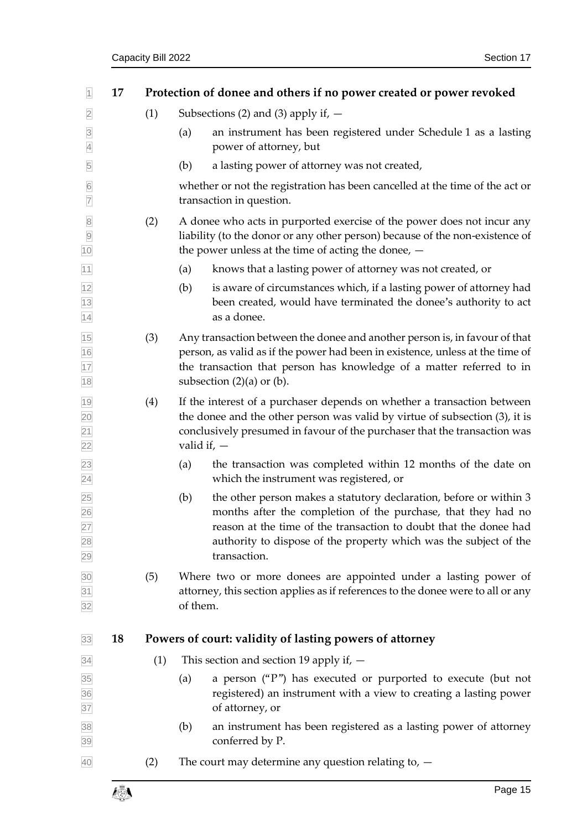<span id="page-20-1"></span><span id="page-20-0"></span>

| 1                                  | 17 |     | Protection of donee and others if no power created or power revoked                                                                                                                                                                                                                                  |
|------------------------------------|----|-----|------------------------------------------------------------------------------------------------------------------------------------------------------------------------------------------------------------------------------------------------------------------------------------------------------|
| $\overline{2}$                     |    | (1) | Subsections (2) and (3) apply if, $-$                                                                                                                                                                                                                                                                |
| $\overline{3}$<br>$\overline{4}$   |    |     | an instrument has been registered under Schedule 1 as a lasting<br>(a)<br>power of attorney, but                                                                                                                                                                                                     |
| 5                                  |    |     | a lasting power of attorney was not created,<br>(b)                                                                                                                                                                                                                                                  |
| $6\overline{6}$<br>$\overline{7}$  |    |     | whether or not the registration has been cancelled at the time of the act or<br>transaction in question.                                                                                                                                                                                             |
| 8<br>9<br>10                       |    | (2) | A donee who acts in purported exercise of the power does not incur any<br>liability (to the donor or any other person) because of the non-existence of<br>the power unless at the time of acting the donee, $-$                                                                                      |
| 11                                 |    |     | knows that a lasting power of attorney was not created, or<br>(a)                                                                                                                                                                                                                                    |
| $\frac{12}{13}$<br>$\frac{13}{14}$ |    |     | (b)<br>is aware of circumstances which, if a lasting power of attorney had<br>been created, would have terminated the donee's authority to act<br>as a donee.                                                                                                                                        |
| 15<br>16<br>17<br>18               |    | (3) | Any transaction between the donee and another person is, in favour of that<br>person, as valid as if the power had been in existence, unless at the time of<br>the transaction that person has knowledge of a matter referred to in<br>subsection $(2)(a)$ or $(b)$ .                                |
| $\frac{19}{20}$<br>$\frac{21}{22}$ |    | (4) | If the interest of a purchaser depends on whether a transaction between<br>the donee and the other person was valid by virtue of subsection (3), it is<br>conclusively presumed in favour of the purchaser that the transaction was<br>valid if, $-$                                                 |
| $\frac{23}{24}$                    |    |     | the transaction was completed within 12 months of the date on<br>(a)<br>which the instrument was registered, or                                                                                                                                                                                      |
| 25<br>26<br>27<br>28<br>29         |    |     | (b)<br>the other person makes a statutory declaration, before or within 3<br>months after the completion of the purchase, that they had no<br>reason at the time of the transaction to doubt that the donee had<br>authority to dispose of the property which was the subject of the<br>transaction. |
| $\overline{30}$<br>$\frac{31}{32}$ |    | (5) | Where two or more donees are appointed under a lasting power of<br>attorney, this section applies as if references to the donee were to all or any<br>of them.                                                                                                                                       |
| 33                                 | 18 |     | Powers of court: validity of lasting powers of attorney                                                                                                                                                                                                                                              |
| 34                                 |    | (1) | This section and section 19 apply if, $-$                                                                                                                                                                                                                                                            |
| 35<br>36<br>37                     |    |     | a person ("P") has executed or purported to execute (but not<br>(a)<br>registered) an instrument with a view to creating a lasting power<br>of attorney, or                                                                                                                                          |
| 38<br>39                           |    |     | an instrument has been registered as a lasting power of attorney<br>(b)<br>conferred by P.                                                                                                                                                                                                           |
| 40                                 |    | (2) | The court may determine any question relating to, $-$                                                                                                                                                                                                                                                |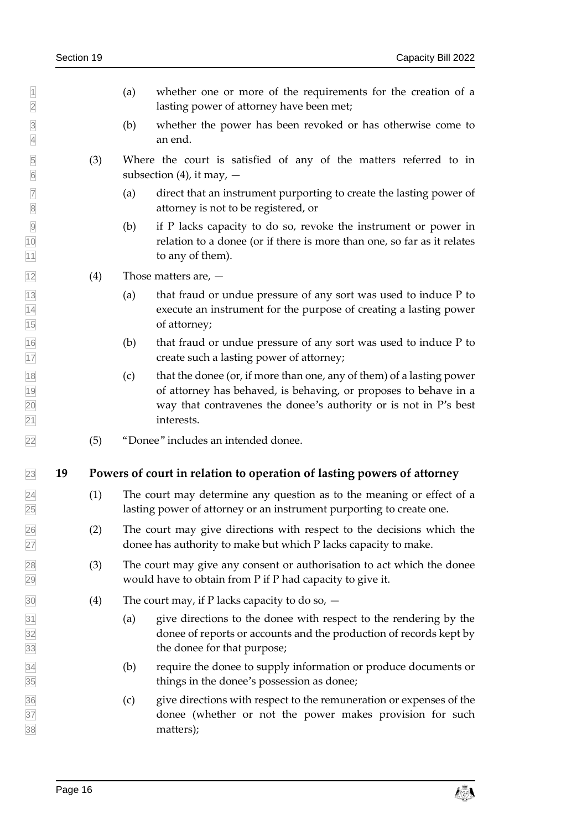- $\vert$  (a) whether one or more of the requirements for the creation of a lasting power of attorney have been met;
- (b) whether the power has been revoked or has otherwise come to an end.
- (3) Where the court is satisfied of any of the matters referred to in subsection (4), it may,  $-$
- 7 (a) direct that an instrument purporting to create the lasting power of attorney is not to be registered, or attorney is not to be registered, or
- (b) if P lacks capacity to do so, revoke the instrument or power in relation to a donee (or if there is more than one, so far as it relates 11 to any of them).
- <span id="page-21-2"></span> $\sqrt{12}$  (4) Those matters are,  $-$
- (a) that fraud or undue pressure of any sort was used to induce P to execute an instrument for the purpose of creating a lasting power of attorney;
- $\frac{16}{16}$  (b) that fraud or undue pressure of any sort was used to induce P to create such a lasting power of attorney;
- $\frac{18}{18}$  (c) that the donee (or, if more than one, any of them) of a lasting power of attorney has behaved, is behaving, or proposes to behave in a way that contravenes the donee's authority or is not in P's best interests.
- <span id="page-21-0"></span>(5) "Donee" includes an intended donee.

#### **19 Powers of court in relation to operation of lasting powers of attorney**

- <span id="page-21-1"></span> (1) The court may determine any question as to the meaning or effect of a lasting power of attorney or an instrument purporting to create one.
- (2) The court may give directions with respect to the decisions which the donee has authority to make but which P lacks capacity to make.
- (3) The court may give any consent or authorisation to act which the donee would have to obtain from P if P had capacity to give it.
- $\overline{30}$  (4) The court may, if P lacks capacity to do so,  $\overline{4}$
- (a) give directions to the donee with respect to the rendering by the donee of reports or accounts and the production of records kept by the donee for that purpose;
- (b) require the donee to supply information or produce documents or things in the donee's possession as donee;
- (c) give directions with respect to the remuneration or expenses of the donee (whether or not the power makes provision for such matters);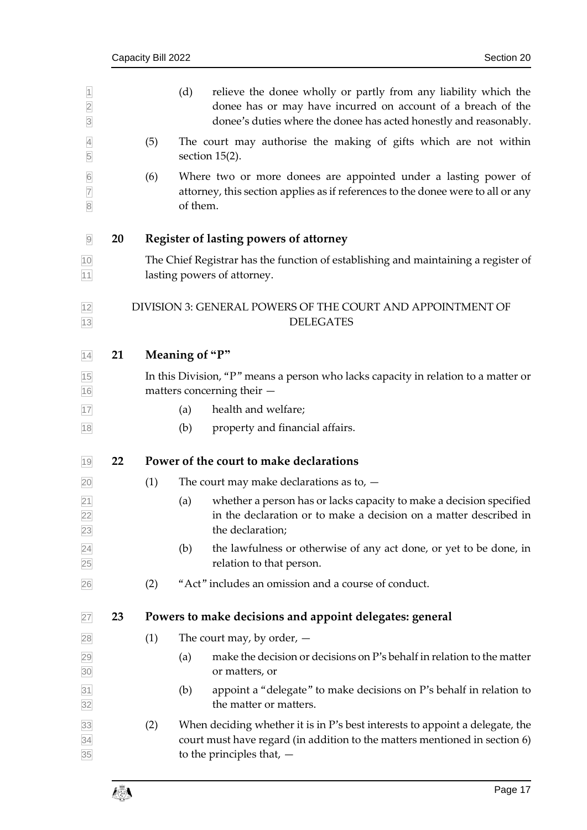<span id="page-22-5"></span><span id="page-22-4"></span><span id="page-22-3"></span><span id="page-22-2"></span><span id="page-22-1"></span><span id="page-22-0"></span>

| $\overline{1}$<br>$\overline{2}$<br>$\overline{3}$  |    |                                                                                                                   | (d)<br>relieve the donee wholly or partly from any liability which the<br>donee has or may have incurred on account of a breach of the<br>donee's duties where the donee has acted honestly and reasonably. |  |  |  |  |
|-----------------------------------------------------|----|-------------------------------------------------------------------------------------------------------------------|-------------------------------------------------------------------------------------------------------------------------------------------------------------------------------------------------------------|--|--|--|--|
| $\overline{4}$<br>5                                 |    | (5)                                                                                                               | The court may authorise the making of gifts which are not within<br>section $15(2)$ .                                                                                                                       |  |  |  |  |
| $6\overline{6}$<br>$\overline{7}$<br>$\overline{8}$ |    | (6)                                                                                                               | Where two or more donees are appointed under a lasting power of<br>attorney, this section applies as if references to the donee were to all or any<br>of them.                                              |  |  |  |  |
| $\overline{9}$                                      | 20 |                                                                                                                   | <b>Register of lasting powers of attorney</b>                                                                                                                                                               |  |  |  |  |
| 10<br>11                                            |    | The Chief Registrar has the function of establishing and maintaining a register of<br>lasting powers of attorney. |                                                                                                                                                                                                             |  |  |  |  |
| 12<br>13                                            |    |                                                                                                                   | DIVISION 3: GENERAL POWERS OF THE COURT AND APPOINTMENT OF<br><b>DELEGATES</b>                                                                                                                              |  |  |  |  |
| 14                                                  | 21 |                                                                                                                   | Meaning of "P"                                                                                                                                                                                              |  |  |  |  |
| 15<br>16                                            |    |                                                                                                                   | In this Division, "P" means a person who lacks capacity in relation to a matter or<br>matters concerning their -                                                                                            |  |  |  |  |
| 17                                                  |    |                                                                                                                   | health and welfare;<br>(a)                                                                                                                                                                                  |  |  |  |  |
| $18$                                                |    |                                                                                                                   | property and financial affairs.<br>(b)                                                                                                                                                                      |  |  |  |  |
| 19                                                  | 22 |                                                                                                                   | Power of the court to make declarations                                                                                                                                                                     |  |  |  |  |
| $\overline{20}$                                     |    | (1)                                                                                                               | The court may make declarations as to, $-$                                                                                                                                                                  |  |  |  |  |
| $\frac{21}{22}$<br>23                               |    |                                                                                                                   | whether a person has or lacks capacity to make a decision specified<br>(a)<br>in the declaration or to make a decision on a matter described in<br>the declaration;                                         |  |  |  |  |
| $\frac{24}{25}$                                     |    |                                                                                                                   | the lawfulness or otherwise of any act done, or yet to be done, in<br>(b)<br>relation to that person.                                                                                                       |  |  |  |  |
| 26                                                  |    | (2)                                                                                                               | "Act" includes an omission and a course of conduct.                                                                                                                                                         |  |  |  |  |
| 27                                                  | 23 |                                                                                                                   | Powers to make decisions and appoint delegates: general                                                                                                                                                     |  |  |  |  |
| 28                                                  |    | (1)                                                                                                               | The court may, by order, $-$                                                                                                                                                                                |  |  |  |  |
| 29<br>30                                            |    |                                                                                                                   | make the decision or decisions on P's behalf in relation to the matter<br>(a)<br>or matters, or                                                                                                             |  |  |  |  |
| $\frac{31}{32}$                                     |    |                                                                                                                   | appoint a "delegate" to make decisions on P's behalf in relation to<br>(b)<br>the matter or matters.                                                                                                        |  |  |  |  |
| $\frac{33}{34}$ $\frac{34}{35}$                     |    | (2)                                                                                                               | When deciding whether it is in P's best interests to appoint a delegate, the<br>court must have regard (in addition to the matters mentioned in section 6)<br>to the principles that, $-$                   |  |  |  |  |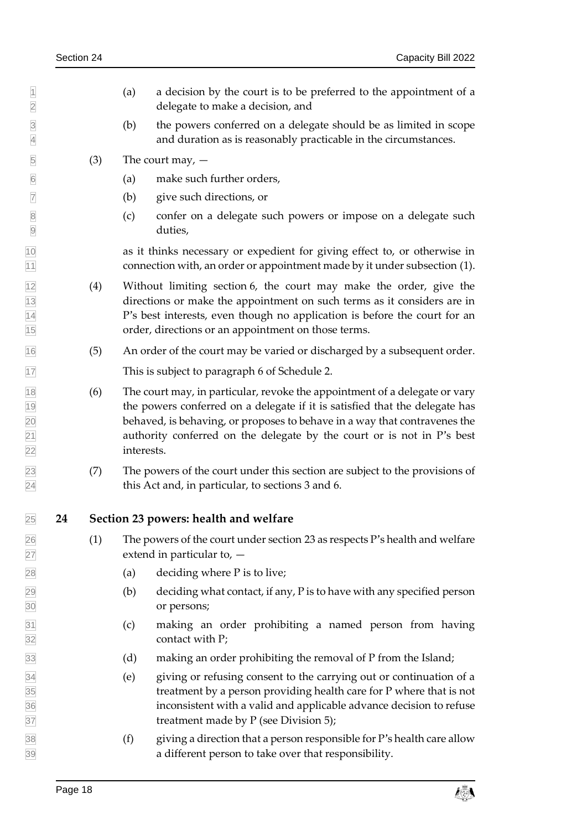<span id="page-23-2"></span><span id="page-23-1"></span><span id="page-23-0"></span> $\vert$  (a) a decision by the court is to be preferred to the appointment of a delegate to make a decision, and (b) the powers conferred on a delegate should be as limited in scope and duration as is reasonably practicable in the circumstances.  $\boxed{5}$  (3) The court may,  $-$  (a) make such further orders, (b) give such directions, or (c) confer on a delegate such powers or impose on a delegate such duties, as it thinks necessary or expedient for giving effect to, or otherwise in connection with, an order or appointment made by it under subsection (1). (4) Without limiting section [6,](#page-12-1) the court may make the order, give the directions or make the appointment on such terms as it considers are in P's best interests, even though no application is before the court for an order, directions or an appointment on those terms. (5) An order of the court may be varied or discharged by a subsequent order. This is subject to paragraph 6 of Schedule 2. (6) The court may, in particular, revoke the appointment of a delegate or vary the powers conferred on a delegate if it is satisfied that the delegate has behaved, is behaving, or proposes to behave in a way that contravenes the authority conferred on the delegate by the court or is not in P's best interests. (7) The powers of the court under this section are subject to the provisions of this Act and, in particular, to sections [3](#page-11-2) and [6.](#page-12-1) **24 Section 23 powers: health and welfare**  $\sqrt{26}$  (1) The powers of the court under section [23](#page-22-4) as respects P's health and welfare extend in particular to, — 28 (a) deciding where P is to live;  $\sqrt{29}$  (b) deciding what contact, if any, P is to have with any specified person or persons; (c) making an order prohibiting a named person from having contact with P; (d) making an order prohibiting the removal of P from the Island; (e) giving or refusing consent to the carrying out or continuation of a treatment by a person providing health care for P where that is not inconsistent with a valid and applicable advance decision to refuse treatment made by P (see Division 5);  $\overline{38}$  (f) giving a direction that a person responsible for P's health care allow a different person to take over that responsibility.

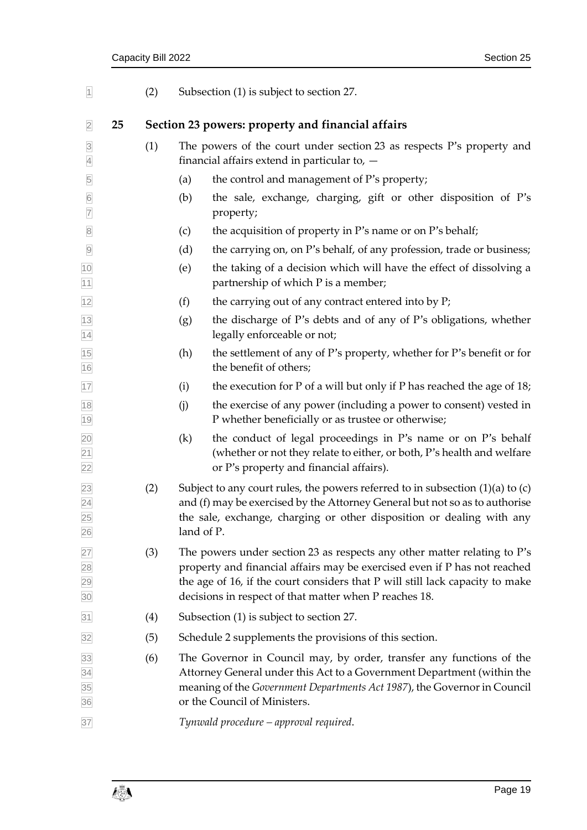<span id="page-24-1"></span><span id="page-24-0"></span>

| $\overline{1}$                                                                  |    | (2) |                                                   | Subsection (1) is subject to section 27.                                                                                                                                                                                                                                                         |  |  |  |
|---------------------------------------------------------------------------------|----|-----|---------------------------------------------------|--------------------------------------------------------------------------------------------------------------------------------------------------------------------------------------------------------------------------------------------------------------------------------------------------|--|--|--|
| $\overline{2}$                                                                  | 25 |     | Section 23 powers: property and financial affairs |                                                                                                                                                                                                                                                                                                  |  |  |  |
| $\overline{3}$<br>$\overline{4}$                                                |    | (1) |                                                   | The powers of the court under section 23 as respects P's property and<br>financial affairs extend in particular to, $-$                                                                                                                                                                          |  |  |  |
| 5                                                                               |    |     | (a)                                               | the control and management of P's property;                                                                                                                                                                                                                                                      |  |  |  |
| $6\overline{6}$<br>$\overline{7}$                                               |    |     | (b)                                               | the sale, exchange, charging, gift or other disposition of P's<br>property;                                                                                                                                                                                                                      |  |  |  |
| $\overline{\mathbf{8}}$                                                         |    |     | (c)                                               | the acquisition of property in P's name or on P's behalf;                                                                                                                                                                                                                                        |  |  |  |
| $\overline{9}$                                                                  |    |     | (d)                                               | the carrying on, on P's behalf, of any profession, trade or business;                                                                                                                                                                                                                            |  |  |  |
| 10<br> 11                                                                       |    |     | (e)                                               | the taking of a decision which will have the effect of dissolving a<br>partnership of which P is a member;                                                                                                                                                                                       |  |  |  |
| $ 12\rangle$                                                                    |    |     | (f)                                               | the carrying out of any contract entered into by P;                                                                                                                                                                                                                                              |  |  |  |
| 13<br>$\overline{14}$                                                           |    |     | (g)                                               | the discharge of P's debts and of any of P's obligations, whether<br>legally enforceable or not;                                                                                                                                                                                                 |  |  |  |
| 15<br>16                                                                        |    |     | (h)                                               | the settlement of any of P's property, whether for P's benefit or for<br>the benefit of others;                                                                                                                                                                                                  |  |  |  |
| 17                                                                              |    |     | (i)                                               | the execution for $P$ of a will but only if $P$ has reached the age of 18;                                                                                                                                                                                                                       |  |  |  |
| 18<br>19                                                                        |    |     | (i)                                               | the exercise of any power (including a power to consent) vested in<br>P whether beneficially or as trustee or otherwise;                                                                                                                                                                         |  |  |  |
| $\frac{20}{21}$<br>$\frac{22}{22}$                                              |    |     | (k)                                               | the conduct of legal proceedings in P's name or on P's behalf<br>(whether or not they relate to either, or both, P's health and welfare<br>or P's property and financial affairs).                                                                                                               |  |  |  |
| $\frac{23}{24}$<br>$\frac{25}{25}$<br>26                                        |    | (2) | land of P.                                        | Subject to any court rules, the powers referred to in subsection $(1)(a)$ to $(c)$<br>and (f) may be exercised by the Attorney General but not so as to authorise<br>the sale, exchange, charging or other disposition or dealing with any                                                       |  |  |  |
| 27<br>28<br>29<br>30                                                            |    | (3) |                                                   | The powers under section 23 as respects any other matter relating to P's<br>property and financial affairs may be exercised even if P has not reached<br>the age of 16, if the court considers that P will still lack capacity to make<br>decisions in respect of that matter when P reaches 18. |  |  |  |
| 31                                                                              |    | (4) |                                                   | Subsection (1) is subject to section 27.                                                                                                                                                                                                                                                         |  |  |  |
| 32                                                                              |    | (5) |                                                   | Schedule 2 supplements the provisions of this section.                                                                                                                                                                                                                                           |  |  |  |
| $\begin{array}{r} \hline 33 \\ \hline 34 \\ \hline 35 \\ \hline 36 \end{array}$ |    | (6) |                                                   | The Governor in Council may, by order, transfer any functions of the<br>Attorney General under this Act to a Government Department (within the<br>meaning of the Government Departments Act 1987), the Governor in Council<br>or the Council of Ministers.                                       |  |  |  |
| 37                                                                              |    |     |                                                   | Tynwald procedure – approval required.                                                                                                                                                                                                                                                           |  |  |  |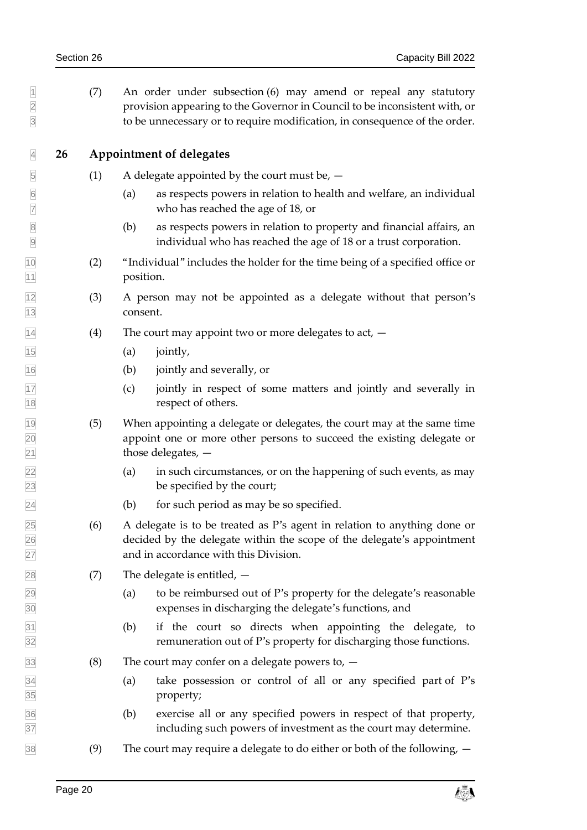<span id="page-25-0"></span>

| $\overline{1}$<br>$\overline{2}$<br>$\overline{3}$ |    | (7) | An order under subsection (6) may amend or repeal any statutory<br>provision appearing to the Governor in Council to be inconsistent with, or<br>to be unnecessary or to require modification, in consequence of the order. |
|----------------------------------------------------|----|-----|-----------------------------------------------------------------------------------------------------------------------------------------------------------------------------------------------------------------------------|
| $\overline{4}$                                     | 26 |     | <b>Appointment of delegates</b>                                                                                                                                                                                             |
| $\overline{5}$                                     |    | (1) | A delegate appointed by the court must be, $-$                                                                                                                                                                              |
| $6 \overline{6}$<br>$\overline{7}$                 |    |     | as respects powers in relation to health and welfare, an individual<br>(a)<br>who has reached the age of 18, or                                                                                                             |
| $\overline{8}$<br>$\overline{9}$                   |    |     | as respects powers in relation to property and financial affairs, an<br>(b)<br>individual who has reached the age of 18 or a trust corporation.                                                                             |
| 10<br>$\overline{11}$                              |    | (2) | "Individual" includes the holder for the time being of a specified office or<br>position.                                                                                                                                   |
| $\frac{12}{2}$<br>13                               |    | (3) | A person may not be appointed as a delegate without that person's<br>consent.                                                                                                                                               |
| 14                                                 |    | (4) | The court may appoint two or more delegates to act, $-$                                                                                                                                                                     |
| 15                                                 |    |     | jointly,<br>(a)                                                                                                                                                                                                             |
| 16                                                 |    |     | jointly and severally, or<br>(b)                                                                                                                                                                                            |
| $\frac{17}{18}$                                    |    |     | jointly in respect of some matters and jointly and severally in<br>(c)<br>respect of others.                                                                                                                                |
| 19<br>20<br>21<br>22<br>23                         |    | (5) | When appointing a delegate or delegates, the court may at the same time<br>appoint one or more other persons to succeed the existing delegate or<br>those delegates, $-$                                                    |
|                                                    |    |     | in such circumstances, or on the happening of such events, as may<br>(a)<br>be specified by the court;                                                                                                                      |
| 24                                                 |    |     | (b)<br>for such period as may be so specified.                                                                                                                                                                              |
| 25<br>26<br>27                                     |    | (6) | A delegate is to be treated as P's agent in relation to anything done or<br>decided by the delegate within the scope of the delegate's appointment<br>and in accordance with this Division.                                 |
| 28                                                 |    | (7) | The delegate is entitled, $-$                                                                                                                                                                                               |
| $\frac{29}{30}$                                    |    |     | to be reimbursed out of P's property for the delegate's reasonable<br>(a)<br>expenses in discharging the delegate's functions, and                                                                                          |
| $\frac{31}{32}$                                    |    |     | (b)<br>if the court so directs when appointing the delegate, to<br>remuneration out of P's property for discharging those functions.                                                                                        |
| 33                                                 |    | (8) | The court may confer on a delegate powers to, $-$                                                                                                                                                                           |
| $\frac{34}{35}$                                    |    |     | take possession or control of all or any specified part of P's<br>(a)<br>property;                                                                                                                                          |
| $\frac{36}{37}$                                    |    |     | exercise all or any specified powers in respect of that property,<br>(b)<br>including such powers of investment as the court may determine.                                                                                 |
| 38                                                 |    | (9) | The court may require a delegate to do either or both of the following, $-$                                                                                                                                                 |
|                                                    |    |     |                                                                                                                                                                                                                             |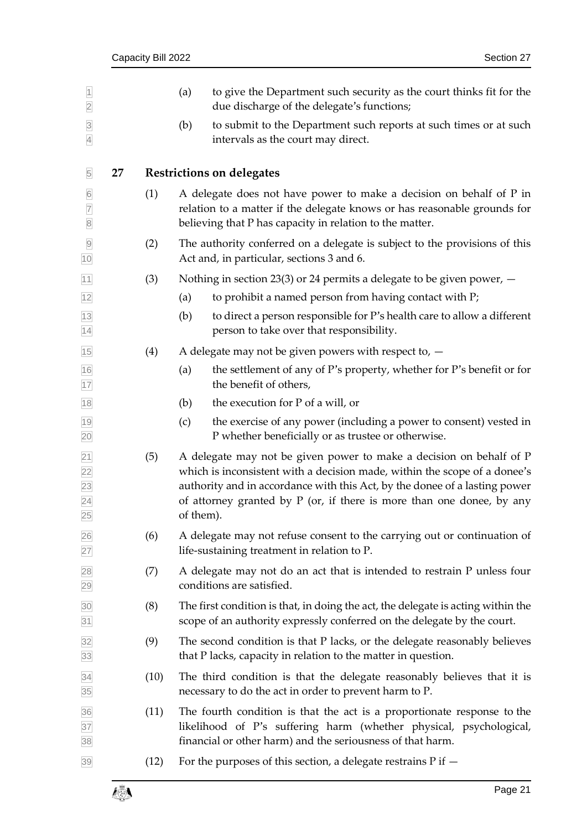<span id="page-26-1"></span><span id="page-26-0"></span>

|                                                                   |    | Capacity Bill 2022 |     |                                                                                                                                                                                                                                                                                                                        | Section 27 |
|-------------------------------------------------------------------|----|--------------------|-----|------------------------------------------------------------------------------------------------------------------------------------------------------------------------------------------------------------------------------------------------------------------------------------------------------------------------|------------|
| $\overline{1}$<br>$\overline{2}$                                  |    |                    | (a) | to give the Department such security as the court thinks fit for the<br>due discharge of the delegate's functions;                                                                                                                                                                                                     |            |
| $\overline{3}$<br>$\overline{4}$                                  |    |                    | (b) | to submit to the Department such reports at such times or at such<br>intervals as the court may direct.                                                                                                                                                                                                                |            |
| $\overline{5}$                                                    | 27 |                    |     | <b>Restrictions on delegates</b>                                                                                                                                                                                                                                                                                       |            |
| $6\overline{6}$<br>$\overline{7}$<br>$\overline{8}$               |    | (1)                |     | A delegate does not have power to make a decision on behalf of P in<br>relation to a matter if the delegate knows or has reasonable grounds for<br>believing that P has capacity in relation to the matter.                                                                                                            |            |
| $\overline{9}$<br>10                                              |    | (2)                |     | The authority conferred on a delegate is subject to the provisions of this<br>Act and, in particular, sections 3 and 6.                                                                                                                                                                                                |            |
| 11                                                                |    | (3)                |     | Nothing in section 23(3) or 24 permits a delegate to be given power, $-$                                                                                                                                                                                                                                               |            |
| 12                                                                |    |                    | (a) | to prohibit a named person from having contact with P;                                                                                                                                                                                                                                                                 |            |
| 13<br>14                                                          |    |                    | (b) | to direct a person responsible for P's health care to allow a different<br>person to take over that responsibility.                                                                                                                                                                                                    |            |
| 15                                                                |    | (4)                |     | A delegate may not be given powers with respect to, $-$                                                                                                                                                                                                                                                                |            |
| 16<br>17                                                          |    |                    | (a) | the settlement of any of P's property, whether for P's benefit or for<br>the benefit of others,                                                                                                                                                                                                                        |            |
| 18                                                                |    |                    | (b) | the execution for P of a will, or                                                                                                                                                                                                                                                                                      |            |
| 19<br>20                                                          |    |                    | (c) | the exercise of any power (including a power to consent) vested in<br>P whether beneficially or as trustee or otherwise.                                                                                                                                                                                               |            |
| $\overline{21}$<br>22<br>23<br>$\overline{24}$<br>$\overline{25}$ |    | (5)                |     | A delegate may not be given power to make a decision on behalf of P<br>which is inconsistent with a decision made, within the scope of a donee's<br>authority and in accordance with this Act, by the donee of a lasting power<br>of attorney granted by $P$ (or, if there is more than one donee, by any<br>of them). |            |
| 26<br>27                                                          |    | (6)                |     | A delegate may not refuse consent to the carrying out or continuation of<br>life-sustaining treatment in relation to P.                                                                                                                                                                                                |            |
| 28<br>29                                                          |    | (7)                |     | A delegate may not do an act that is intended to restrain P unless four<br>conditions are satisfied.                                                                                                                                                                                                                   |            |
| 30<br>31                                                          |    | (8)                |     | The first condition is that, in doing the act, the delegate is acting within the<br>scope of an authority expressly conferred on the delegate by the court.                                                                                                                                                            |            |
| 32<br>33                                                          |    | (9)                |     | The second condition is that P lacks, or the delegate reasonably believes<br>that P lacks, capacity in relation to the matter in question.                                                                                                                                                                             |            |
| 34<br>35                                                          |    | (10)               |     | The third condition is that the delegate reasonably believes that it is<br>necessary to do the act in order to prevent harm to P.                                                                                                                                                                                      |            |
| 36<br>37<br>38                                                    |    | (11)               |     | The fourth condition is that the act is a proportionate response to the<br>likelihood of P's suffering harm (whether physical, psychological,<br>financial or other harm) and the seriousness of that harm.                                                                                                            |            |
| 39                                                                |    | (12)               |     | For the purposes of this section, a delegate restrains $P$ if $-$                                                                                                                                                                                                                                                      |            |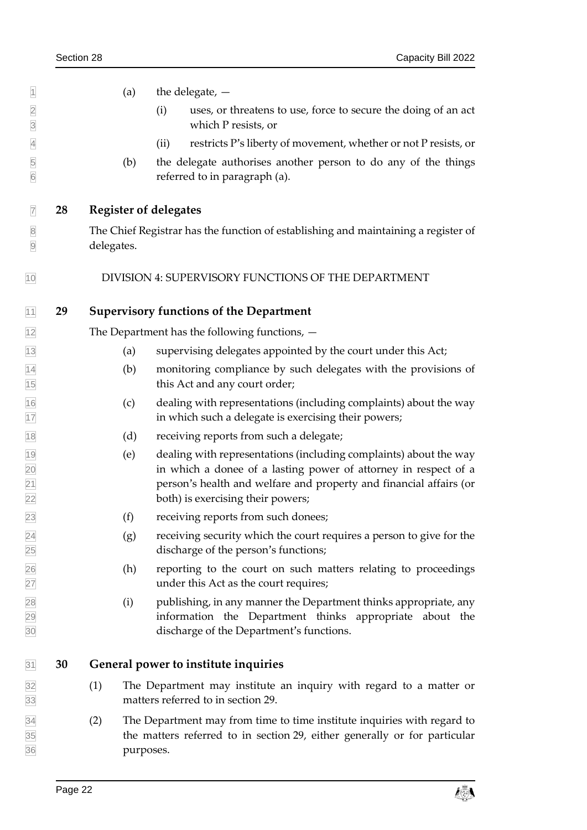<span id="page-27-2"></span><span id="page-27-1"></span><span id="page-27-0"></span>

| $\vert$ 1                        |    | (a)                          | the delegate, $-$                                                                                                                                                                                                                               |
|----------------------------------|----|------------------------------|-------------------------------------------------------------------------------------------------------------------------------------------------------------------------------------------------------------------------------------------------|
| $\overline{2}$<br>$\overline{3}$ |    |                              | uses, or threatens to use, force to secure the doing of an act<br>(i)<br>which P resists, or                                                                                                                                                    |
| $\overline{4}$                   |    |                              | restricts P's liberty of movement, whether or not P resists, or<br>(ii)                                                                                                                                                                         |
| 5<br>$6\overline{6}$             |    | (b)                          | the delegate authorises another person to do any of the things<br>referred to in paragraph (a).                                                                                                                                                 |
| $\overline{7}$                   | 28 | <b>Register of delegates</b> |                                                                                                                                                                                                                                                 |
| $\overline{8}$<br>$\overline{9}$ |    | delegates.                   | The Chief Registrar has the function of establishing and maintaining a register of                                                                                                                                                              |
| 10                               |    |                              | DIVISION 4: SUPERVISORY FUNCTIONS OF THE DEPARTMENT                                                                                                                                                                                             |
| 11                               | 29 |                              | <b>Supervisory functions of the Department</b>                                                                                                                                                                                                  |
| 12                               |    |                              | The Department has the following functions, $-$                                                                                                                                                                                                 |
| 13                               |    | (a)                          | supervising delegates appointed by the court under this Act;                                                                                                                                                                                    |
| $\frac{14}{15}$                  |    | (b)                          | monitoring compliance by such delegates with the provisions of<br>this Act and any court order;                                                                                                                                                 |
| $\frac{16}{17}$                  |    | (c)                          | dealing with representations (including complaints) about the way<br>in which such a delegate is exercising their powers;                                                                                                                       |
| $\overline{18}$                  |    | (d)                          | receiving reports from such a delegate;                                                                                                                                                                                                         |
| 19<br>20<br>21<br>22             |    | (e)                          | dealing with representations (including complaints) about the way<br>in which a donee of a lasting power of attorney in respect of a<br>person's health and welfare and property and financial affairs (or<br>both) is exercising their powers; |
| 23                               |    | (f)                          | receiving reports from such donees;                                                                                                                                                                                                             |
| 24<br>25                         |    | (g)                          | receiving security which the court requires a person to give for the<br>discharge of the person's functions;                                                                                                                                    |
|                                  |    | (h)                          | reporting to the court on such matters relating to proceedings<br>under this Act as the court requires;                                                                                                                                         |
| 26<br>27<br>28<br>29<br>30       |    | (i)                          | publishing, in any manner the Department thinks appropriate, any<br>information the Department thinks appropriate about the<br>discharge of the Department's functions.                                                                         |
| 31                               | 30 |                              | General power to institute inquiries                                                                                                                                                                                                            |
| $\frac{32}{33}$                  |    | (1)                          | The Department may institute an inquiry with regard to a matter or<br>matters referred to in section 29.                                                                                                                                        |
| 34<br>35<br>36                   |    | (2)<br>purposes.             | The Department may from time to time institute inquiries with regard to<br>the matters referred to in section 29, either generally or for particular                                                                                            |

<span id="page-27-3"></span>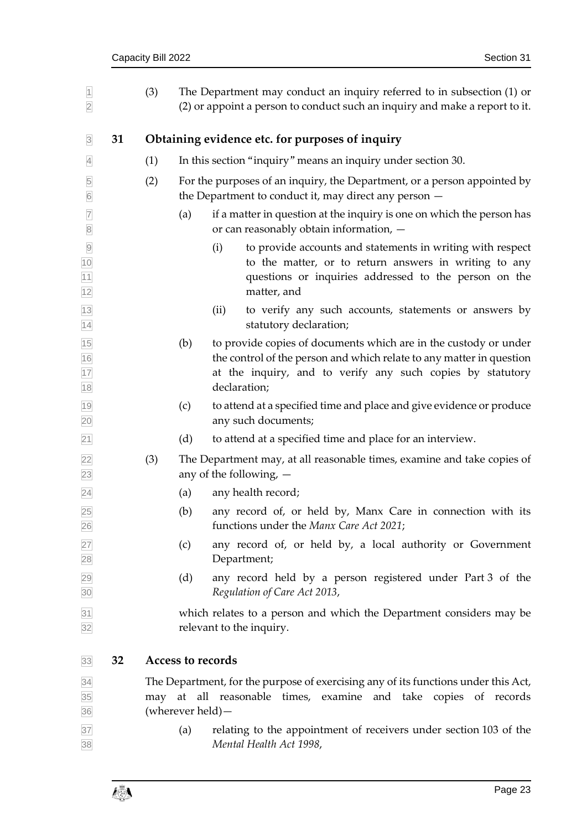<span id="page-28-1"></span><span id="page-28-0"></span>

| $\overline{1}$<br>$\overline{2}$   |    | (3) |                          | The Department may conduct an inquiry referred to in subsection (1) or<br>(2) or appoint a person to conduct such an inquiry and make a report to it.                                                                  |
|------------------------------------|----|-----|--------------------------|------------------------------------------------------------------------------------------------------------------------------------------------------------------------------------------------------------------------|
| $\overline{\mathbf{3}}$            | 31 |     |                          | Obtaining evidence etc. for purposes of inquiry                                                                                                                                                                        |
| $\overline{4}$                     |    | (1) |                          | In this section "inquiry" means an inquiry under section 30.                                                                                                                                                           |
| 5<br>$6\overline{6}$               |    | (2) |                          | For the purposes of an inquiry, the Department, or a person appointed by<br>the Department to conduct it, may direct any person $-$                                                                                    |
| $\overline{7}$<br>$\overline{8}$   |    |     | (a)                      | if a matter in question at the inquiry is one on which the person has<br>or can reasonably obtain information, -                                                                                                       |
| $\overline{9}$<br>10<br>11<br>12   |    |     |                          | (i)<br>to provide accounts and statements in writing with respect<br>to the matter, or to return answers in writing to any<br>questions or inquiries addressed to the person on the<br>matter, and                     |
| 13<br>14                           |    |     |                          | (ii)<br>to verify any such accounts, statements or answers by<br>statutory declaration;                                                                                                                                |
| $\frac{15}{16}$<br>$\frac{17}{18}$ |    |     | (b)                      | to provide copies of documents which are in the custody or under<br>the control of the person and which relate to any matter in question<br>at the inquiry, and to verify any such copies by statutory<br>declaration; |
| 19<br>20                           |    |     | (c)                      | to attend at a specified time and place and give evidence or produce<br>any such documents;                                                                                                                            |
| 21                                 |    |     | (d)                      | to attend at a specified time and place for an interview.                                                                                                                                                              |
| 22<br>23                           |    | (3) |                          | The Department may, at all reasonable times, examine and take copies of<br>any of the following, $-$                                                                                                                   |
| $\overline{24}$                    |    |     | (a)                      | any health record;                                                                                                                                                                                                     |
| 25<br>26                           |    |     | (b)                      | any record of, or held by, Manx Care in connection with its<br>functions under the Manx Care Act 2021;                                                                                                                 |
| 27<br>28                           |    |     | (c)                      | any record of, or held by, a local authority or Government<br>Department;                                                                                                                                              |
| 29<br>30                           |    |     | (d)                      | any record held by a person registered under Part 3 of the<br>Regulation of Care Act 2013,                                                                                                                             |
| 31<br>32                           |    |     |                          | which relates to a person and which the Department considers may be<br>relevant to the inquiry.                                                                                                                        |
| 33                                 | 32 |     | <b>Access to records</b> |                                                                                                                                                                                                                        |
| 34<br>35<br>36                     |    |     | (wherever held) –        | The Department, for the purpose of exercising any of its functions under this Act,<br>may at all reasonable times, examine and take copies of records                                                                  |
| 37<br>38                           |    |     | (a)                      | relating to the appointment of receivers under section 103 of the<br>Mental Health Act 1998,                                                                                                                           |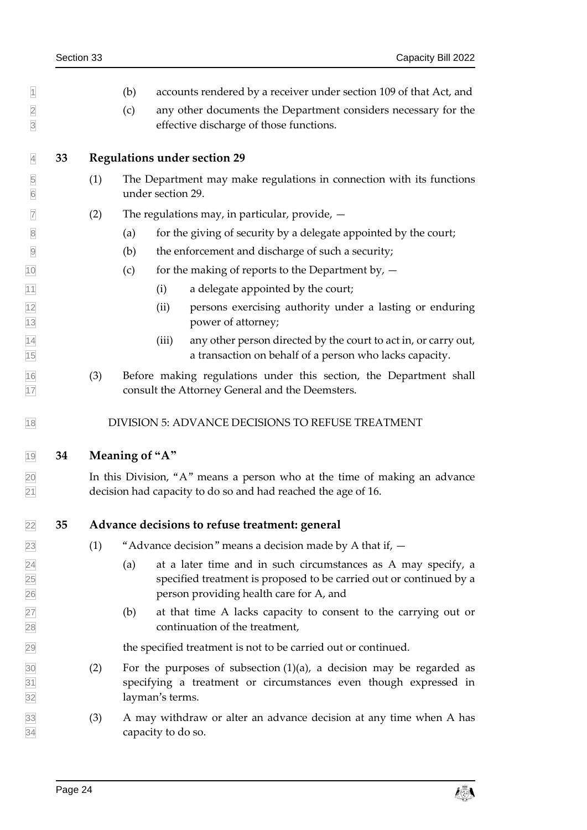- <span id="page-29-0"></span> $\vert \vert$  (b) accounts rendered by a receiver under section 109 of that Act, and (c) any other documents the Department considers necessary for the effective discharge of those functions. **33 Regulations under section 29** (1) The Department may make regulations in connection with its functions under section [29.](#page-27-2)  $\triangledown$  (2) The regulations may, in particular, provide,  $\rightarrow$  $\boxed{8}$  (a) for the giving of security by a delegate appointed by the court; (b) the enforcement and discharge of such a security;  $\overline{10}$  (c) for the making of reports to the Department by,  $\overline{10}$  $\begin{array}{cc} \hline \hline \hline \end{array}$  (i) a delegate appointed by the court; (ii) persons exercising authority under a lasting or enduring power of attorney; (iii) any other person directed by the court to act in, or carry out, a transaction on behalf of a person who lacks capacity. (3) Before making regulations under this section, the Department shall consult the Attorney General and the Deemsters. 18 DIVISION 5: ADVANCE DECISIONS TO REFUSE TREATMENT **34 Meaning of "A"** In this Division, "A" means a person who at the time of making an advance decision had capacity to do so and had reached the age of 16. **35 Advance decisions to refuse treatment: general**  $\sqrt{23}$  (1) "Advance decision" means a decision made by A that if,  $\rightarrow$  $\overline{24}$  (a) at a later time and in such circumstances as A may specify, a specified treatment is proposed to be carried out or continued by a person providing health care for A, and (b) at that time A lacks capacity to consent to the carrying out or continuation of the treatment, the specified treatment is not to be carried out or continued.  $\overline{30}$  (2) For the purposes of subsection (1)(a), a decision may be regarded as specifying a treatment or circumstances even though expressed in layman's terms.
- <span id="page-29-4"></span><span id="page-29-3"></span><span id="page-29-2"></span><span id="page-29-1"></span> (3) A may withdraw or alter an advance decision at any time when A has capacity to do so.

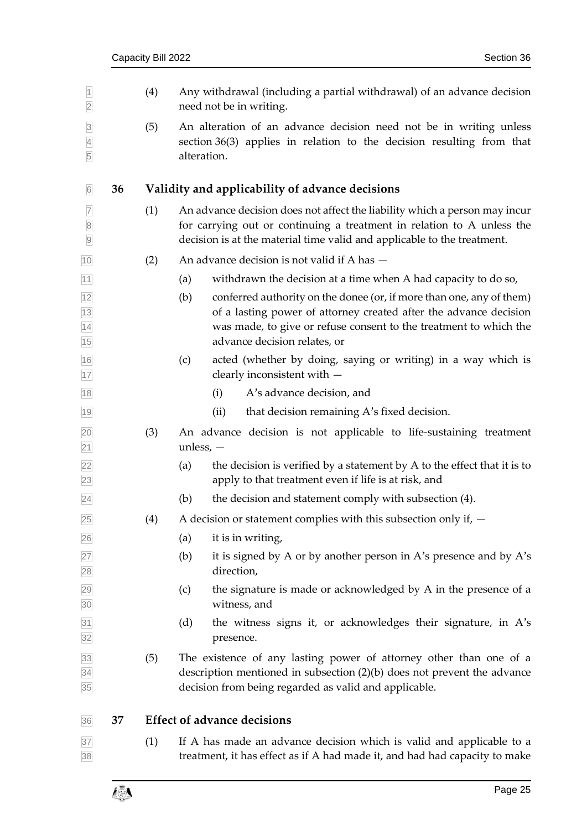<span id="page-30-2"></span><span id="page-30-1"></span><span id="page-30-0"></span>

| $\overline{1}$<br>$\overline{2}$                |    | (4) | Any withdrawal (including a partial withdrawal) of an advance decision<br>need not be in writing.                                                                                                                                                     |
|-------------------------------------------------|----|-----|-------------------------------------------------------------------------------------------------------------------------------------------------------------------------------------------------------------------------------------------------------|
| $\overline{3}$<br>$\overline{4}$<br>5           |    | (5) | An alteration of an advance decision need not be in writing unless<br>section 36(3) applies in relation to the decision resulting from that<br>alteration.                                                                                            |
| 6                                               | 36 |     | Validity and applicability of advance decisions                                                                                                                                                                                                       |
| $\overline{7}$<br>$\boxed{8}$<br>$\overline{9}$ |    | (1) | An advance decision does not affect the liability which a person may incur<br>for carrying out or continuing a treatment in relation to A unless the<br>decision is at the material time valid and applicable to the treatment.                       |
| 10                                              |    | (2) | An advance decision is not valid if A has -                                                                                                                                                                                                           |
| 11                                              |    |     | (a)<br>withdrawn the decision at a time when A had capacity to do so,                                                                                                                                                                                 |
| $\frac{12}{13}$<br>$\frac{14}{15}$              |    |     | conferred authority on the donee (or, if more than one, any of them)<br>(b)<br>of a lasting power of attorney created after the advance decision<br>was made, to give or refuse consent to the treatment to which the<br>advance decision relates, or |
| 16<br>17                                        |    |     | acted (whether by doing, saying or writing) in a way which is<br>(c)<br>clearly inconsistent with -                                                                                                                                                   |
| 18                                              |    |     | A's advance decision, and<br>(i)                                                                                                                                                                                                                      |
| 19                                              |    |     | (ii)<br>that decision remaining A's fixed decision.                                                                                                                                                                                                   |
| $\frac{20}{21}$                                 |    | (3) | An advance decision is not applicable to life-sustaining treatment<br>unless, $-$                                                                                                                                                                     |
| $\overline{22}$<br>23                           |    |     | the decision is verified by a statement by A to the effect that it is to<br>(a)<br>apply to that treatment even if life is at risk, and                                                                                                               |
| $\overline{24}$                                 |    |     | (b)<br>the decision and statement comply with subsection (4).                                                                                                                                                                                         |
| 25                                              |    | (4) | A decision or statement complies with this subsection only if, $-$                                                                                                                                                                                    |
| 26                                              |    |     | it is in writing,<br>(a)                                                                                                                                                                                                                              |
| $\frac{27}{28}$                                 |    |     | it is signed by A or by another person in A's presence and by A's<br>(b)<br>direction,                                                                                                                                                                |
| $\frac{29}{30}$                                 |    |     | the signature is made or acknowledged by A in the presence of a<br>(c)<br>witness, and                                                                                                                                                                |
| 31<br>32                                        |    |     | the witness signs it, or acknowledges their signature, in A's<br>(d)<br>presence.                                                                                                                                                                     |
| $\frac{33}{34}$<br>35                           |    | (5) | The existence of any lasting power of attorney other than one of a<br>description mentioned in subsection $(2)(b)$ does not prevent the advance<br>decision from being regarded as valid and applicable.                                              |
| 36                                              | 37 |     | <b>Effect of advance decisions</b>                                                                                                                                                                                                                    |
| 37<br>38                                        |    | (1) | If A has made an advance decision which is valid and applicable to a<br>treatment, it has effect as if A had made it, and had had capacity to make                                                                                                    |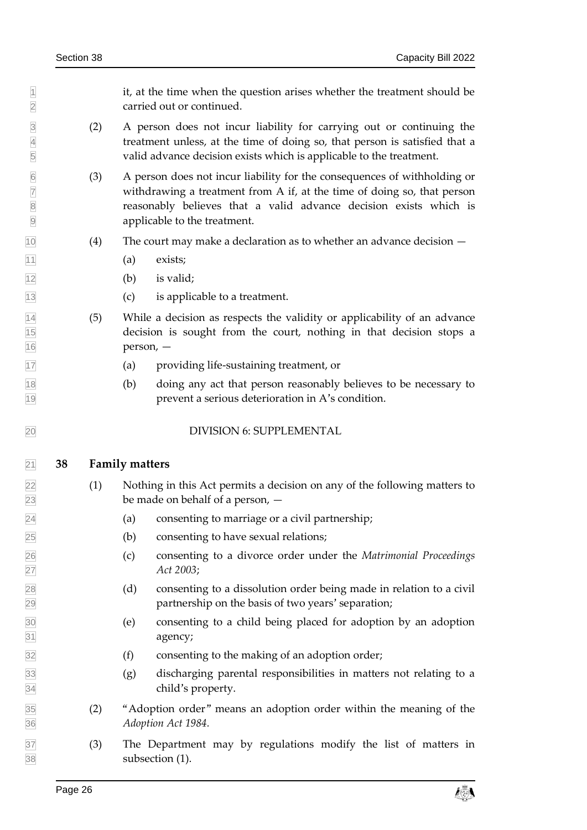$\mathbb{1}$  it, at the time when the question arises whether the treatment should be carried out or continued.

- (2) A person does not incur liability for carrying out or continuing the treatment unless, at the time of doing so, that person is satisfied that a valid advance decision exists which is applicable to the treatment.
- (3) A person does not incur liability for the consequences of withholding or withdrawing a treatment from A if, at the time of doing so, that person reasonably believes that a valid advance decision exists which is applicable to the treatment.
- (4) The court may make a declaration as to whether an advance decision —
- $\boxed{11}$  (a) exists;
- $\sqrt{12}$  (b) is valid:
- (c) is applicable to a treatment.
- $\overline{14}$  (5) While a decision as respects the validity or applicability of an advance decision is sought from the court, nothing in that decision stops a  $|16|$  person,  $-$
- (a) providing life-sustaining treatment, or
- (b) doing any act that person reasonably believes to be necessary to prevent a serious deterioration in A's condition.

#### <span id="page-31-1"></span><span id="page-31-0"></span>DIVISION 6: SUPPLEMENTAL

#### **38 Family matters**

- (1) Nothing in this Act permits a decision on any of the following matters to be made on behalf of a person, —
- (a) consenting to marriage or a civil partnership;
- (b) consenting to have sexual relations;
- (c) consenting to a divorce order under the *Matrimonial Proceedings Act 2003*;
- (d) consenting to a dissolution order being made in relation to a civil partnership on the basis of two years' separation;
- (e) consenting to a child being placed for adoption by an adoption agency;
- $\overline{32}$  (f) consenting to the making of an adoption order;
- (g) discharging parental responsibilities in matters not relating to a child's property.
- (2) "Adoption order" means an adoption order within the meaning of the *Adoption Act 1984.*
- (3) The Department may by regulations modify the list of matters in subsection (1).

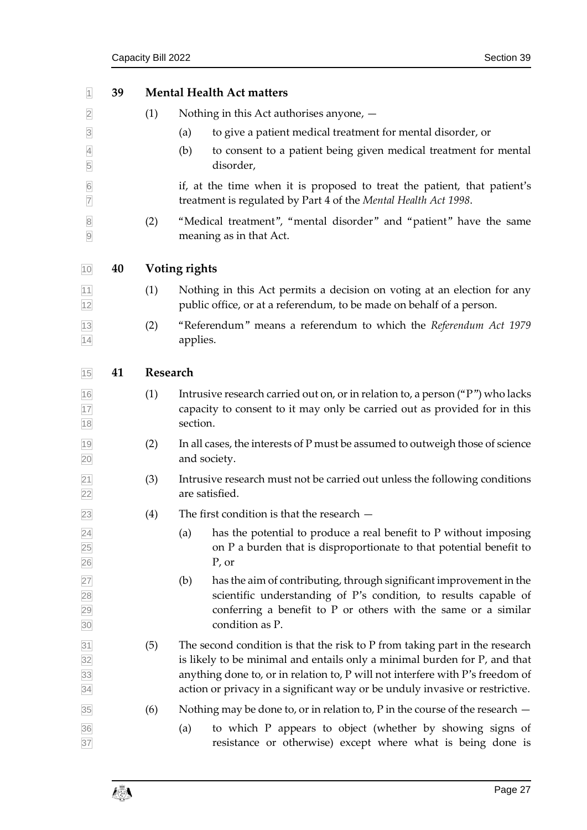<span id="page-32-2"></span><span id="page-32-1"></span><span id="page-32-0"></span>

| $\overline{1}$                                        | 39 |          | <b>Mental Health Act matters</b>                                                                                                                                                                                                                                                                                          |  |  |  |  |
|-------------------------------------------------------|----|----------|---------------------------------------------------------------------------------------------------------------------------------------------------------------------------------------------------------------------------------------------------------------------------------------------------------------------------|--|--|--|--|
| $\overline{2}$                                        |    | (1)      | Nothing in this Act authorises anyone, -                                                                                                                                                                                                                                                                                  |  |  |  |  |
| $\overline{3}$                                        |    |          | to give a patient medical treatment for mental disorder, or<br>(a)                                                                                                                                                                                                                                                        |  |  |  |  |
| $\overline{4}$<br>5                                   |    |          | (b)<br>to consent to a patient being given medical treatment for mental<br>disorder,                                                                                                                                                                                                                                      |  |  |  |  |
| $6\overline{6}$<br>$\overline{7}$                     |    |          | if, at the time when it is proposed to treat the patient, that patient's<br>treatment is regulated by Part 4 of the Mental Health Act 1998.                                                                                                                                                                               |  |  |  |  |
| $\overline{\mathbf{8}}$<br>$\overline{9}$             |    | (2)      | "Medical treatment", "mental disorder" and "patient" have the same<br>meaning as in that Act.                                                                                                                                                                                                                             |  |  |  |  |
| 10                                                    | 40 |          | Voting rights                                                                                                                                                                                                                                                                                                             |  |  |  |  |
| $\frac{11}{12}$                                       |    | (1)      | Nothing in this Act permits a decision on voting at an election for any<br>public office, or at a referendum, to be made on behalf of a person.                                                                                                                                                                           |  |  |  |  |
| $\frac{13}{14}$                                       |    | (2)      | "Referendum" means a referendum to which the Referendum Act 1979<br>applies.                                                                                                                                                                                                                                              |  |  |  |  |
| 15                                                    | 41 | Research |                                                                                                                                                                                                                                                                                                                           |  |  |  |  |
| $\frac{16}{17}$<br>$\frac{17}{18}$                    |    | (1)      | Intrusive research carried out on, or in relation to, a person ("P") who lacks<br>capacity to consent to it may only be carried out as provided for in this<br>section.                                                                                                                                                   |  |  |  |  |
| $\frac{19}{20}$                                       |    | (2)      | In all cases, the interests of P must be assumed to outweigh those of science<br>and society.                                                                                                                                                                                                                             |  |  |  |  |
| $\frac{21}{22}$                                       |    | (3)      | Intrusive research must not be carried out unless the following conditions<br>are satisfied.                                                                                                                                                                                                                              |  |  |  |  |
| 23                                                    |    | (4)      | The first condition is that the research $-$                                                                                                                                                                                                                                                                              |  |  |  |  |
|                                                       |    |          | has the potential to produce a real benefit to P without imposing<br>(a)<br>on P a burden that is disproportionate to that potential benefit to<br>$P$ , or                                                                                                                                                               |  |  |  |  |
| 24 25 26 27 28 29 30                                  |    |          | has the aim of contributing, through significant improvement in the<br>(b)<br>scientific understanding of P's condition, to results capable of<br>conferring a benefit to $P$ or others with the same or a similar<br>condition as P.                                                                                     |  |  |  |  |
| $\frac{31}{32}$<br>$\frac{32}{33}$<br>$\frac{33}{34}$ |    | (5)      | The second condition is that the risk to P from taking part in the research<br>is likely to be minimal and entails only a minimal burden for P, and that<br>anything done to, or in relation to, P will not interfere with P's freedom of<br>action or privacy in a significant way or be unduly invasive or restrictive. |  |  |  |  |
| 35                                                    |    | (6)      | Nothing may be done to, or in relation to, $P$ in the course of the research $-$                                                                                                                                                                                                                                          |  |  |  |  |
| 36<br>37                                              |    |          | to which P appears to object (whether by showing signs of<br>(a)<br>resistance or otherwise) except where what is being done is                                                                                                                                                                                           |  |  |  |  |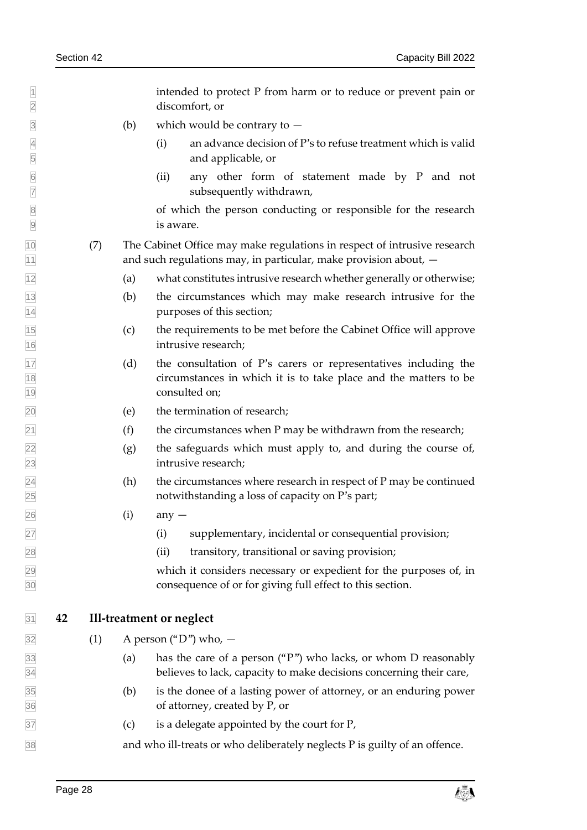intended to protect P from harm or to reduce or prevent pain or discomfort, or

- $\boxed{3}$  (b) which would be contrary to  $-$
- (i) an advance decision of P's to refuse treatment which is valid and applicable, or
- (ii) any other form of statement made by P and not subsequently withdrawn, subsequently withdrawn,

 of which the person conducting or responsible for the research is aware.

- (7) The Cabinet Office may make regulations in respect of intrusive research  $\frac{1}{11}$  and such regulations may, in particular, make provision about,  $\frac{1}{11}$
- (a) what constitutes intrusive research whether generally or otherwise;
- (b) the circumstances which may make research intrusive for the purposes of this section;
- (c) the requirements to be met before the Cabinet Office will approve intrusive research;
- $\overline{17}$  (d) the consultation of P's carers or representatives including the circumstances in which it is to take place and the matters to be consulted on;
- (e) the termination of research;
- $\boxed{21}$  (f) the circumstances when P may be withdrawn from the research;
- $\sqrt{22}$  (g) the safeguards which must apply to, and during the course of, intrusive research;
- $\sqrt{24}$  (h) the circumstances where research in respect of P may be continued notwithstanding a loss of capacity on P's part;
- $\sqrt{26}$  (i) any  $-$
- (i) supplementary, incidental or consequential provision;
- (ii) transitory, transitional or saving provision;

 which it considers necessary or expedient for the purposes of, in consequence of or for giving full effect to this section.

- <span id="page-33-0"></span>**42 Ill-treatment or neglect**
- $\boxed{32}$  (1) A person ("D") who,  $-$
- (a) has the care of a person ("P") who lacks, or whom D reasonably believes to lack, capacity to make decisions concerning their care,
- (b) is the donee of a lasting power of attorney, or an enduring power of attorney, created by P, or
- $\overline{37}$  (c) is a delegate appointed by the court for P,

and who ill-treats or who deliberately neglects P is guilty of an offence.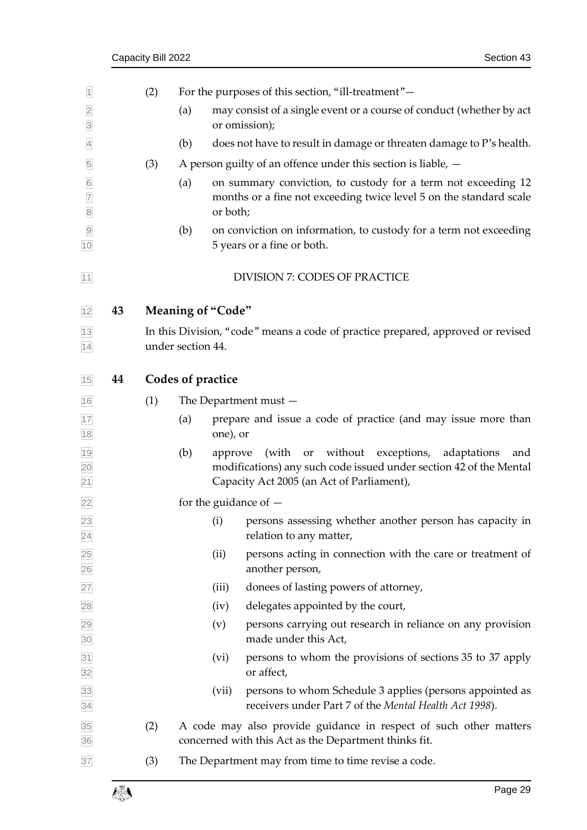<span id="page-34-2"></span><span id="page-34-1"></span><span id="page-34-0"></span>

| $\vert$ 1                        |    | (2) |                          |          | For the purposes of this section, "ill-treatment"-                                                                                                                             |
|----------------------------------|----|-----|--------------------------|----------|--------------------------------------------------------------------------------------------------------------------------------------------------------------------------------|
| $\overline{2}$<br>$\overline{3}$ |    |     | (a)                      |          | may consist of a single event or a course of conduct (whether by act<br>or omission);                                                                                          |
| $\overline{4}$                   |    |     | (b)                      |          | does not have to result in damage or threaten damage to P's health.                                                                                                            |
| 5                                |    | (3) |                          |          | A person guilty of an offence under this section is liable, $-$                                                                                                                |
| $6\overline{6}$<br>$\frac{7}{8}$ |    |     | (a)                      | or both; | on summary conviction, to custody for a term not exceeding 12<br>months or a fine not exceeding twice level 5 on the standard scale                                            |
| $\overline{9}$<br>10             |    |     | (b)                      |          | on conviction on information, to custody for a term not exceeding<br>5 years or a fine or both.                                                                                |
| 11                               |    |     |                          |          | <b>DIVISION 7: CODES OF PRACTICE</b>                                                                                                                                           |
| 12                               | 43 |     | <b>Meaning of "Code"</b> |          |                                                                                                                                                                                |
| $\frac{13}{14}$                  |    |     | under section 44.        |          | In this Division, "code" means a code of practice prepared, approved or revised                                                                                                |
| 15                               | 44 |     | Codes of practice        |          |                                                                                                                                                                                |
| 16                               |    | (1) |                          |          | The Department must $-$                                                                                                                                                        |
|                                  |    |     | (a)                      | one), or | prepare and issue a code of practice (and may issue more than                                                                                                                  |
| 17<br>18<br>19<br>20<br>21       |    |     | (b)                      | approve  | (with<br>without<br>exceptions,<br>adaptations<br>or<br>and<br>modifications) any such code issued under section 42 of the Mental<br>Capacity Act 2005 (an Act of Parliament), |
| 22                               |    |     |                          |          | for the guidance of $-$                                                                                                                                                        |
| 23<br>$\overline{24}$            |    |     |                          | (i)      | persons assessing whether another person has capacity in<br>relation to any matter,                                                                                            |
| 25<br>26                         |    |     |                          | (ii)     | persons acting in connection with the care or treatment of<br>another person,                                                                                                  |
| 27                               |    |     |                          | (iii)    | donees of lasting powers of attorney,                                                                                                                                          |
| 28                               |    |     |                          | (iv)     | delegates appointed by the court,                                                                                                                                              |
| $\frac{29}{30}$                  |    |     |                          | (v)      | persons carrying out research in reliance on any provision<br>made under this Act,                                                                                             |
| $\frac{31}{32}$                  |    |     |                          | (vi)     | persons to whom the provisions of sections 35 to 37 apply<br>or affect,                                                                                                        |
| $\frac{33}{34}$                  |    |     |                          | (vii)    | persons to whom Schedule 3 applies (persons appointed as<br>receivers under Part 7 of the Mental Health Act 1998).                                                             |
| 35<br>36                         |    | (2) |                          |          | A code may also provide guidance in respect of such other matters<br>concerned with this Act as the Department thinks fit.                                                     |
| 37                               |    | (3) |                          |          | The Department may from time to time revise a code.                                                                                                                            |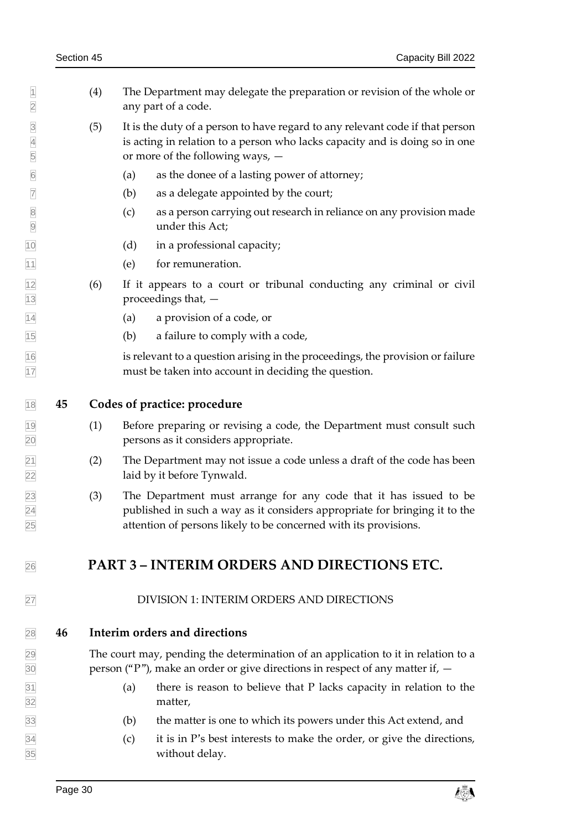<span id="page-35-1"></span><span id="page-35-0"></span> $|1 \rangle$  (4) The Department may delegate the preparation or revision of the whole or any part of a code. (5) It is the duty of a person to have regard to any relevant code if that person is acting in relation to a person who lacks capacity and is doing so in one or more of the following ways, — (a) as the donee of a lasting power of attorney; (b) as a delegate appointed by the court; (c) as a person carrying out research in reliance on any provision made under this Act; (d) in a professional capacity; (e) for remuneration. (6) If it appears to a court or tribunal conducting any criminal or civil proceedings that, — (a) a provision of a code, or (b) a failure to comply with a code, is relevant to a question arising in the proceedings, the provision or failure must be taken into account in deciding the question. **45 Codes of practice: procedure** (1) Before preparing or revising a code, the Department must consult such persons as it considers appropriate. (2) The Department may not issue a code unless a draft of the code has been laid by it before Tynwald. (3) The Department must arrange for any code that it has issued to be published in such a way as it considers appropriate for bringing it to the attention of persons likely to be concerned with its provisions. **PART 3 – INTERIM ORDERS AND DIRECTIONS ETC.** DIVISION 1: INTERIM ORDERS AND DIRECTIONS **46 Interim orders and directions** The court may, pending the determination of an application to it in relation to a person ("P"), make an order or give directions in respect of any matter if,  $\overline{31}$  (a) there is reason to believe that P lacks capacity in relation to the matter, (b) the matter is one to which its powers under this Act extend, and  $\overline{34}$  (c) it is in P's best interests to make the order, or give the directions, without delay.

<span id="page-35-3"></span><span id="page-35-2"></span>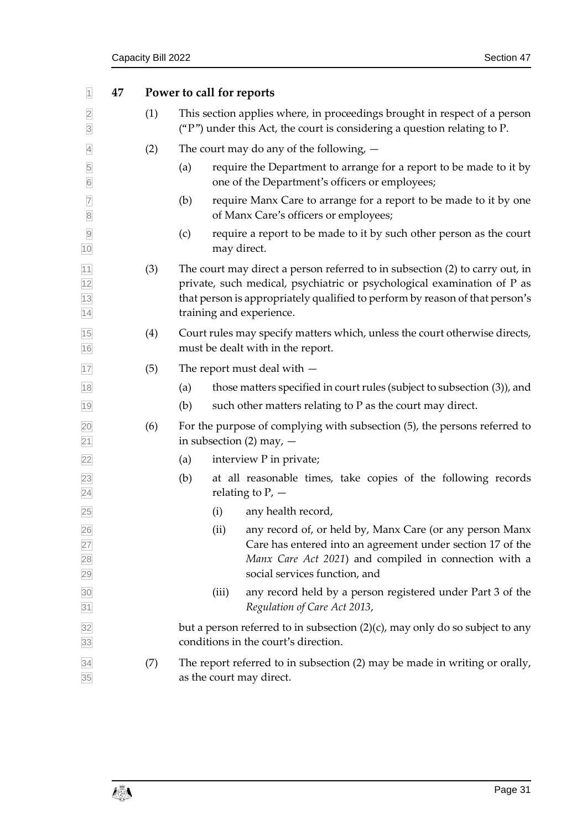<span id="page-36-0"></span>

| $\vert$ 1                                       | 47 |     | Power to call for reports                                                                                                                                                                                                                                           |  |  |  |
|-------------------------------------------------|----|-----|---------------------------------------------------------------------------------------------------------------------------------------------------------------------------------------------------------------------------------------------------------------------|--|--|--|
| $\overline{2}$<br>$\overline{3}$                |    | (1) | This section applies where, in proceedings brought in respect of a person<br>( $P$ ") under this Act, the court is considering a question relating to P.                                                                                                            |  |  |  |
| $\overline{4}$                                  |    | (2) | The court may do any of the following, $-$                                                                                                                                                                                                                          |  |  |  |
| 5<br>$\overline{6}$                             |    |     | require the Department to arrange for a report to be made to it by<br>(a)<br>one of the Department's officers or employees;                                                                                                                                         |  |  |  |
| $\overline{7}$<br>$\overline{\textbf{8}}$       |    |     | require Manx Care to arrange for a report to be made to it by one<br>(b)<br>of Manx Care's officers or employees;                                                                                                                                                   |  |  |  |
| $\overline{9}$<br>10                            |    |     | require a report to be made to it by such other person as the court<br>(c)<br>may direct.                                                                                                                                                                           |  |  |  |
| $\frac{11}{12}$ $\frac{12}{13}$ $\frac{13}{14}$ |    | (3) | The court may direct a person referred to in subsection (2) to carry out, in<br>private, such medical, psychiatric or psychological examination of P as<br>that person is appropriately qualified to perform by reason of that person's<br>training and experience. |  |  |  |
| 15<br>16                                        |    | (4) | Court rules may specify matters which, unless the court otherwise directs,<br>must be dealt with in the report.                                                                                                                                                     |  |  |  |
| 17                                              |    | (5) | The report must deal with $-$                                                                                                                                                                                                                                       |  |  |  |
| 18                                              |    |     | those matters specified in court rules (subject to subsection (3)), and<br>(a)                                                                                                                                                                                      |  |  |  |
| 19                                              |    |     | (b)<br>such other matters relating to P as the court may direct.                                                                                                                                                                                                    |  |  |  |
| $\overline{20}$<br>$\overline{21}$              |    | (6) | For the purpose of complying with subsection (5), the persons referred to<br>in subsection $(2)$ may, $-$                                                                                                                                                           |  |  |  |
| $\overline{22}$                                 |    |     | interview P in private;<br>(a)                                                                                                                                                                                                                                      |  |  |  |
| $\frac{23}{24}$                                 |    |     | (b)<br>at all reasonable times, take copies of the following records<br>relating to $P$ , $-$                                                                                                                                                                       |  |  |  |
| 25                                              |    |     | any health record,<br>(i)                                                                                                                                                                                                                                           |  |  |  |
| 26<br>27<br>28<br>29                            |    |     | (ii)<br>any record of, or held by, Manx Care (or any person Manx<br>Care has entered into an agreement under section 17 of the<br>Manx Care Act 2021) and compiled in connection with a<br>social services function, and                                            |  |  |  |
| 30<br>31                                        |    |     | (iii)<br>any record held by a person registered under Part 3 of the<br>Regulation of Care Act 2013,                                                                                                                                                                 |  |  |  |
| 32<br>33                                        |    |     | but a person referred to in subsection $(2)(c)$ , may only do so subject to any<br>conditions in the court's direction.                                                                                                                                             |  |  |  |
| $\frac{34}{35}$                                 |    | (7) | The report referred to in subsection (2) may be made in writing or orally,<br>as the court may direct.                                                                                                                                                              |  |  |  |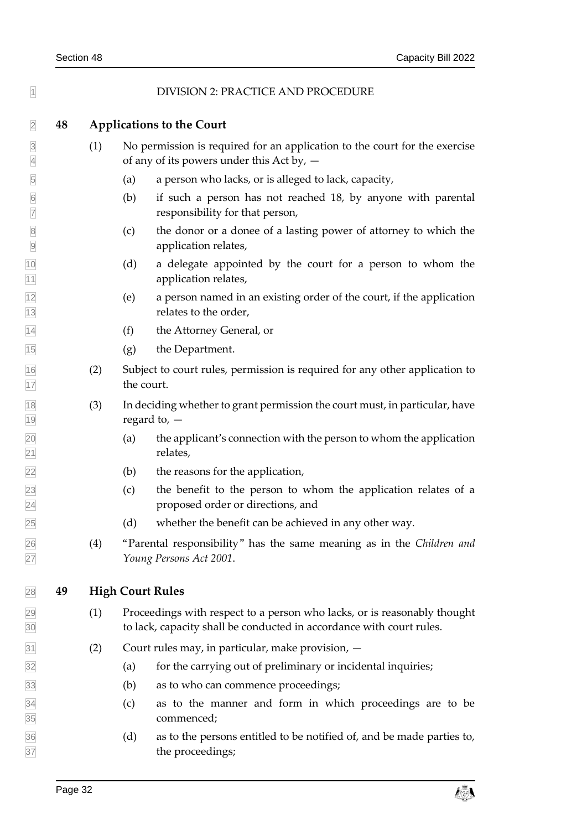<span id="page-37-1"></span><span id="page-37-0"></span>

| $\overline{1}$                            |    |                                  | DIVISION 2: PRACTICE AND PROCEDURE                                                                                                               |  |  |  |  |
|-------------------------------------------|----|----------------------------------|--------------------------------------------------------------------------------------------------------------------------------------------------|--|--|--|--|
| $\overline{2}$                            | 48 | <b>Applications to the Court</b> |                                                                                                                                                  |  |  |  |  |
| $\overline{\mathbf{3}}$<br>$\overline{4}$ |    | (1)                              | No permission is required for an application to the court for the exercise<br>of any of its powers under this Act by, -                          |  |  |  |  |
| $\overline{5}$                            |    |                                  | a person who lacks, or is alleged to lack, capacity,<br>(a)                                                                                      |  |  |  |  |
| $6\overline{6}$<br>$\overline{7}$         |    |                                  | if such a person has not reached 18, by anyone with parental<br>(b)<br>responsibility for that person,                                           |  |  |  |  |
| $\overline{8}$<br>$\overline{9}$          |    |                                  | the donor or a donee of a lasting power of attorney to which the<br>(c)<br>application relates,                                                  |  |  |  |  |
| 10<br>$\overline{11}$                     |    |                                  | (d)<br>a delegate appointed by the court for a person to whom the<br>application relates,                                                        |  |  |  |  |
| $\frac{12}{13}$                           |    |                                  | a person named in an existing order of the court, if the application<br>(e)<br>relates to the order,                                             |  |  |  |  |
| 14                                        |    |                                  | (f)<br>the Attorney General, or                                                                                                                  |  |  |  |  |
| 15                                        |    |                                  | the Department.<br>(g)                                                                                                                           |  |  |  |  |
| $\frac{16}{17}$                           |    | (2)                              | Subject to court rules, permission is required for any other application to<br>the court.                                                        |  |  |  |  |
|                                           |    | (3)                              | In deciding whether to grant permission the court must, in particular, have<br>regard to, $-$                                                    |  |  |  |  |
| 18<br>19<br>20<br>21                      |    |                                  | the applicant's connection with the person to whom the application<br>(a)<br>relates,                                                            |  |  |  |  |
| <u>22</u>                                 |    |                                  | the reasons for the application,<br>(b)                                                                                                          |  |  |  |  |
| $\frac{23}{24}$                           |    |                                  | (c)<br>the benefit to the person to whom the application relates of a<br>proposed order or directions, and                                       |  |  |  |  |
| $\overline{25}$                           |    |                                  | whether the benefit can be achieved in any other way.<br>(d)                                                                                     |  |  |  |  |
| 26<br>27                                  |    | (4)                              | "Parental responsibility" has the same meaning as in the Children and<br>Young Persons Act 2001.                                                 |  |  |  |  |
| 28                                        | 49 |                                  | <b>High Court Rules</b>                                                                                                                          |  |  |  |  |
| $\frac{29}{30}$                           |    | (1)                              | Proceedings with respect to a person who lacks, or is reasonably thought<br>to lack, capacity shall be conducted in accordance with court rules. |  |  |  |  |
| $\overline{31}$                           |    | (2)                              | Court rules may, in particular, make provision, -                                                                                                |  |  |  |  |
| 32                                        |    |                                  | for the carrying out of preliminary or incidental inquiries;<br>(a)                                                                              |  |  |  |  |
| 33                                        |    |                                  | (b)<br>as to who can commence proceedings;                                                                                                       |  |  |  |  |
| $\frac{34}{35}$                           |    |                                  | as to the manner and form in which proceedings are to be<br>(c)<br>commenced;                                                                    |  |  |  |  |
| 36<br>37                                  |    |                                  | (d)<br>as to the persons entitled to be notified of, and be made parties to,<br>the proceedings;                                                 |  |  |  |  |

<span id="page-37-2"></span>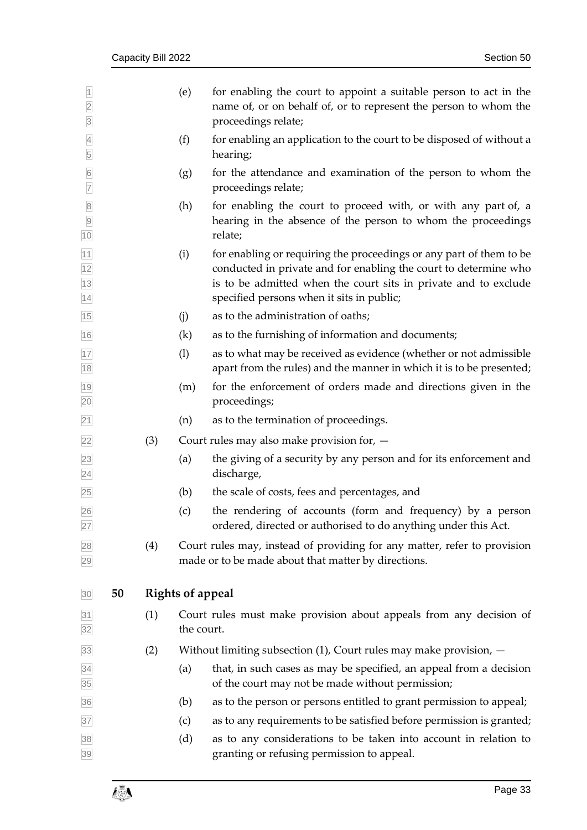<span id="page-38-0"></span>

| $\overline{1}$<br>$\overline{2}$<br>$\overline{3}$                      |    |     | (e)                     | for enabling the court to appoint a suitable person to act in the<br>name of, or on behalf of, or to represent the person to whom the<br>proceedings relate;                                                                                            |
|-------------------------------------------------------------------------|----|-----|-------------------------|---------------------------------------------------------------------------------------------------------------------------------------------------------------------------------------------------------------------------------------------------------|
| $\overline{4}$<br>5                                                     |    |     | (f)                     | for enabling an application to the court to be disposed of without a<br>hearing;                                                                                                                                                                        |
| $\boxed{6}$<br>$\overline{7}$                                           |    |     | (g)                     | for the attendance and examination of the person to whom the<br>proceedings relate;                                                                                                                                                                     |
| $\begin{array}{ c c } \hline 8 \\ \hline 9 \\ \hline \end{array}$<br>10 |    |     | (h)                     | for enabling the court to proceed with, or with any part of, a<br>hearing in the absence of the person to whom the proceedings<br>relate;                                                                                                               |
| $\frac{11}{12}$ $\frac{12}{13}$ $\frac{13}{14}$                         |    |     | (i)                     | for enabling or requiring the proceedings or any part of them to be<br>conducted in private and for enabling the court to determine who<br>is to be admitted when the court sits in private and to exclude<br>specified persons when it sits in public; |
| 15                                                                      |    |     | (j)                     | as to the administration of oaths;                                                                                                                                                                                                                      |
| 16                                                                      |    |     | (k)                     | as to the furnishing of information and documents;                                                                                                                                                                                                      |
| $\frac{17}{18}$                                                         |    |     | (1)                     | as to what may be received as evidence (whether or not admissible<br>apart from the rules) and the manner in which it is to be presented;                                                                                                               |
| 19<br>20                                                                |    |     | (m)                     | for the enforcement of orders made and directions given in the<br>proceedings;                                                                                                                                                                          |
| $\boxed{21}$                                                            |    |     | (n)                     | as to the termination of proceedings.                                                                                                                                                                                                                   |
| $\overline{22}$                                                         |    | (3) |                         | Court rules may also make provision for, $-$                                                                                                                                                                                                            |
| $\frac{23}{24}$                                                         |    |     | (a)                     | the giving of a security by any person and for its enforcement and<br>discharge,                                                                                                                                                                        |
| 25                                                                      |    |     | (b)                     | the scale of costs, fees and percentages, and                                                                                                                                                                                                           |
| 26<br>27                                                                |    |     | (c)                     | the rendering of accounts (form and frequency) by a person<br>ordered, directed or authorised to do anything under this Act.                                                                                                                            |
| 28<br>29                                                                |    | (4) |                         | Court rules may, instead of providing for any matter, refer to provision<br>made or to be made about that matter by directions.                                                                                                                         |
| 30                                                                      | 50 |     | <b>Rights of appeal</b> |                                                                                                                                                                                                                                                         |
| 31<br>32                                                                |    | (1) | the court.              | Court rules must make provision about appeals from any decision of                                                                                                                                                                                      |
| 33                                                                      |    | (2) |                         | Without limiting subsection $(1)$ , Court rules may make provision, $-$                                                                                                                                                                                 |
| $\frac{34}{35}$                                                         |    |     | (a)                     | that, in such cases as may be specified, an appeal from a decision<br>of the court may not be made without permission;                                                                                                                                  |
| 36                                                                      |    |     | (b)                     | as to the person or persons entitled to grant permission to appeal;                                                                                                                                                                                     |
| 37                                                                      |    |     | (c)                     | as to any requirements to be satisfied before permission is granted;                                                                                                                                                                                    |
| 38<br>39                                                                |    |     | (d)                     | as to any considerations to be taken into account in relation to<br>granting or refusing permission to appeal.                                                                                                                                          |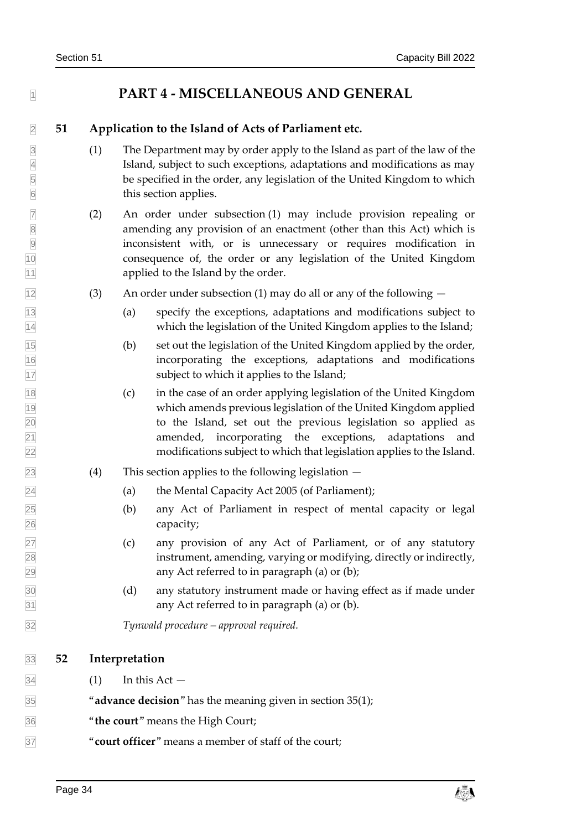### <span id="page-39-1"></span><span id="page-39-0"></span>**PART 4 - MISCELLANEOUS AND GENERAL**

#### **51 Application to the Island of Acts of Parliament etc.**

- (1) The Department may by order apply to the Island as part of the law of the 4 Island, subject to such exceptions, adaptations and modifications as may<br>be specified in the order, any legislation of the United Kingdom to which 5 be specified in the order, any legislation of the United Kingdom to which<br>6 bis section applies. this section applies.
- (2) An order under subsection (1) may include provision repealing or **8** amending any provision of an enactment (other than this Act) which is inconsistent with, or is unnecessary or requires modification in consequence of, the order or any legislation of the United Kingdom **applied to the Island by the order.**
- $\frac{1}{2}$  (3) An order under subsection (1) may do all or any of the following  $-$
- (a) specify the exceptions, adaptations and modifications subject to which the legislation of the United Kingdom applies to the Island;
- (b) set out the legislation of the United Kingdom applied by the order, incorporating the exceptions, adaptations and modifications subject to which it applies to the Island;
- (c) in the case of an order applying legislation of the United Kingdom which amends previous legislation of the United Kingdom applied to the Island, set out the previous legislation so applied as amended, incorporating the exceptions, adaptations and modifications subject to which that legislation applies to the Island.
- $\sqrt{23}$  (4) This section applies to the following legislation  $-$
- (a) the Mental Capacity Act 2005 (of Parliament);
- (b) any Act of Parliament in respect of mental capacity or legal capacity;
- (c) any provision of any Act of Parliament, or of any statutory instrument, amending, varying or modifying, directly or indirectly, any Act referred to in paragraph (a) or (b);
- (d) any statutory instrument made or having effect as if made under any Act referred to in paragraph (a) or (b).

<span id="page-39-2"></span>*Tynwald procedure – approval required.*

#### **52 Interpretation**

 $\boxed{34}$  (1) In this Act –

"**advance decision**" has the meaning given in section [35\(1\);](#page-29-4)

- "**the court**" means the High Court;
- "**court officer**" means a member of staff of the court;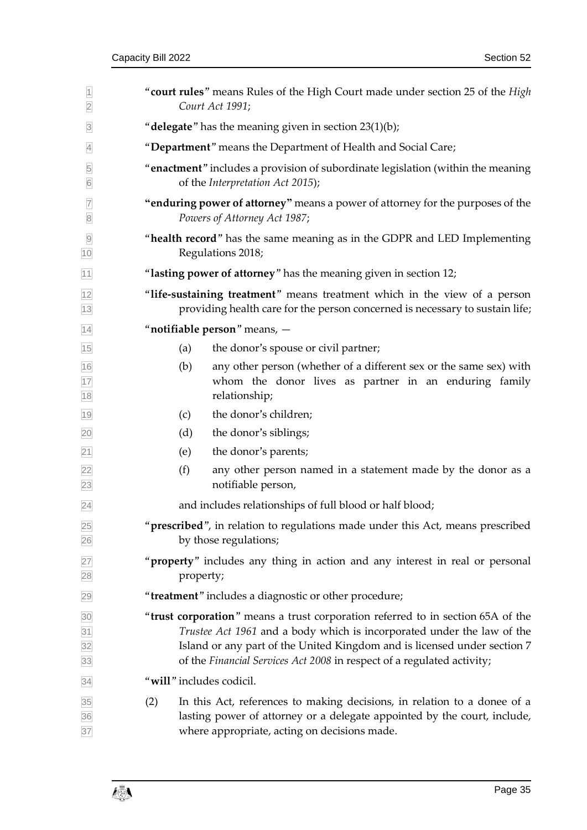| $\overline{1}$<br>$\overline{2}$  | "court rules" means Rules of the High Court made under section 25 of the High<br>Court Act 1991;                                                          |           |                                                                                                                                                                                                                                                                                                                 |  |  |
|-----------------------------------|-----------------------------------------------------------------------------------------------------------------------------------------------------------|-----------|-----------------------------------------------------------------------------------------------------------------------------------------------------------------------------------------------------------------------------------------------------------------------------------------------------------------|--|--|
| $\overline{3}$                    | "delegate" has the meaning given in section $23(1)(b)$ ;                                                                                                  |           |                                                                                                                                                                                                                                                                                                                 |  |  |
| $\overline{4}$                    |                                                                                                                                                           |           | "Department" means the Department of Health and Social Care;                                                                                                                                                                                                                                                    |  |  |
| $\overline{5}$<br>$6\overline{6}$ |                                                                                                                                                           |           | "enactment" includes a provision of subordinate legislation (within the meaning<br>of the Interpretation Act 2015);                                                                                                                                                                                             |  |  |
| $\overline{7}$<br>$\overline{8}$  |                                                                                                                                                           |           | "enduring power of attorney" means a power of attorney for the purposes of the<br>Powers of Attorney Act 1987;                                                                                                                                                                                                  |  |  |
| $\overline{9}$<br>10              |                                                                                                                                                           |           | "health record" has the same meaning as in the GDPR and LED Implementing<br>Regulations 2018;                                                                                                                                                                                                                   |  |  |
| 11                                |                                                                                                                                                           |           | "lasting power of attorney" has the meaning given in section 12;                                                                                                                                                                                                                                                |  |  |
| $\frac{12}{13}$                   | "life-sustaining treatment" means treatment which in the view of a person<br>providing health care for the person concerned is necessary to sustain life; |           |                                                                                                                                                                                                                                                                                                                 |  |  |
| $\overline{14}$                   | "notifiable person" means, -                                                                                                                              |           |                                                                                                                                                                                                                                                                                                                 |  |  |
| 15                                |                                                                                                                                                           | (a)       | the donor's spouse or civil partner;                                                                                                                                                                                                                                                                            |  |  |
| 16<br>17<br>18                    |                                                                                                                                                           | (b)       | any other person (whether of a different sex or the same sex) with<br>whom the donor lives as partner in an enduring family<br>relationship;                                                                                                                                                                    |  |  |
| 19                                |                                                                                                                                                           | (c)       | the donor's children;                                                                                                                                                                                                                                                                                           |  |  |
| 20                                |                                                                                                                                                           | (d)       | the donor's siblings;                                                                                                                                                                                                                                                                                           |  |  |
| $\overline{21}$                   |                                                                                                                                                           | (e)       | the donor's parents;                                                                                                                                                                                                                                                                                            |  |  |
| $\frac{22}{23}$                   |                                                                                                                                                           | (f)       | any other person named in a statement made by the donor as a<br>notifiable person,                                                                                                                                                                                                                              |  |  |
| $\overline{24}$                   |                                                                                                                                                           |           | and includes relationships of full blood or half blood;                                                                                                                                                                                                                                                         |  |  |
| $\frac{25}{26}$                   |                                                                                                                                                           |           | "prescribed", in relation to regulations made under this Act, means prescribed<br>by those regulations;                                                                                                                                                                                                         |  |  |
| $\frac{27}{28}$                   |                                                                                                                                                           | property; | " <b>property</b> " includes any thing in action and any interest in real or personal                                                                                                                                                                                                                           |  |  |
| 29                                |                                                                                                                                                           |           | "treatment" includes a diagnostic or other procedure;                                                                                                                                                                                                                                                           |  |  |
| 30<br>31<br>32<br>33              |                                                                                                                                                           |           | "trust corporation" means a trust corporation referred to in section 65A of the<br>Trustee Act 1961 and a body which is incorporated under the law of the<br>Island or any part of the United Kingdom and is licensed under section 7<br>of the Financial Services Act 2008 in respect of a regulated activity; |  |  |
| 34                                |                                                                                                                                                           |           | "will" includes codicil.                                                                                                                                                                                                                                                                                        |  |  |
| 35<br>36<br>37                    | (2)                                                                                                                                                       |           | In this Act, references to making decisions, in relation to a donee of a<br>lasting power of attorney or a delegate appointed by the court, include,<br>where appropriate, acting on decisions made.                                                                                                            |  |  |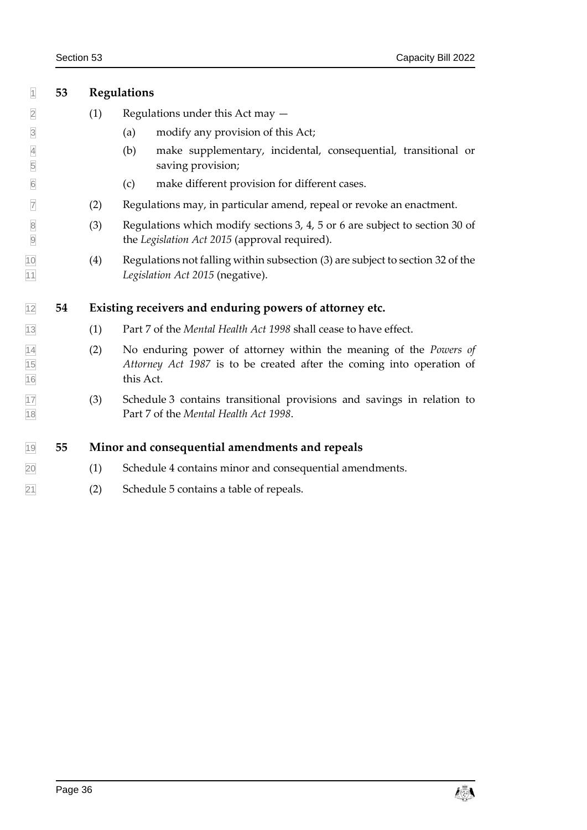<span id="page-41-0"></span>

| $\overline{1}$                     | 53 | <b>Regulations</b> |                                                                                                                                                                |  |  |  |  |
|------------------------------------|----|--------------------|----------------------------------------------------------------------------------------------------------------------------------------------------------------|--|--|--|--|
| $\overline{2}$                     |    | (1)                | Regulations under this Act may $-$                                                                                                                             |  |  |  |  |
| $\overline{\mathbf{3}}$            |    |                    | modify any provision of this Act;<br>(a)                                                                                                                       |  |  |  |  |
| $\overline{4}$<br>$\overline{5}$   |    |                    | (b)<br>make supplementary, incidental, consequential, transitional or<br>saving provision;                                                                     |  |  |  |  |
| 6                                  |    |                    | make different provision for different cases.<br>(c)                                                                                                           |  |  |  |  |
| $\overline{7}$                     |    | (2)                | Regulations may, in particular amend, repeal or revoke an enactment.                                                                                           |  |  |  |  |
| $\sqrt{8}$<br>$\overline{9}$       |    | (3)                | Regulations which modify sections 3, 4, 5 or 6 are subject to section 30 of<br>the Legislation Act 2015 (approval required).                                   |  |  |  |  |
| 10<br>11                           |    | (4)                | Regulations not falling within subsection (3) are subject to section 32 of the<br>Legislation Act 2015 (negative).                                             |  |  |  |  |
| 12                                 | 54 |                    | Existing receivers and enduring powers of attorney etc.                                                                                                        |  |  |  |  |
| 13                                 |    | (1)                | Part 7 of the Mental Health Act 1998 shall cease to have effect.                                                                                               |  |  |  |  |
| $\frac{14}{15}$<br>$\frac{15}{16}$ |    | (2)                | No enduring power of attorney within the meaning of the <i>Powers of</i><br>Attorney Act 1987 is to be created after the coming into operation of<br>this Act. |  |  |  |  |
| 17<br>18                           |    | (3)                | Schedule 3 contains transitional provisions and savings in relation to<br>Part 7 of the Mental Health Act 1998.                                                |  |  |  |  |
| 19                                 | 55 |                    | Minor and consequential amendments and repeals                                                                                                                 |  |  |  |  |
| 20                                 |    | (1)                | Schedule 4 contains minor and consequential amendments.                                                                                                        |  |  |  |  |

<span id="page-41-5"></span><span id="page-41-4"></span><span id="page-41-3"></span><span id="page-41-2"></span><span id="page-41-1"></span>(2) Schedule 5 contains a table of repeals.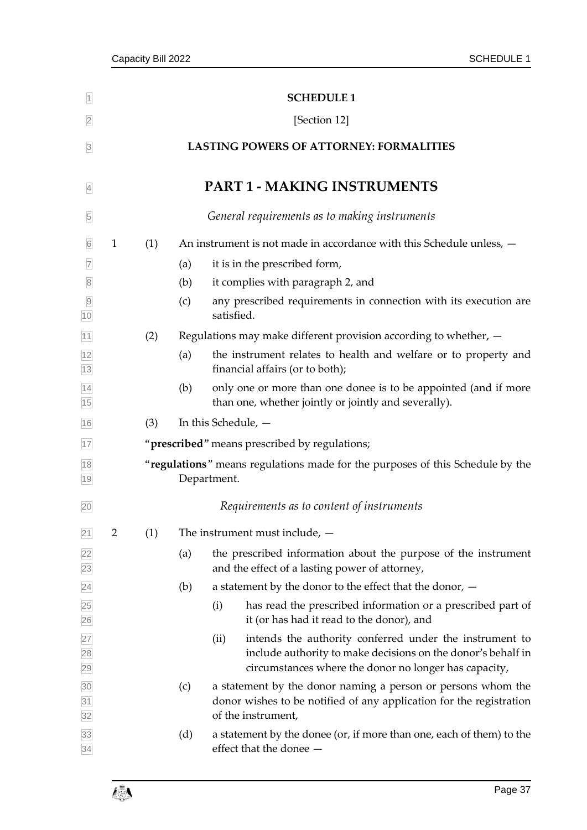<span id="page-42-1"></span><span id="page-42-0"></span>

| $\overline{1}$                     |                                                |                                                                                              |     | <b>SCHEDULE 1</b>                                                                                                                                                                        |  |  |  |  |  |  |
|------------------------------------|------------------------------------------------|----------------------------------------------------------------------------------------------|-----|------------------------------------------------------------------------------------------------------------------------------------------------------------------------------------------|--|--|--|--|--|--|
| $\overline{2}$                     | [Section 12]                                   |                                                                                              |     |                                                                                                                                                                                          |  |  |  |  |  |  |
| $\overline{3}$                     | <b>LASTING POWERS OF ATTORNEY: FORMALITIES</b> |                                                                                              |     |                                                                                                                                                                                          |  |  |  |  |  |  |
| $\overline{4}$                     |                                                |                                                                                              |     | <b>PART 1 - MAKING INSTRUMENTS</b>                                                                                                                                                       |  |  |  |  |  |  |
| 5                                  |                                                |                                                                                              |     | General requirements as to making instruments                                                                                                                                            |  |  |  |  |  |  |
| $\sqrt{6}$                         | $\mathbf{1}$                                   | (1)                                                                                          |     | An instrument is not made in accordance with this Schedule unless, -                                                                                                                     |  |  |  |  |  |  |
| $\overline{7}$                     |                                                |                                                                                              | (a) | it is in the prescribed form,                                                                                                                                                            |  |  |  |  |  |  |
| $\overline{8}$                     |                                                |                                                                                              | (b) | it complies with paragraph 2, and                                                                                                                                                        |  |  |  |  |  |  |
| $\overline{9}$<br>10               |                                                |                                                                                              | (c) | any prescribed requirements in connection with its execution are<br>satisfied.                                                                                                           |  |  |  |  |  |  |
| 11                                 |                                                | (2)                                                                                          |     | Regulations may make different provision according to whether, $-$                                                                                                                       |  |  |  |  |  |  |
|                                    |                                                |                                                                                              | (a) | the instrument relates to health and welfare or to property and<br>financial affairs (or to both);                                                                                       |  |  |  |  |  |  |
| $\frac{12}{13}$<br>$\frac{14}{15}$ |                                                |                                                                                              | (b) | only one or more than one donee is to be appointed (and if more<br>than one, whether jointly or jointly and severally).                                                                  |  |  |  |  |  |  |
| 16                                 |                                                | (3)                                                                                          |     | In this Schedule, -                                                                                                                                                                      |  |  |  |  |  |  |
| 17                                 |                                                |                                                                                              |     | "prescribed" means prescribed by regulations;                                                                                                                                            |  |  |  |  |  |  |
| 18<br>19                           |                                                | "regulations" means regulations made for the purposes of this Schedule by the<br>Department. |     |                                                                                                                                                                                          |  |  |  |  |  |  |
| 20                                 |                                                |                                                                                              |     | Requirements as to content of instruments                                                                                                                                                |  |  |  |  |  |  |
| 21                                 | $\overline{2}$                                 | (1)                                                                                          |     | The instrument must include, $-$                                                                                                                                                         |  |  |  |  |  |  |
| $\frac{22}{23}$                    |                                                |                                                                                              | (a) | the prescribed information about the purpose of the instrument<br>and the effect of a lasting power of attorney,                                                                         |  |  |  |  |  |  |
|                                    |                                                |                                                                                              | (b) | a statement by the donor to the effect that the donor, $-$                                                                                                                               |  |  |  |  |  |  |
|                                    |                                                |                                                                                              |     | has read the prescribed information or a prescribed part of<br>(i)<br>it (or has had it read to the donor), and                                                                          |  |  |  |  |  |  |
|                                    |                                                |                                                                                              |     | intends the authority conferred under the instrument to<br>(ii)<br>include authority to make decisions on the donor's behalf in<br>circumstances where the donor no longer has capacity, |  |  |  |  |  |  |
| 24 25 26 27 28 29 30 31 32         |                                                |                                                                                              | (c) | a statement by the donor naming a person or persons whom the<br>donor wishes to be notified of any application for the registration<br>of the instrument,                                |  |  |  |  |  |  |
| 33<br>34                           |                                                |                                                                                              | (d) | a statement by the donee (or, if more than one, each of them) to the<br>effect that the donee -                                                                                          |  |  |  |  |  |  |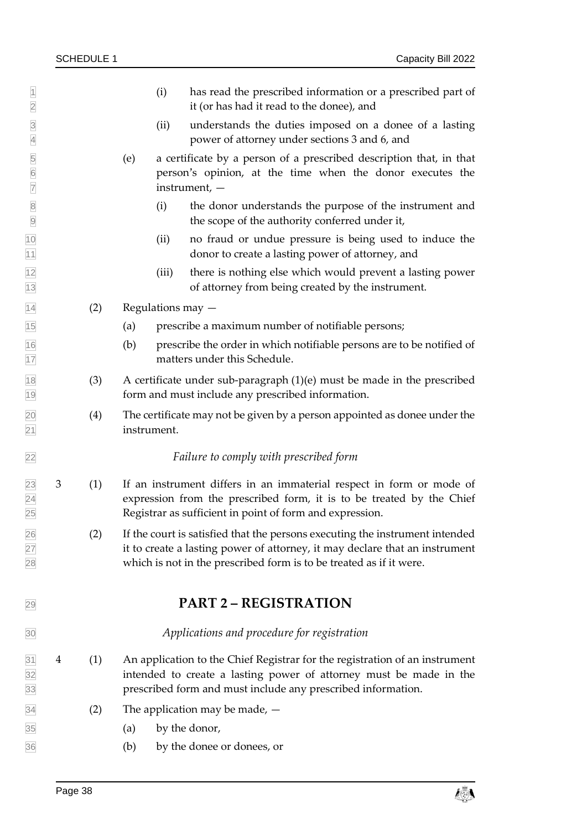- $\vert \vert$  (i) has read the prescribed information or a prescribed part of it (or has had it read to the donee), and (ii) understands the duties imposed on a donee of a lasting power of attorney under sections [3](#page-11-2) and [6,](#page-12-1) and (e) a certificate by a person of a prescribed description that, in that person's opinion, at the time when the donor executes the instrument, — (i) the donor understands the purpose of the instrument and the scope of the authority conferred under it, (ii) no fraud or undue pressure is being used to induce the donor to create a lasting power of attorney, and  $\frac{1}{2}$  (iii) there is nothing else which would prevent a lasting power of attorney from being created by the instrument.  $\sqrt{14}$  (2) Regulations may  $-$  (a) prescribe a maximum number of notifiable persons; (b) prescribe the order in which notifiable persons are to be notified of 17 matters under this Schedule. (3) A certificate under sub-paragraph (1)(e) must be made in the prescribed form and must include any prescribed information. (4) The certificate may not be given by a person appointed as donee under the instrument. *Failure to comply with prescribed form* 3 (1) If an instrument differs in an immaterial respect in form or mode of expression from the prescribed form, it is to be treated by the Chief Registrar as sufficient in point of form and expression. (2) If the court is satisfied that the persons executing the instrument intended  $\sqrt{27}$  it to create a lasting power of attorney, it may declare that an instrument which is not in the prescribed form is to be treated as if it were. **PART 2 – REGISTRATION** *Applications and procedure for registration*  $\begin{bmatrix}31 & 4 & (1) \end{bmatrix}$  An application to the Chief Registrar for the registration of an instrument intended to create a lasting power of attorney must be made in the prescribed form and must include any prescribed information.  $\overline{34}$  (2) The application may be made,  $\boxed{35}$  (a) by the donor,
	-
- (b) by the donee or donees, or

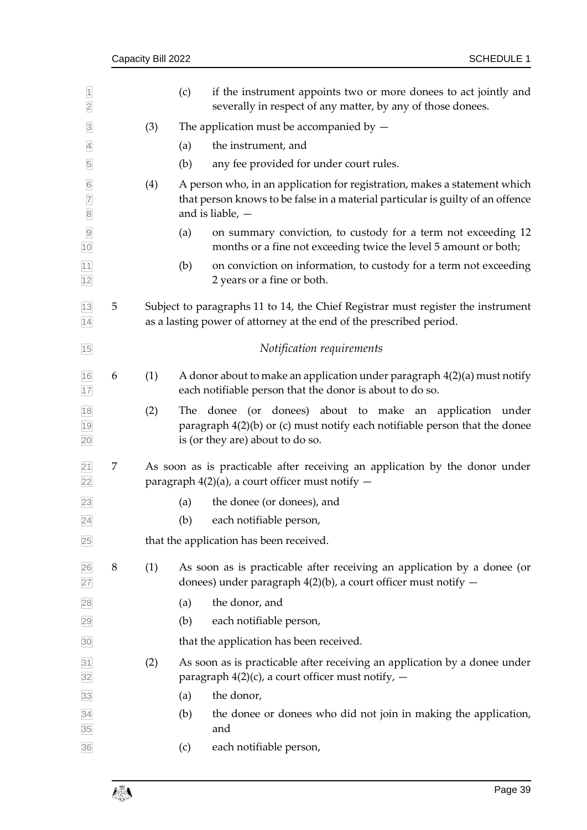|   | Capacity Bill 2022 |                                                                                                                                                         | <b>SCHEDULE 1</b>                                                                                                                                                                 |  |
|---|--------------------|---------------------------------------------------------------------------------------------------------------------------------------------------------|-----------------------------------------------------------------------------------------------------------------------------------------------------------------------------------|--|
|   |                    | (c)                                                                                                                                                     | if the instrument appoints two or more donees to act jointly and<br>severally in respect of any matter, by any of those donees.                                                   |  |
|   | (3)                |                                                                                                                                                         | The application must be accompanied by $-$                                                                                                                                        |  |
|   |                    | (a)                                                                                                                                                     | the instrument, and                                                                                                                                                               |  |
|   |                    | (b)                                                                                                                                                     | any fee provided for under court rules.                                                                                                                                           |  |
|   | (4)                |                                                                                                                                                         | A person who, in an application for registration, makes a statement which<br>that person knows to be false in a material particular is guilty of an offence<br>and is liable, $-$ |  |
|   |                    | (a)                                                                                                                                                     | on summary conviction, to custody for a term not exceeding 12<br>months or a fine not exceeding twice the level 5 amount or both;                                                 |  |
|   |                    | (b)                                                                                                                                                     | on conviction on information, to custody for a term not exceeding<br>2 years or a fine or both.                                                                                   |  |
| 5 |                    | Subject to paragraphs 11 to 14, the Chief Registrar must register the instrument<br>as a lasting power of attorney at the end of the prescribed period. |                                                                                                                                                                                   |  |
|   |                    |                                                                                                                                                         | Notification requirements                                                                                                                                                         |  |
| 6 | (1)                |                                                                                                                                                         | A donor about to make an application under paragraph $4(2)(a)$ must notify<br>each notifiable person that the donor is about to do so.                                            |  |
|   | (2)                |                                                                                                                                                         | The donee (or donees) about to make an application under<br>paragraph $4(2)(b)$ or (c) must notify each notifiable person that the donee<br>is (or they are) about to do so.      |  |
| 7 |                    |                                                                                                                                                         | As soon as is practicable after receiving an application by the donor under<br>paragraph $4(2)(a)$ , a court officer must notify $-$                                              |  |
|   |                    | (a)                                                                                                                                                     | the donee (or donees), and                                                                                                                                                        |  |
|   |                    | (b)                                                                                                                                                     | each notifiable person,                                                                                                                                                           |  |
|   |                    |                                                                                                                                                         | that the application has been received.                                                                                                                                           |  |
| 8 | (1)                |                                                                                                                                                         | As soon as is practicable after receiving an application by a donee (or<br>donees) under paragraph $4(2)(b)$ , a court officer must notify $-$                                    |  |
|   |                    | (a)                                                                                                                                                     | the donor, and                                                                                                                                                                    |  |
|   |                    | (b)                                                                                                                                                     | each notifiable person,                                                                                                                                                           |  |
|   |                    |                                                                                                                                                         | that the application has been received.                                                                                                                                           |  |
|   | (2)                |                                                                                                                                                         | As soon as is practicable after receiving an application by a donee under<br>paragraph $4(2)(c)$ , a court officer must notify, $-$                                               |  |
|   |                    | (a)                                                                                                                                                     | the donor,                                                                                                                                                                        |  |
|   |                    | (b)                                                                                                                                                     | the donee or donees who did not join in making the application,<br>and                                                                                                            |  |
|   |                    | (c)                                                                                                                                                     | each notifiable person,                                                                                                                                                           |  |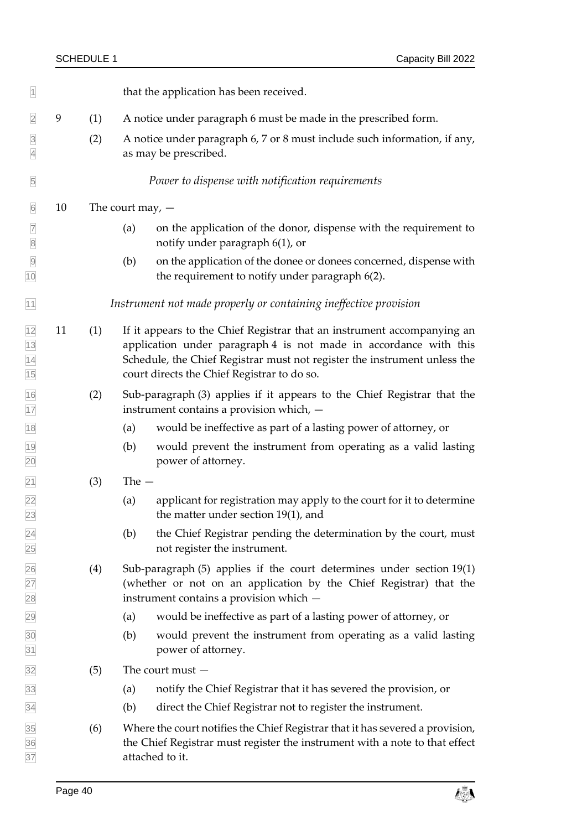| $\overline{1}$                   |    |     | that the application has been received.                                                                                                                                                                                                                                  |
|----------------------------------|----|-----|--------------------------------------------------------------------------------------------------------------------------------------------------------------------------------------------------------------------------------------------------------------------------|
| $\overline{2}$                   | 9  | (1) | A notice under paragraph 6 must be made in the prescribed form.                                                                                                                                                                                                          |
| $\overline{3}$<br>$\overline{4}$ |    | (2) | A notice under paragraph 6, 7 or 8 must include such information, if any,<br>as may be prescribed.                                                                                                                                                                       |
| $\overline{5}$                   |    |     | Power to dispense with notification requirements                                                                                                                                                                                                                         |
| $6\,$                            | 10 |     | The court may, $-$                                                                                                                                                                                                                                                       |
| $\overline{7}$<br>$\boxed{8}$    |    |     | on the application of the donor, dispense with the requirement to<br>(a)<br>notify under paragraph 6(1), or                                                                                                                                                              |
| $\overline{9}$<br>10             |    |     | on the application of the donee or donees concerned, dispense with<br>(b)<br>the requirement to notify under paragraph 6(2).                                                                                                                                             |
| 11                               |    |     | Instrument not made properly or containing ineffective provision                                                                                                                                                                                                         |
| 12<br>13<br>14<br>15             | 11 | (1) | If it appears to the Chief Registrar that an instrument accompanying an<br>application under paragraph 4 is not made in accordance with this<br>Schedule, the Chief Registrar must not register the instrument unless the<br>court directs the Chief Registrar to do so. |
| 16<br>17                         |    | (2) | Sub-paragraph (3) applies if it appears to the Chief Registrar that the<br>instrument contains a provision which, -                                                                                                                                                      |
| 18                               |    |     | would be ineffective as part of a lasting power of attorney, or<br>(a)                                                                                                                                                                                                   |
| 19<br>20                         |    |     | (b)<br>would prevent the instrument from operating as a valid lasting<br>power of attorney.                                                                                                                                                                              |
| $\overline{21}$                  |    | (3) | The $-$                                                                                                                                                                                                                                                                  |
| $\frac{22}{23}$                  |    |     | applicant for registration may apply to the court for it to determine<br>(a)<br>the matter under section 19(1), and                                                                                                                                                      |
| 24<br>25                         |    |     | the Chief Registrar pending the determination by the court, must<br>(b)<br>not register the instrument.                                                                                                                                                                  |
| 26<br>27<br>28                   |    | (4) | Sub-paragraph (5) applies if the court determines under section 19(1)<br>(whether or not on an application by the Chief Registrar) that the<br>instrument contains a provision which -                                                                                   |
| 29                               |    |     | would be ineffective as part of a lasting power of attorney, or<br>(a)                                                                                                                                                                                                   |
| 30<br>31                         |    |     | (b)<br>would prevent the instrument from operating as a valid lasting<br>power of attorney.                                                                                                                                                                              |
| 32                               |    | (5) | The court must $-$                                                                                                                                                                                                                                                       |
| 33                               |    |     | notify the Chief Registrar that it has severed the provision, or<br>(a)                                                                                                                                                                                                  |
| 34                               |    |     | direct the Chief Registrar not to register the instrument.<br>(b)                                                                                                                                                                                                        |
| 35<br>36<br>37                   |    | (6) | Where the court notifies the Chief Registrar that it has severed a provision,<br>the Chief Registrar must register the instrument with a note to that effect<br>attached to it.                                                                                          |

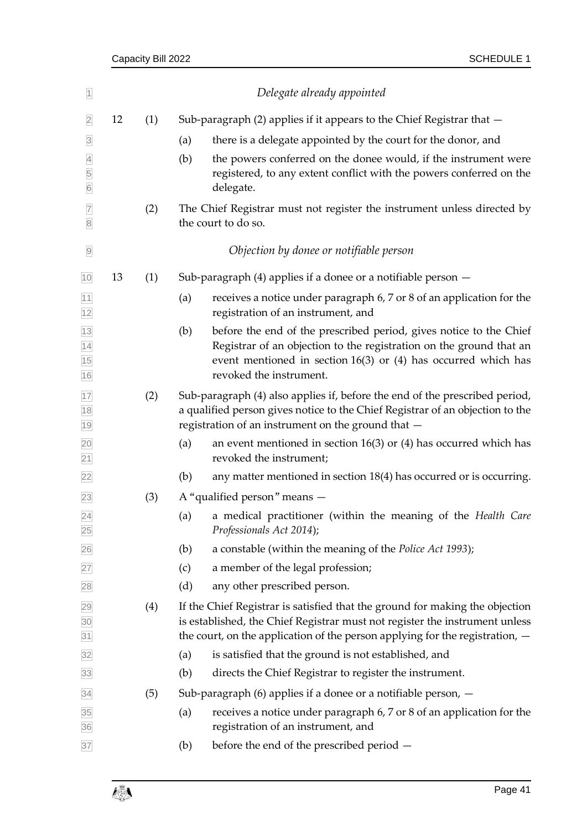| $\overline{1}$                         |    |     |     | Delegate already appointed                                                                                                                                                                                                                    |
|----------------------------------------|----|-----|-----|-----------------------------------------------------------------------------------------------------------------------------------------------------------------------------------------------------------------------------------------------|
| $\overline{2}$                         | 12 | (1) |     | Sub-paragraph (2) applies if it appears to the Chief Registrar that -                                                                                                                                                                         |
| $\overline{3}$                         |    |     | (a) | there is a delegate appointed by the court for the donor, and                                                                                                                                                                                 |
| $\overline{4}$<br>5<br>$6\overline{6}$ |    |     | (b) | the powers conferred on the donee would, if the instrument were<br>registered, to any extent conflict with the powers conferred on the<br>delegate.                                                                                           |
| $\overline{7}$<br>$\overline{8}$       |    | (2) |     | The Chief Registrar must not register the instrument unless directed by<br>the court to do so.                                                                                                                                                |
| $\overline{9}$                         |    |     |     | Objection by donee or notifiable person                                                                                                                                                                                                       |
| 10                                     | 13 | (1) |     | Sub-paragraph $(4)$ applies if a donee or a notifiable person $-$                                                                                                                                                                             |
| $\frac{11}{12}$                        |    |     | (a) | receives a notice under paragraph 6, 7 or 8 of an application for the<br>registration of an instrument, and                                                                                                                                   |
| 13<br>14<br>15<br>16                   |    |     | (b) | before the end of the prescribed period, gives notice to the Chief<br>Registrar of an objection to the registration on the ground that an<br>event mentioned in section $16(3)$ or (4) has occurred which has<br>revoked the instrument.      |
| 17<br>18<br>19                         |    | (2) |     | Sub-paragraph (4) also applies if, before the end of the prescribed period,<br>a qualified person gives notice to the Chief Registrar of an objection to the<br>registration of an instrument on the ground that -                            |
| $\frac{20}{21}$                        |    |     | (a) | an event mentioned in section $16(3)$ or (4) has occurred which has<br>revoked the instrument;                                                                                                                                                |
| 22                                     |    |     | (b) | any matter mentioned in section 18(4) has occurred or is occurring.                                                                                                                                                                           |
| 23                                     |    | (3) |     | A "qualified person" means -                                                                                                                                                                                                                  |
| $\overline{24}$<br>25                  |    |     | (a) | a medical practitioner (within the meaning of the Health Care<br>Professionals Act 2014);                                                                                                                                                     |
| 26                                     |    |     | (b) | a constable (within the meaning of the <i>Police Act 1993</i> );                                                                                                                                                                              |
| 27                                     |    |     | (c) | a member of the legal profession;                                                                                                                                                                                                             |
| 28                                     |    |     | (d) | any other prescribed person.                                                                                                                                                                                                                  |
| 29<br>30<br>31                         |    | (4) |     | If the Chief Registrar is satisfied that the ground for making the objection<br>is established, the Chief Registrar must not register the instrument unless<br>the court, on the application of the person applying for the registration, $-$ |
| 32                                     |    |     | (a) | is satisfied that the ground is not established, and                                                                                                                                                                                          |
| 33                                     |    |     | (b) | directs the Chief Registrar to register the instrument.                                                                                                                                                                                       |
| 34                                     |    | (5) |     | Sub-paragraph $(6)$ applies if a donee or a notifiable person, $-$                                                                                                                                                                            |
| 35<br>36                               |    |     | (a) | receives a notice under paragraph 6, 7 or 8 of an application for the<br>registration of an instrument, and                                                                                                                                   |
| 37                                     |    |     | (b) | before the end of the prescribed period -                                                                                                                                                                                                     |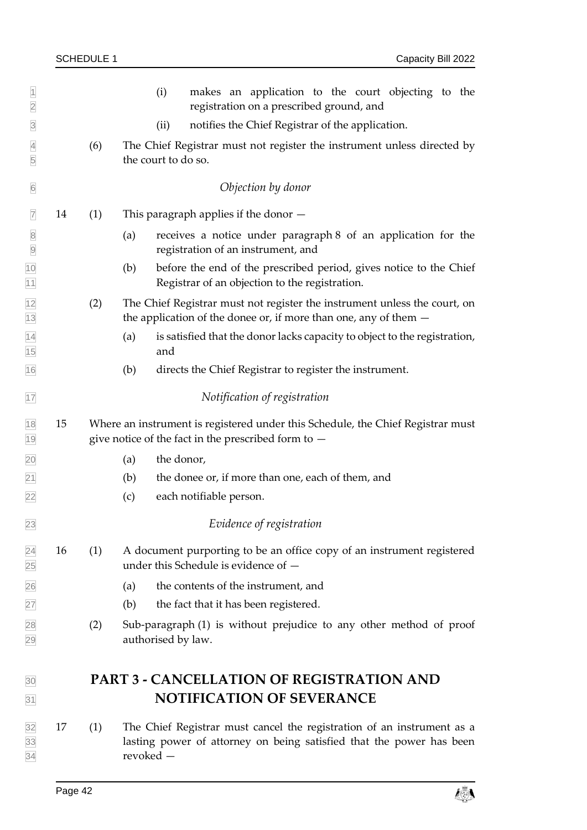| $\overline{1}$<br>$\overline{2}$ |    |     | (i)<br>makes an application to the court objecting to the<br>registration on a prescribed ground, and                                                       |
|----------------------------------|----|-----|-------------------------------------------------------------------------------------------------------------------------------------------------------------|
| $\overline{3}$                   |    |     | notifies the Chief Registrar of the application.<br>(ii)                                                                                                    |
| $\overline{4}$<br>$\overline{5}$ |    | (6) | The Chief Registrar must not register the instrument unless directed by<br>the court to do so.                                                              |
| $6\overline{6}$                  |    |     | Objection by donor                                                                                                                                          |
| $\overline{7}$                   | 14 | (1) | This paragraph applies if the donor $-$                                                                                                                     |
| $\sqrt{8}$<br>$\overline{9}$     |    |     | receives a notice under paragraph 8 of an application for the<br>(a)<br>registration of an instrument, and                                                  |
| 10<br>11                         |    |     | before the end of the prescribed period, gives notice to the Chief<br>(b)<br>Registrar of an objection to the registration.                                 |
| 12<br>$13$                       |    | (2) | The Chief Registrar must not register the instrument unless the court, on<br>the application of the donee or, if more than one, any of them $-$             |
| 14<br>15                         |    |     | (a)<br>is satisfied that the donor lacks capacity to object to the registration,<br>and                                                                     |
| 16                               |    |     | (b)<br>directs the Chief Registrar to register the instrument.                                                                                              |
| 17                               |    |     | Notification of registration                                                                                                                                |
| 18<br>19                         | 15 |     | Where an instrument is registered under this Schedule, the Chief Registrar must<br>give notice of the fact in the prescribed form to $-$                    |
| 20                               |    |     | the donor,<br>(a)                                                                                                                                           |
| 21                               |    |     | (b)<br>the donee or, if more than one, each of them, and                                                                                                    |
| 22                               |    |     | (c)<br>each notifiable person.                                                                                                                              |
| 23                               |    |     | Evidence of registration                                                                                                                                    |
| 24<br>25                         | 16 | (1) | A document purporting to be an office copy of an instrument registered<br>under this Schedule is evidence of -                                              |
| 26                               |    |     | the contents of the instrument, and<br>(a)                                                                                                                  |
| 27                               |    |     | the fact that it has been registered.<br>(b)                                                                                                                |
| 28<br>29                         |    | (2) | Sub-paragraph (1) is without prejudice to any other method of proof<br>authorised by law.                                                                   |
| 30                               |    |     | <b>PART 3 - CANCELLATION OF REGISTRATION AND</b>                                                                                                            |
| 31                               |    |     | <b>NOTIFICATION OF SEVERANCE</b>                                                                                                                            |
| 32<br>33<br>34                   | 17 | (1) | The Chief Registrar must cancel the registration of an instrument as a<br>lasting power of attorney on being satisfied that the power has been<br>revoked - |

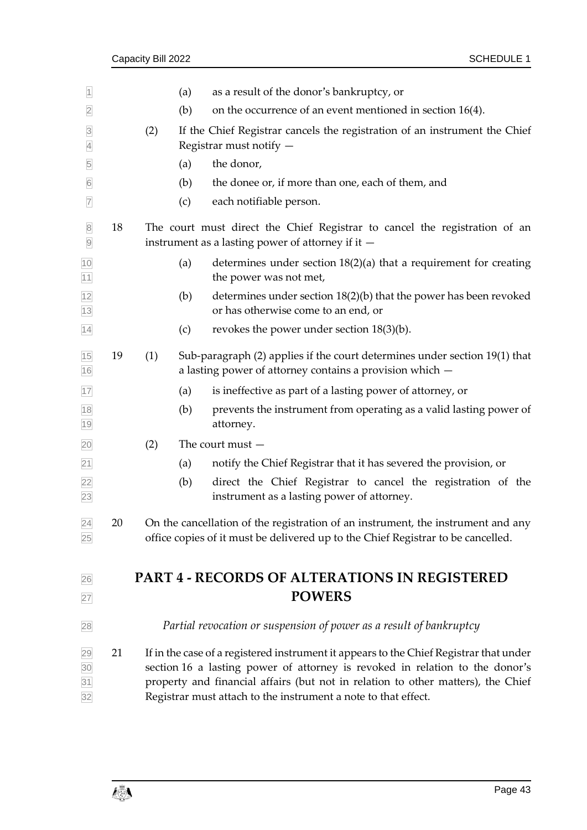| $\overline{1}$                     |    |     | (a) | as a result of the donor's bankruptcy, or                                                                                                                                                                                                                                                                                    |
|------------------------------------|----|-----|-----|------------------------------------------------------------------------------------------------------------------------------------------------------------------------------------------------------------------------------------------------------------------------------------------------------------------------------|
| $\overline{2}$                     |    |     | (b) | on the occurrence of an event mentioned in section $16(4)$ .                                                                                                                                                                                                                                                                 |
| $\overline{3}$<br>$\overline{4}$   |    | (2) |     | If the Chief Registrar cancels the registration of an instrument the Chief<br>Registrar must notify -                                                                                                                                                                                                                        |
| 5                                  |    |     | (a) | the donor,                                                                                                                                                                                                                                                                                                                   |
| $6\overline{6}$                    |    |     | (b) | the donee or, if more than one, each of them, and                                                                                                                                                                                                                                                                            |
| $\overline{7}$                     |    |     | (c) | each notifiable person.                                                                                                                                                                                                                                                                                                      |
| $\,8$<br>$\overline{9}$            | 18 |     |     | The court must direct the Chief Registrar to cancel the registration of an<br>instrument as a lasting power of attorney if it $-$                                                                                                                                                                                            |
| 10<br>$\overline{11}$              |    |     | (a) | determines under section $18(2)(a)$ that a requirement for creating<br>the power was not met,                                                                                                                                                                                                                                |
| 12<br>13                           |    |     | (b) | determines under section 18(2)(b) that the power has been revoked<br>or has otherwise come to an end, or                                                                                                                                                                                                                     |
| 14                                 |    |     | (c) | revokes the power under section $18(3)(b)$ .                                                                                                                                                                                                                                                                                 |
| 15<br>16                           | 19 | (1) |     | Sub-paragraph (2) applies if the court determines under section 19(1) that<br>a lasting power of attorney contains a provision which -                                                                                                                                                                                       |
| 17                                 |    |     | (a) | is ineffective as part of a lasting power of attorney, or                                                                                                                                                                                                                                                                    |
| 18<br>19                           |    |     | (b) | prevents the instrument from operating as a valid lasting power of<br>attorney.                                                                                                                                                                                                                                              |
| 20                                 |    | (2) |     | The court must $-$                                                                                                                                                                                                                                                                                                           |
| $\overline{21}$                    |    |     | (a) | notify the Chief Registrar that it has severed the provision, or                                                                                                                                                                                                                                                             |
| $\frac{22}{23}$                    |    |     | (b) | direct the Chief Registrar to cancel the registration of the<br>instrument as a lasting power of attorney.                                                                                                                                                                                                                   |
| $\overline{24}$<br>25              | 20 |     |     | On the cancellation of the registration of an instrument, the instrument and any<br>office copies of it must be delivered up to the Chief Registrar to be cancelled.                                                                                                                                                         |
| 26                                 |    |     |     | <b>PART 4 - RECORDS OF ALTERATIONS IN REGISTERED</b>                                                                                                                                                                                                                                                                         |
| 27                                 |    |     |     | <b>POWERS</b>                                                                                                                                                                                                                                                                                                                |
| 28                                 |    |     |     | Partial revocation or suspension of power as a result of bankruptcy                                                                                                                                                                                                                                                          |
| $\frac{29}{30}$<br>$\frac{31}{32}$ | 21 |     |     | If in the case of a registered instrument it appears to the Chief Registrar that under<br>section 16 a lasting power of attorney is revoked in relation to the donor's<br>property and financial affairs (but not in relation to other matters), the Chief<br>Registrar must attach to the instrument a note to that effect. |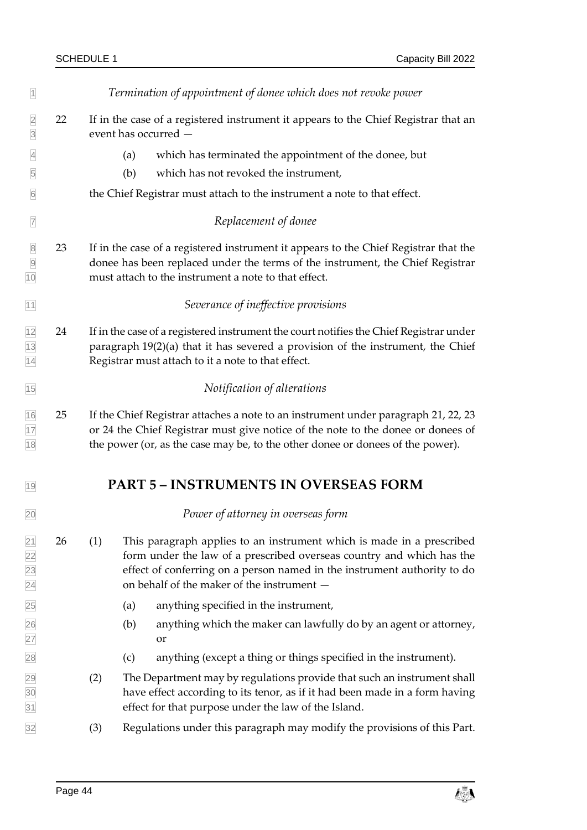| $\overline{1}$                                                      |    | Termination of appointment of donee which does not revoke power                                                                                                                                                                                                                 |  |  |  |  |  |  |  |
|---------------------------------------------------------------------|----|---------------------------------------------------------------------------------------------------------------------------------------------------------------------------------------------------------------------------------------------------------------------------------|--|--|--|--|--|--|--|
| $\overline{2}$<br>$\overline{3}$                                    | 22 | If in the case of a registered instrument it appears to the Chief Registrar that an<br>event has occurred -                                                                                                                                                                     |  |  |  |  |  |  |  |
| $\overline{4}$                                                      |    | which has terminated the appointment of the donee, but<br>(a)                                                                                                                                                                                                                   |  |  |  |  |  |  |  |
| $\overline{5}$                                                      |    | (b)<br>which has not revoked the instrument,                                                                                                                                                                                                                                    |  |  |  |  |  |  |  |
| $\boxed{6}$                                                         |    | the Chief Registrar must attach to the instrument a note to that effect.                                                                                                                                                                                                        |  |  |  |  |  |  |  |
| $\overline{7}$                                                      |    | Replacement of donee                                                                                                                                                                                                                                                            |  |  |  |  |  |  |  |
| $\begin{array}{c}\n 8 \\  \hline\n 9 \\  \hline\n 10\n \end{array}$ | 23 | If in the case of a registered instrument it appears to the Chief Registrar that the<br>donee has been replaced under the terms of the instrument, the Chief Registrar<br>must attach to the instrument a note to that effect.                                                  |  |  |  |  |  |  |  |
| 11                                                                  |    | Severance of ineffective provisions                                                                                                                                                                                                                                             |  |  |  |  |  |  |  |
| $\frac{12}{13}$                                                     | 24 | If in the case of a registered instrument the court notifies the Chief Registrar under<br>paragraph 19(2)(a) that it has severed a provision of the instrument, the Chief<br>Registrar must attach to it a note to that effect.                                                 |  |  |  |  |  |  |  |
| 15                                                                  |    | Notification of alterations                                                                                                                                                                                                                                                     |  |  |  |  |  |  |  |
| $\frac{16}{17}$<br>$\frac{18}{18}$                                  | 25 | If the Chief Registrar attaches a note to an instrument under paragraph 21, 22, 23<br>or 24 the Chief Registrar must give notice of the note to the donee or donees of<br>the power (or, as the case may be, to the other donee or donees of the power).                        |  |  |  |  |  |  |  |
| 19                                                                  |    | <b>PART 5 - INSTRUMENTS IN OVERSEAS FORM</b>                                                                                                                                                                                                                                    |  |  |  |  |  |  |  |
| 20                                                                  |    | Power of attorney in overseas form                                                                                                                                                                                                                                              |  |  |  |  |  |  |  |
| $\frac{21}{22}$<br>$\frac{23}{24}$                                  | 26 | (1)<br>This paragraph applies to an instrument which is made in a prescribed<br>form under the law of a prescribed overseas country and which has the<br>effect of conferring on a person named in the instrument authority to do<br>on behalf of the maker of the instrument - |  |  |  |  |  |  |  |
|                                                                     |    | anything specified in the instrument,<br>(a)                                                                                                                                                                                                                                    |  |  |  |  |  |  |  |
| 25<br>26<br>27<br>28                                                |    | anything which the maker can lawfully do by an agent or attorney,<br>(b)<br>or                                                                                                                                                                                                  |  |  |  |  |  |  |  |
|                                                                     |    | anything (except a thing or things specified in the instrument).<br>(c)                                                                                                                                                                                                         |  |  |  |  |  |  |  |
| 29<br>30<br>31                                                      |    | (2)<br>The Department may by regulations provide that such an instrument shall<br>have effect according to its tenor, as if it had been made in a form having<br>effect for that purpose under the law of the Island.                                                           |  |  |  |  |  |  |  |
| 32                                                                  |    | Regulations under this paragraph may modify the provisions of this Part.<br>(3)                                                                                                                                                                                                 |  |  |  |  |  |  |  |
|                                                                     |    |                                                                                                                                                                                                                                                                                 |  |  |  |  |  |  |  |

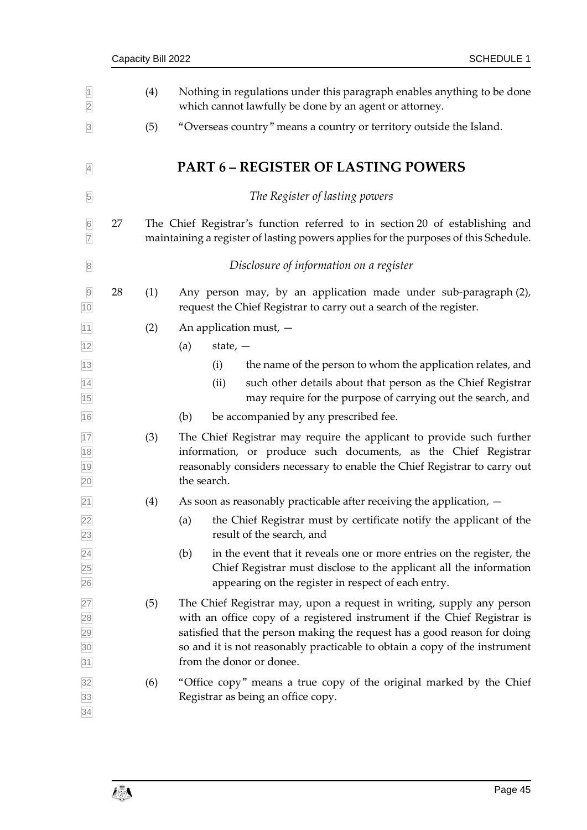|    | Capacity Bill 2022 |                                                                                                                                                                                                                                                                                                                                         |  |  |  |  |
|----|--------------------|-----------------------------------------------------------------------------------------------------------------------------------------------------------------------------------------------------------------------------------------------------------------------------------------------------------------------------------------|--|--|--|--|
|    | (4)                | Nothing in regulations under this paragraph enables anything to be done<br>which cannot lawfully be done by an agent or attorney.                                                                                                                                                                                                       |  |  |  |  |
|    | (5)                | "Overseas country" means a country or territory outside the Island.                                                                                                                                                                                                                                                                     |  |  |  |  |
|    |                    | <b>PART 6 - REGISTER OF LASTING POWERS</b>                                                                                                                                                                                                                                                                                              |  |  |  |  |
|    |                    | The Register of lasting powers                                                                                                                                                                                                                                                                                                          |  |  |  |  |
| 27 |                    | The Chief Registrar's function referred to in section 20 of establishing and<br>maintaining a register of lasting powers applies for the purposes of this Schedule.                                                                                                                                                                     |  |  |  |  |
|    |                    | Disclosure of information on a register                                                                                                                                                                                                                                                                                                 |  |  |  |  |
| 28 | (1)                | Any person may, by an application made under sub-paragraph (2),<br>request the Chief Registrar to carry out a search of the register.                                                                                                                                                                                                   |  |  |  |  |
|    | (2)                | An application must, $-$                                                                                                                                                                                                                                                                                                                |  |  |  |  |
|    |                    | (a)<br>state, $-$                                                                                                                                                                                                                                                                                                                       |  |  |  |  |
|    |                    | the name of the person to whom the application relates, and<br>(i)                                                                                                                                                                                                                                                                      |  |  |  |  |
|    |                    | such other details about that person as the Chief Registrar<br>(ii)<br>may require for the purpose of carrying out the search, and                                                                                                                                                                                                      |  |  |  |  |
|    |                    | be accompanied by any prescribed fee.<br>(b)                                                                                                                                                                                                                                                                                            |  |  |  |  |
|    | (3)                | The Chief Registrar may require the applicant to provide such further<br>information, or produce such documents, as the Chief Registrar<br>reasonably considers necessary to enable the Chief Registrar to carry out<br>the search.                                                                                                     |  |  |  |  |
|    | (4)                | As soon as reasonably practicable after receiving the application, $-$                                                                                                                                                                                                                                                                  |  |  |  |  |
|    |                    | the Chief Registrar must by certificate notify the applicant of the<br>(a)<br>result of the search, and                                                                                                                                                                                                                                 |  |  |  |  |
|    |                    | in the event that it reveals one or more entries on the register, the<br>(b)<br>Chief Registrar must disclose to the applicant all the information<br>appearing on the register in respect of each entry.                                                                                                                               |  |  |  |  |
|    | (5)                | The Chief Registrar may, upon a request in writing, supply any person<br>with an office copy of a registered instrument if the Chief Registrar is<br>satisfied that the person making the request has a good reason for doing<br>so and it is not reasonably practicable to obtain a copy of the instrument<br>from the donor or donee. |  |  |  |  |
|    | (6)                | "Office copy" means a true copy of the original marked by the Chief<br>Registrar as being an office copy.                                                                                                                                                                                                                               |  |  |  |  |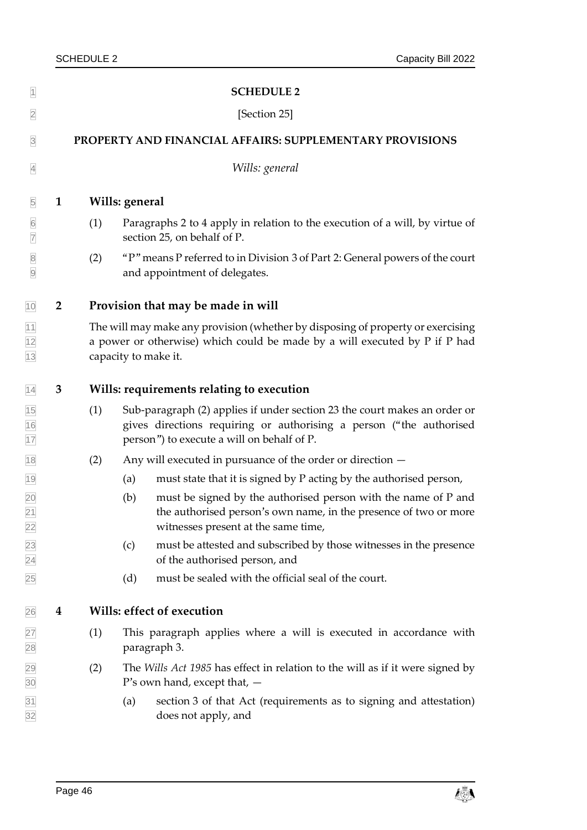<span id="page-51-1"></span><span id="page-51-0"></span>

| $\overline{1}$                          |                                                          |     | <b>SCHEDULE 2</b>                                                                                                                                                                              |  |  |  |  |  |  |
|-----------------------------------------|----------------------------------------------------------|-----|------------------------------------------------------------------------------------------------------------------------------------------------------------------------------------------------|--|--|--|--|--|--|
| $\overline{2}$                          |                                                          |     | [Section 25]                                                                                                                                                                                   |  |  |  |  |  |  |
| $\overline{3}$                          | PROPERTY AND FINANCIAL AFFAIRS: SUPPLEMENTARY PROVISIONS |     |                                                                                                                                                                                                |  |  |  |  |  |  |
| $\overline{4}$                          |                                                          |     | Wills: general                                                                                                                                                                                 |  |  |  |  |  |  |
| $\overline{5}$                          | $\mathbf{1}$                                             |     | Wills: general                                                                                                                                                                                 |  |  |  |  |  |  |
| $\boxed{6}$<br>$\overline{7}$           |                                                          | (1) | Paragraphs 2 to 4 apply in relation to the execution of a will, by virtue of<br>section 25, on behalf of P.                                                                                    |  |  |  |  |  |  |
| $\begin{array}{c c} 8 \\ 9 \end{array}$ |                                                          | (2) | "P" means P referred to in Division 3 of Part 2: General powers of the court<br>and appointment of delegates.                                                                                  |  |  |  |  |  |  |
| 10                                      | $\overline{2}$                                           |     | Provision that may be made in will                                                                                                                                                             |  |  |  |  |  |  |
| $\frac{11}{12}$ $\frac{12}{13}$         |                                                          |     | The will may make any provision (whether by disposing of property or exercising<br>a power or otherwise) which could be made by a will executed by P if P had<br>capacity to make it.          |  |  |  |  |  |  |
| 14                                      | 3                                                        |     | Wills: requirements relating to execution                                                                                                                                                      |  |  |  |  |  |  |
| $\frac{15}{16}$                         |                                                          | (1) | Sub-paragraph (2) applies if under section 23 the court makes an order or<br>gives directions requiring or authorising a person ("the authorised<br>person") to execute a will on behalf of P. |  |  |  |  |  |  |
| 18                                      |                                                          | (2) | Any will executed in pursuance of the order or direction -                                                                                                                                     |  |  |  |  |  |  |
| 19                                      |                                                          |     | (a)<br>must state that it is signed by P acting by the authorised person,                                                                                                                      |  |  |  |  |  |  |
| $\frac{20}{21}$<br>$\frac{22}{ }$       |                                                          |     | must be signed by the authorised person with the name of P and<br>(b)<br>the authorised person's own name, in the presence of two or more<br>witnesses present at the same time,               |  |  |  |  |  |  |
| 23<br>24<br>25                          |                                                          |     | must be attested and subscribed by those witnesses in the presence<br>(c)<br>of the authorised person, and                                                                                     |  |  |  |  |  |  |
|                                         |                                                          |     | must be sealed with the official seal of the court.<br>(d)                                                                                                                                     |  |  |  |  |  |  |
| 26                                      | $\boldsymbol{4}$                                         |     | Wills: effect of execution                                                                                                                                                                     |  |  |  |  |  |  |
| 27<br>28                                |                                                          | (1) | This paragraph applies where a will is executed in accordance with<br>paragraph 3.                                                                                                             |  |  |  |  |  |  |
| $\frac{29}{30}$                         |                                                          | (2) | The Wills Act 1985 has effect in relation to the will as if it were signed by<br>$P$ 's own hand, except that, $-$                                                                             |  |  |  |  |  |  |
| $\frac{31}{32}$                         |                                                          |     | (a)<br>section 3 of that Act (requirements as to signing and attestation)<br>does not apply, and                                                                                               |  |  |  |  |  |  |

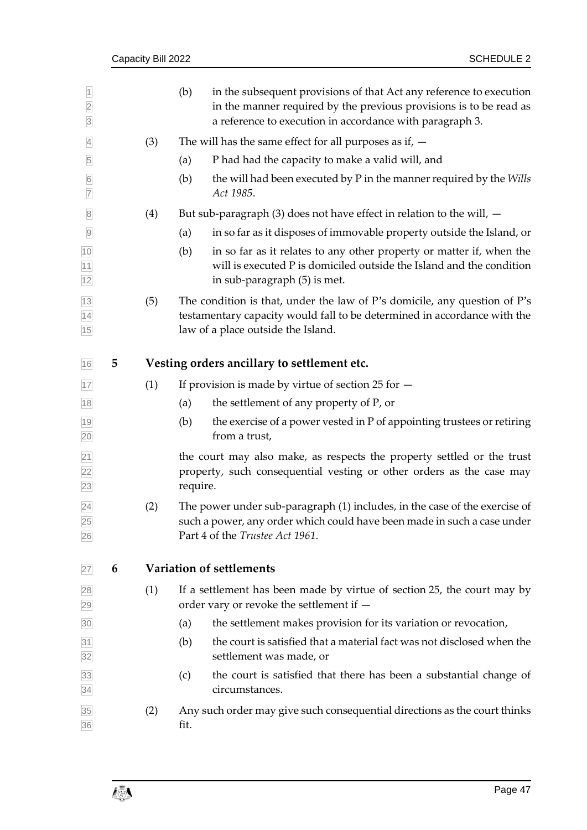|                                                    |   | Capacity Bill 2022 |          | <b>SCHEDULE 2</b>                                                                                                                                                                                     |
|----------------------------------------------------|---|--------------------|----------|-------------------------------------------------------------------------------------------------------------------------------------------------------------------------------------------------------|
| $\overline{1}$<br>$\overline{2}$<br>$\overline{3}$ |   |                    | (b)      | in the subsequent provisions of that Act any reference to execution<br>in the manner required by the previous provisions is to be read as<br>a reference to execution in accordance with paragraph 3. |
| $\overline{4}$                                     |   | (3)                |          | The will has the same effect for all purposes as if, $-$                                                                                                                                              |
| 5                                                  |   |                    | (a)      | P had had the capacity to make a valid will, and                                                                                                                                                      |
| $6\overline{6}$<br>$\overline{7}$                  |   |                    | (b)      | the will had been executed by P in the manner required by the Wills<br>Act 1985.                                                                                                                      |
| $\overline{8}$                                     |   | (4)                |          | But sub-paragraph $(3)$ does not have effect in relation to the will, $-$                                                                                                                             |
| $\overline{9}$                                     |   |                    | (a)      | in so far as it disposes of immovable property outside the Island, or                                                                                                                                 |
| $\frac{10}{11}$<br>$\frac{11}{12}$                 |   |                    | (b)      | in so far as it relates to any other property or matter if, when the<br>will is executed P is domiciled outside the Island and the condition<br>in sub-paragraph (5) is met.                          |
| $\frac{13}{14}$<br>$\frac{14}{15}$                 |   | (5)                |          | The condition is that, under the law of P's domicile, any question of P's<br>testamentary capacity would fall to be determined in accordance with the<br>law of a place outside the Island.           |
| 16                                                 | 5 |                    |          | Vesting orders ancillary to settlement etc.                                                                                                                                                           |
| 17                                                 |   | (1)                |          | If provision is made by virtue of section 25 for $-$                                                                                                                                                  |
| $18$                                               |   |                    | (a)      | the settlement of any property of P, or                                                                                                                                                               |
| 19<br>20                                           |   |                    | (b)      | the exercise of a power vested in P of appointing trustees or retiring<br>from a trust,                                                                                                               |
| 21<br>$\overline{22}$<br>23                        |   |                    | require. | the court may also make, as respects the property settled or the trust<br>property, such consequential vesting or other orders as the case may                                                        |
| 24<br>25<br>26                                     |   | (2)                |          | The power under sub-paragraph (1) includes, in the case of the exercise of<br>such a power, any order which could have been made in such a case under<br>Part 4 of the Trustee Act 1961.              |
| 27                                                 | 6 |                    |          | Variation of settlements                                                                                                                                                                              |
| 28<br>29                                           |   | (1)                |          | If a settlement has been made by virtue of section 25, the court may by<br>order vary or revoke the settlement if $-$                                                                                 |
| 30                                                 |   |                    | (a)      | the settlement makes provision for its variation or revocation,                                                                                                                                       |
| 31<br>32                                           |   |                    | (b)      | the court is satisfied that a material fact was not disclosed when the<br>settlement was made, or                                                                                                     |
| 33<br>34                                           |   |                    | (c)      | the court is satisfied that there has been a substantial change of<br>circumstances.                                                                                                                  |
| 35<br>36                                           |   | (2)                | fit.     | Any such order may give such consequential directions as the court thinks                                                                                                                             |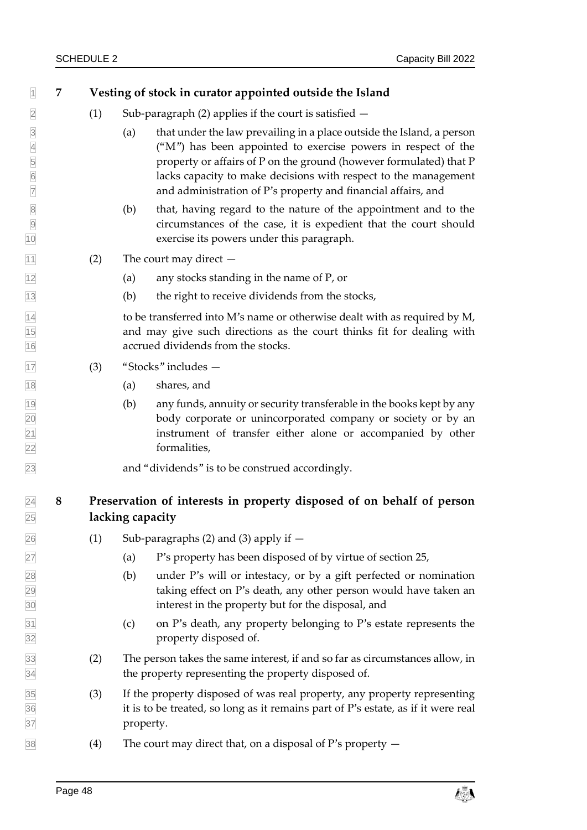| 1                                                                                           | 7 |     | Vesting of stock in curator appointed outside the Island                                                                                                                                                                                                                                                                                                |  |  |  |
|---------------------------------------------------------------------------------------------|---|-----|---------------------------------------------------------------------------------------------------------------------------------------------------------------------------------------------------------------------------------------------------------------------------------------------------------------------------------------------------------|--|--|--|
| $\overline{2}$                                                                              |   | (1) | Sub-paragraph $(2)$ applies if the court is satisfied $-$                                                                                                                                                                                                                                                                                               |  |  |  |
| $\overline{3}$<br>$\overline{4}$<br>$\begin{array}{c} 5 \\ 6 \end{array}$<br>$\overline{7}$ |   |     | that under the law prevailing in a place outside the Island, a person<br>(a)<br>("M") has been appointed to exercise powers in respect of the<br>property or affairs of P on the ground (however formulated) that P<br>lacks capacity to make decisions with respect to the management<br>and administration of P's property and financial affairs, and |  |  |  |
| $\begin{array}{ c c } \hline \text{SO} & \text{SO} \\\hline \end{array}$<br>10              |   |     | that, having regard to the nature of the appointment and to the<br>(b)<br>circumstances of the case, it is expedient that the court should<br>exercise its powers under this paragraph.                                                                                                                                                                 |  |  |  |
| 11                                                                                          |   | (2) | The court may direct $-$                                                                                                                                                                                                                                                                                                                                |  |  |  |
| $\overline{12}$                                                                             |   |     | any stocks standing in the name of P, or<br>(a)                                                                                                                                                                                                                                                                                                         |  |  |  |
| $\overline{13}$                                                                             |   |     | the right to receive dividends from the stocks,<br>(b)                                                                                                                                                                                                                                                                                                  |  |  |  |
| $\frac{14}{15}$<br>$\frac{16}{16}$                                                          |   |     | to be transferred into M's name or otherwise dealt with as required by M,<br>and may give such directions as the court thinks fit for dealing with<br>accrued dividends from the stocks.                                                                                                                                                                |  |  |  |
| 17                                                                                          |   | (3) | "Stocks" includes -                                                                                                                                                                                                                                                                                                                                     |  |  |  |
| $\overline{18}$                                                                             |   |     | (a)<br>shares, and                                                                                                                                                                                                                                                                                                                                      |  |  |  |
| 19<br>20<br>21<br>22                                                                        |   |     | any funds, annuity or security transferable in the books kept by any<br>(b)<br>body corporate or unincorporated company or society or by an<br>instrument of transfer either alone or accompanied by other<br>formalities,                                                                                                                              |  |  |  |
| 23                                                                                          |   |     | and "dividends" is to be construed accordingly.                                                                                                                                                                                                                                                                                                         |  |  |  |
| $\overline{24}$<br>25                                                                       | 8 |     | Preservation of interests in property disposed of on behalf of person<br>lacking capacity                                                                                                                                                                                                                                                               |  |  |  |
| 26                                                                                          |   | (1) | Sub-paragraphs $(2)$ and $(3)$ apply if $-$                                                                                                                                                                                                                                                                                                             |  |  |  |
| 27                                                                                          |   |     | P's property has been disposed of by virtue of section 25,<br>(a)                                                                                                                                                                                                                                                                                       |  |  |  |
| 28<br>29<br>30                                                                              |   |     | (b)<br>under P's will or intestacy, or by a gift perfected or nomination<br>taking effect on P's death, any other person would have taken an<br>interest in the property but for the disposal, and                                                                                                                                                      |  |  |  |
| $\frac{31}{32}$                                                                             |   |     | on P's death, any property belonging to P's estate represents the<br>(c)<br>property disposed of.                                                                                                                                                                                                                                                       |  |  |  |
| 33<br>34                                                                                    |   | (2) | The person takes the same interest, if and so far as circumstances allow, in<br>the property representing the property disposed of.                                                                                                                                                                                                                     |  |  |  |
| 35<br>36<br>37                                                                              |   | (3) | If the property disposed of was real property, any property representing<br>it is to be treated, so long as it remains part of P's estate, as if it were real<br>property.                                                                                                                                                                              |  |  |  |
| 38                                                                                          |   | (4) | The court may direct that, on a disposal of P's property $-$                                                                                                                                                                                                                                                                                            |  |  |  |

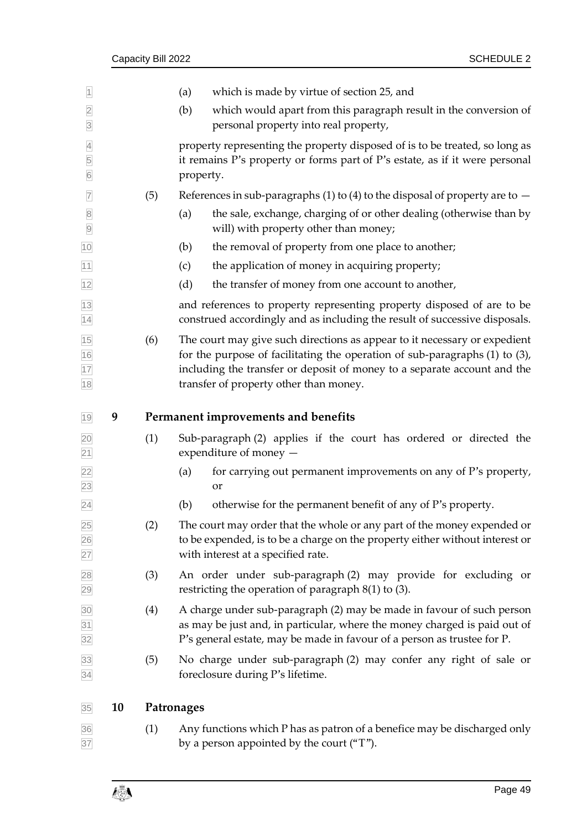| $\overline{1}$                         |    |     | which is made by virtue of section 25, and<br>(a)                                                                                                                                                                                                                              |  |  |  |
|----------------------------------------|----|-----|--------------------------------------------------------------------------------------------------------------------------------------------------------------------------------------------------------------------------------------------------------------------------------|--|--|--|
| $\overline{2}$<br>$\overline{3}$       |    |     | (b)<br>which would apart from this paragraph result in the conversion of<br>personal property into real property,                                                                                                                                                              |  |  |  |
| $\overline{4}$<br>5<br>$6\overline{6}$ |    |     | property representing the property disposed of is to be treated, so long as<br>it remains P's property or forms part of P's estate, as if it were personal<br>property.                                                                                                        |  |  |  |
| $\overline{7}$                         |    | (5) | References in sub-paragraphs (1) to (4) to the disposal of property are to $-$                                                                                                                                                                                                 |  |  |  |
| $\overline{8}$<br>$\overline{9}$       |    |     | the sale, exchange, charging of or other dealing (otherwise than by<br>(a)<br>will) with property other than money;                                                                                                                                                            |  |  |  |
| 10                                     |    |     | the removal of property from one place to another;<br>(b)                                                                                                                                                                                                                      |  |  |  |
| 11                                     |    |     | (c)<br>the application of money in acquiring property;                                                                                                                                                                                                                         |  |  |  |
| 12                                     |    |     | (d)<br>the transfer of money from one account to another,                                                                                                                                                                                                                      |  |  |  |
| $\frac{13}{14}$                        |    |     | and references to property representing property disposed of are to be<br>construed accordingly and as including the result of successive disposals.                                                                                                                           |  |  |  |
| 15<br>16<br>17<br>18                   |    | (6) | The court may give such directions as appear to it necessary or expedient<br>for the purpose of facilitating the operation of sub-paragraphs (1) to (3),<br>including the transfer or deposit of money to a separate account and the<br>transfer of property other than money. |  |  |  |
| 19                                     | 9  |     | Permanent improvements and benefits                                                                                                                                                                                                                                            |  |  |  |
| $\frac{20}{21}$                        |    | (1) | Sub-paragraph (2) applies if the court has ordered or directed the<br>expenditure of money -                                                                                                                                                                                   |  |  |  |
| $\frac{22}{23}$                        |    |     | for carrying out permanent improvements on any of P's property,<br>(a)<br>or                                                                                                                                                                                                   |  |  |  |
| $\overline{24}$                        |    |     | otherwise for the permanent benefit of any of P's property.<br>(b)                                                                                                                                                                                                             |  |  |  |
| 25<br>26<br>27                         |    | (2) | The court may order that the whole or any part of the money expended or<br>to be expended, is to be a charge on the property either without interest or<br>with interest at a specified rate.                                                                                  |  |  |  |
| 28<br>29                               |    | (3) | An order under sub-paragraph (2) may provide for excluding or<br>restricting the operation of paragraph $8(1)$ to $(3)$ .                                                                                                                                                      |  |  |  |
| $\frac{30}{31}$<br>$\frac{31}{32}$     |    | (4) | A charge under sub-paragraph (2) may be made in favour of such person<br>as may be just and, in particular, where the money charged is paid out of<br>P's general estate, may be made in favour of a person as trustee for P.                                                  |  |  |  |
| 33<br>34                               |    | (5) | No charge under sub-paragraph (2) may confer any right of sale or<br>foreclosure during P's lifetime.                                                                                                                                                                          |  |  |  |
| 35                                     | 10 |     | Patronages                                                                                                                                                                                                                                                                     |  |  |  |
| 36<br>37                               |    | (1) | Any functions which P has as patron of a benefice may be discharged only<br>by a person appointed by the court ("T").                                                                                                                                                          |  |  |  |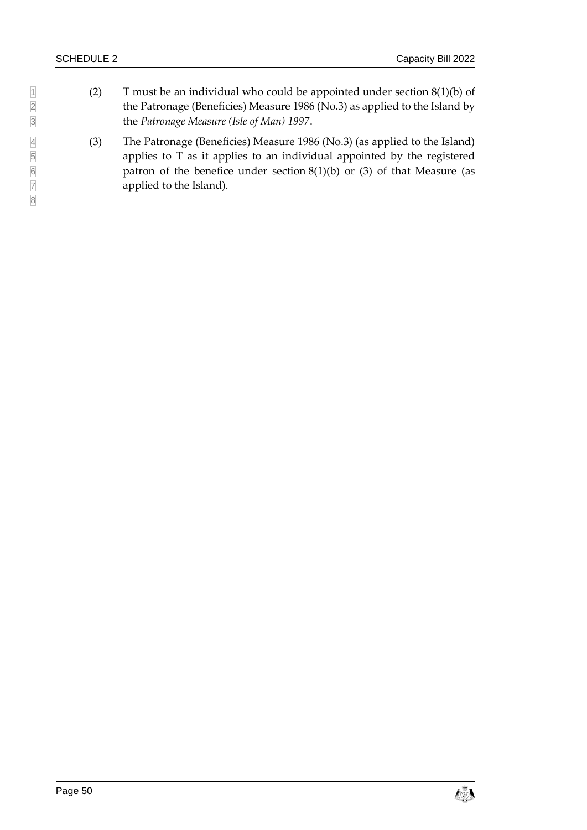- 1 (2) T must be an individual who could be appointed under section 8(1)(b) of the Patronage (Beneficies) Measure 1986 (No.3) as applied to the Island by 2 the Patronage (Beneficies) Measure 1986 (No.3) as applied to the Island by<br>3 the *Patronage Measure (Isle of Man)* 1997. 3 the *Patronage Measure (Isle of Man) 1997*.
	- 4 (3) The Patronage (Beneficies) Measure 1986 (No.3) (as applied to the Island) applies to T as it applies to an individual appointed by the registered patron of the benefice under section  $8(1)(b)$  or  $(3)$  of that Measure (as applied to the Island).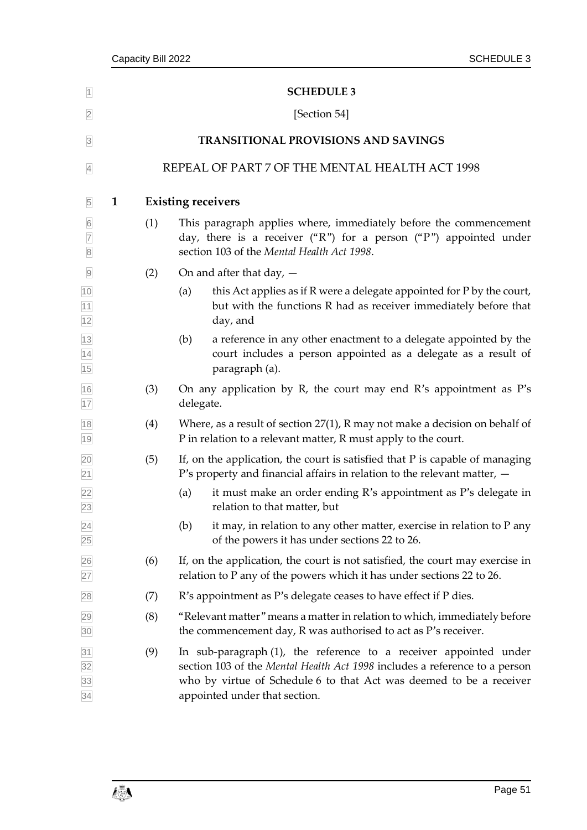<span id="page-56-1"></span><span id="page-56-0"></span>

| $\vert$                                               | <b>SCHEDULE 3</b>                              |                           |                                                                                                                                                                                                                                                         |  |  |  |
|-------------------------------------------------------|------------------------------------------------|---------------------------|---------------------------------------------------------------------------------------------------------------------------------------------------------------------------------------------------------------------------------------------------------|--|--|--|
| $\overline{2}$                                        | [Section 54]                                   |                           |                                                                                                                                                                                                                                                         |  |  |  |
| $\overline{3}$                                        | <b>TRANSITIONAL PROVISIONS AND SAVINGS</b>     |                           |                                                                                                                                                                                                                                                         |  |  |  |
| $\overline{4}$                                        | REPEAL OF PART 7 OF THE MENTAL HEALTH ACT 1998 |                           |                                                                                                                                                                                                                                                         |  |  |  |
| $\overline{5}$                                        | $\mathbf{1}$                                   | <b>Existing receivers</b> |                                                                                                                                                                                                                                                         |  |  |  |
| $6\overline{6}$<br>$\overline{7}$<br>$\overline{8}$   |                                                | (1)                       | This paragraph applies where, immediately before the commencement<br>day, there is a receiver ("R") for a person ("P") appointed under<br>section 103 of the Mental Health Act 1998.                                                                    |  |  |  |
| $\overline{9}$                                        |                                                | (2)                       | On and after that day, $-$                                                                                                                                                                                                                              |  |  |  |
|                                                       |                                                |                           | this Act applies as if R were a delegate appointed for P by the court,<br>(a)<br>but with the functions R had as receiver immediately before that<br>day, and                                                                                           |  |  |  |
| 10<br>11<br>12<br>13<br>14<br>15                      |                                                |                           | a reference in any other enactment to a delegate appointed by the<br>(b)<br>court includes a person appointed as a delegate as a result of<br>paragraph (a).                                                                                            |  |  |  |
| $\frac{16}{17}$                                       |                                                | (3)                       | On any application by R, the court may end R's appointment as $P's$<br>delegate.                                                                                                                                                                        |  |  |  |
| 18<br>19                                              |                                                | (4)                       | Where, as a result of section $27(1)$ , R may not make a decision on behalf of<br>P in relation to a relevant matter, R must apply to the court.                                                                                                        |  |  |  |
| $\frac{20}{21}$                                       |                                                | (5)                       | If, on the application, the court is satisfied that P is capable of managing<br>P's property and financial affairs in relation to the relevant matter, $-$                                                                                              |  |  |  |
| $\frac{22}{23}$                                       |                                                |                           | it must make an order ending R's appointment as P's delegate in<br>(a)<br>relation to that matter, but                                                                                                                                                  |  |  |  |
| $\frac{24}{25}$                                       |                                                |                           | it may, in relation to any other matter, exercise in relation to P any<br>(b)<br>of the powers it has under sections 22 to 26.                                                                                                                          |  |  |  |
| $\frac{26}{27}$                                       |                                                | (6)                       | If, on the application, the court is not satisfied, the court may exercise in<br>relation to P any of the powers which it has under sections 22 to 26.                                                                                                  |  |  |  |
| 28                                                    |                                                | (7)                       | R's appointment as P's delegate ceases to have effect if P dies.                                                                                                                                                                                        |  |  |  |
| 29<br>30                                              |                                                | (8)                       | "Relevant matter" means a matter in relation to which, immediately before<br>the commencement day, R was authorised to act as P's receiver.                                                                                                             |  |  |  |
| $\frac{31}{32}$<br>$\frac{32}{33}$<br>$\frac{33}{34}$ |                                                | (9)                       | In sub-paragraph (1), the reference to a receiver appointed under<br>section 103 of the Mental Health Act 1998 includes a reference to a person<br>who by virtue of Schedule 6 to that Act was deemed to be a receiver<br>appointed under that section. |  |  |  |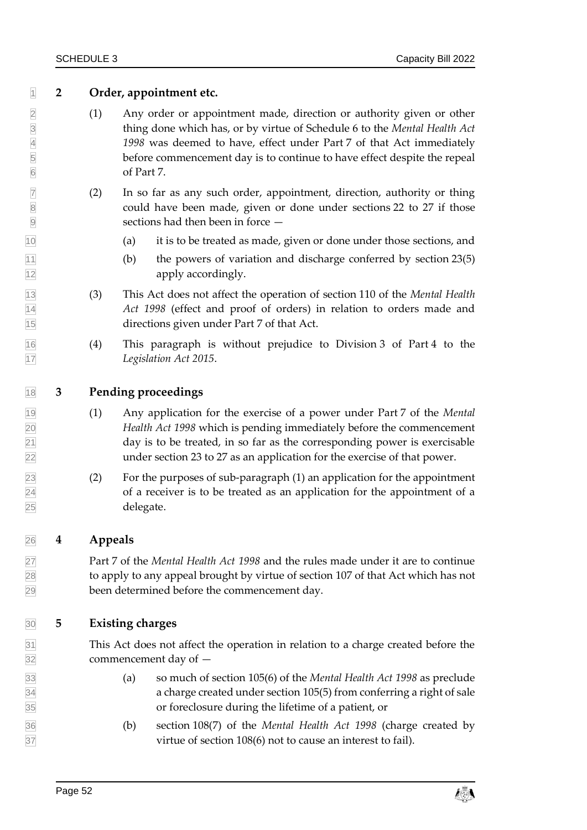### **2 Order, appointment etc.**

- 2 (1) Any order or appointment made, direction or authority given or other<br>thing done which has, or by virtue of Schedule 6 to the *Mental Health Act*<br>1998 was deemed to have, effect under Part 7 of that Act immediately<br>be thing done which has, or by virtue of Schedule 6 to the *Mental Health Act 1998* was deemed to have, effect under Part 7 of that Act immediately before commencement day is to continue to have effect despite the repeal of Part 7.
- $\boxed{7}$  (2) In so far as any such order, appointment, direction, authority or thing 8 8 could have been made, given or done under sections [22](#page-22-3) to [27](#page-26-0) if those sections had then been in force —
- (a) it is to be treated as made, given or done under those sections, and
- $\boxed{11}$  (b) the powers of variation and discharge conferred by section [23\(5\)](#page-23-2) **apply accordingly.**
- (3) This Act does not affect the operation of section 110 of the *Mental Health Act 1998* (effect and proof of orders) in relation to orders made and directions given under Part 7 of that Act.
- (4) This paragraph is without prejudice to Division 3 of Part 4 to the *Legislation Act 2015*.

#### **3 Pending proceedings**

- (1) Any application for the exercise of a power under Part 7 of the *Mental Health Act 1998* which is pending immediately before the commencement  $\sqrt{21}$  day is to be treated, in so far as the corresponding power is exercisable under section [23](#page-22-4) t[o 27](#page-26-0) as an application for the exercise of that power.
- (2) For the purposes of sub-paragraph (1) an application for the appointment of a receiver is to be treated as an application for the appointment of a delegate.

### **4 Appeals**

 Part 7 of the *Mental Health Act 1998* and the rules made under it are to continue to apply to any appeal brought by virtue of section 107 of that Act which has not been determined before the commencement day.

### **5 Existing charges**

 This Act does not affect the operation in relation to a charge created before the commencement day of —

- (a) so much of section 105(6) of the *Mental Health Act 1998* as preclude a charge created under section 105(5) from conferring a right of sale or foreclosure during the lifetime of a patient, or
- (b) section 108(7) of the *Mental Health Act 1998* (charge created by virtue of section 108(6) not to cause an interest to fail).

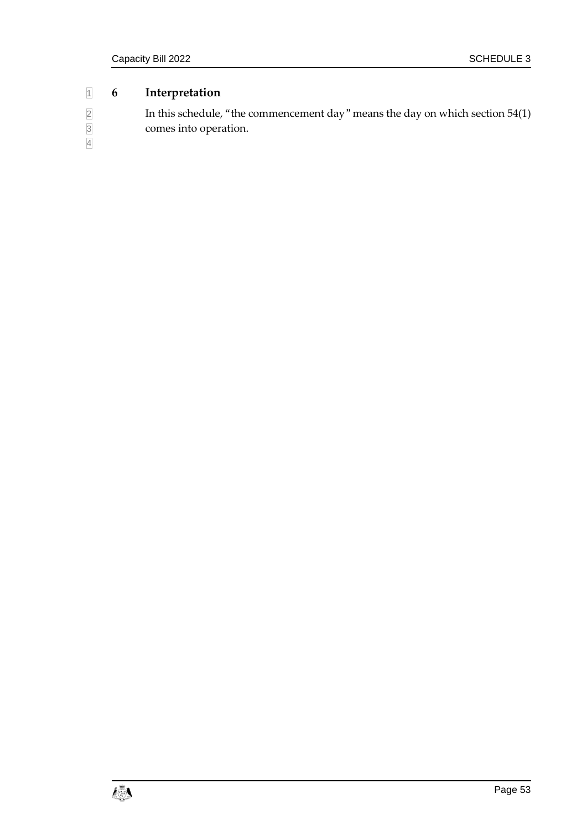### 1 **6 Interpretation**

| $\overline{2}$ | In this schedule, "the commencement day" means the day on which section $54(1)$ |
|----------------|---------------------------------------------------------------------------------|
| $\overline{3}$ | comes into operation.                                                           |
| $\overline{4}$ |                                                                                 |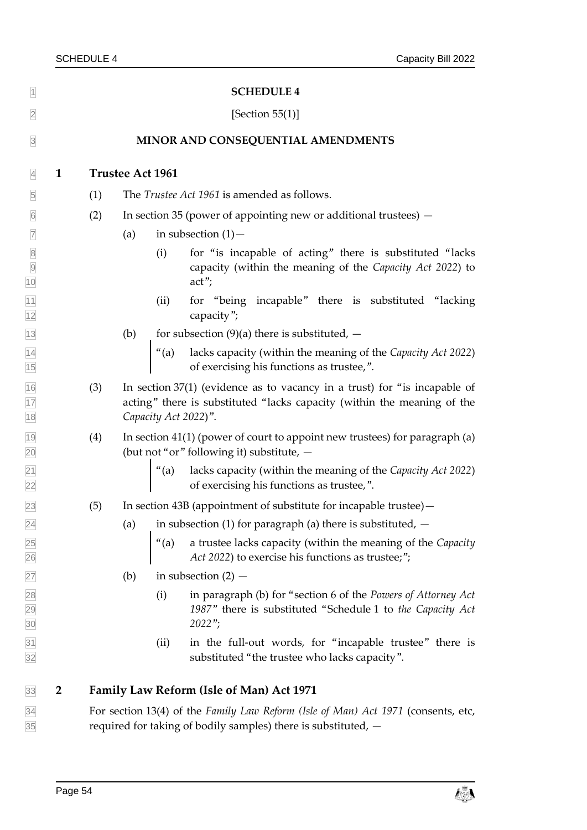<span id="page-59-1"></span><span id="page-59-0"></span>

| $\overline{1}$                                                          |                | <b>SCHEDULE 4</b>                                                                                                                                   |     |                      |                                                                                                                                                        |  |
|-------------------------------------------------------------------------|----------------|-----------------------------------------------------------------------------------------------------------------------------------------------------|-----|----------------------|--------------------------------------------------------------------------------------------------------------------------------------------------------|--|
| $\overline{2}$                                                          |                | [Section $55(1)$ ]                                                                                                                                  |     |                      |                                                                                                                                                        |  |
| $\overline{3}$                                                          |                | MINOR AND CONSEQUENTIAL AMENDMENTS                                                                                                                  |     |                      |                                                                                                                                                        |  |
| $\overline{4}$                                                          | $\mathbf{1}$   | <b>Trustee Act 1961</b>                                                                                                                             |     |                      |                                                                                                                                                        |  |
| $\overline{5}$                                                          |                | (1)                                                                                                                                                 |     |                      | The Trustee Act 1961 is amended as follows.                                                                                                            |  |
| $\boxed{6}$                                                             |                | (2)                                                                                                                                                 |     |                      | In section 35 (power of appointing new or additional trustees) –                                                                                       |  |
| $\overline{7}$                                                          |                |                                                                                                                                                     | (a) |                      | in subsection $(1)$ –                                                                                                                                  |  |
| $\begin{array}{ c c } \hline 8 \\ \hline 9 \\ \hline \end{array}$<br>10 |                |                                                                                                                                                     |     | (i)                  | for "is incapable of acting" there is substituted "lacks"<br>capacity (within the meaning of the Capacity Act 2022) to<br>$act$ ";                     |  |
| $\frac{11}{12}$                                                         |                |                                                                                                                                                     |     | (ii)                 | for "being incapable" there is substituted "lacking<br>capacity";                                                                                      |  |
| $\overline{13}$                                                         |                |                                                                                                                                                     | (b) |                      | for subsection $(9)(a)$ there is substituted, $-$                                                                                                      |  |
| $\frac{14}{15}$                                                         |                |                                                                                                                                                     |     | $"$ (a)              | lacks capacity (within the meaning of the Capacity Act 2022)<br>of exercising his functions as trustee,".                                              |  |
| $\frac{16}{17}$<br>$\frac{17}{18}$                                      |                | (3)                                                                                                                                                 |     | Capacity Act 2022)". | In section $37(1)$ (evidence as to vacancy in a trust) for "is incapable of<br>acting" there is substituted "lacks capacity (within the meaning of the |  |
| $\frac{19}{20}$                                                         |                | (4)                                                                                                                                                 |     |                      | In section 41(1) (power of court to appoint new trustees) for paragraph (a)<br>(but not "or" following it) substitute, -                               |  |
| $\frac{21}{22}$                                                         |                |                                                                                                                                                     |     |                      | "(a) lacks capacity (within the meaning of the <i>Capacity Act 2022</i> ) of exercising his functions as trustee,".                                    |  |
| 23                                                                      |                | (5)                                                                                                                                                 |     |                      | In section 43B (appointment of substitute for incapable trustee) -                                                                                     |  |
| $^{24}$                                                                 |                |                                                                                                                                                     | (a) |                      | in subsection (1) for paragraph (a) there is substituted, $-$                                                                                          |  |
| 25<br>26                                                                |                |                                                                                                                                                     |     | $"$ (a)              | a trustee lacks capacity (within the meaning of the Capacity<br>Act 2022) to exercise his functions as trustee;";                                      |  |
| 27                                                                      |                |                                                                                                                                                     | (b) |                      | in subsection $(2)$ –                                                                                                                                  |  |
| 28<br>29<br>30                                                          |                |                                                                                                                                                     |     | (i)                  | in paragraph (b) for "section 6 of the Powers of Attorney Act<br>1987" there is substituted "Schedule 1 to the Capacity Act<br>$2022$ ";               |  |
| $\frac{31}{32}$                                                         |                |                                                                                                                                                     |     | (ii)                 | in the full-out words, for "incapable trustee" there is<br>substituted "the trustee who lacks capacity".                                               |  |
| 33                                                                      | $\overline{2}$ |                                                                                                                                                     |     |                      | <b>Family Law Reform (Isle of Man) Act 1971</b>                                                                                                        |  |
| $\frac{34}{35}$                                                         |                | For section 13(4) of the Family Law Reform (Isle of Man) Act 1971 (consents, etc,<br>required for taking of bodily samples) there is substituted, - |     |                      |                                                                                                                                                        |  |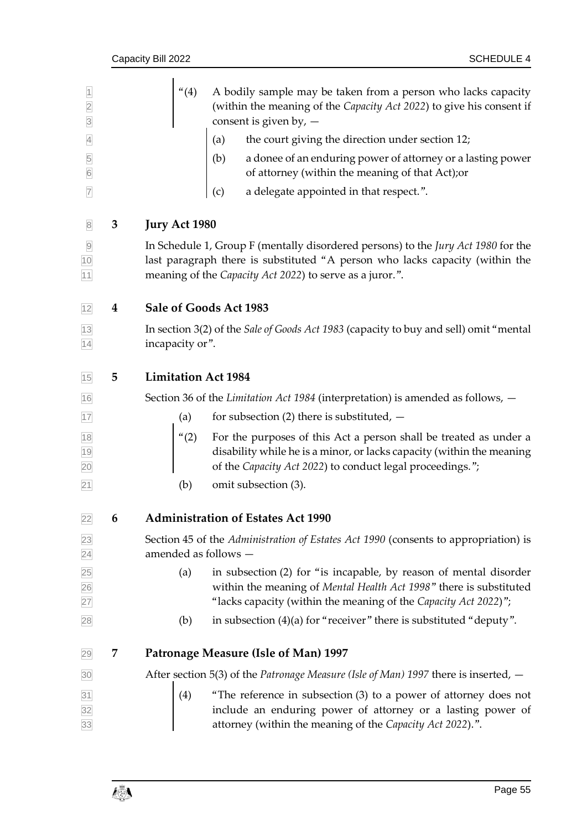| $\overline{1}$<br>$\overline{2}$<br>$\overline{3}$ |                  |                                                                                                                                                                                                                               | (4)                        | A bodily sample may be taken from a person who lacks capacity<br>(within the meaning of the Capacity Act 2022) to give his consent if<br>consent is given by, $-$                                                                                                                  |
|----------------------------------------------------|------------------|-------------------------------------------------------------------------------------------------------------------------------------------------------------------------------------------------------------------------------|----------------------------|------------------------------------------------------------------------------------------------------------------------------------------------------------------------------------------------------------------------------------------------------------------------------------|
| $\overline{4}$                                     |                  |                                                                                                                                                                                                                               | (a)                        | the court giving the direction under section 12;                                                                                                                                                                                                                                   |
| 5<br>$6\overline{6}$                               |                  |                                                                                                                                                                                                                               |                            | (b) a donee of an enduring power of attorney or a lasting power<br>of attorney (within the meaning of that Act); or                                                                                                                                                                |
| $\overline{7}$                                     |                  |                                                                                                                                                                                                                               | (c)                        | a delegate appointed in that respect.".                                                                                                                                                                                                                                            |
|                                                    | 3                | <b>Jury Act 1980</b>                                                                                                                                                                                                          |                            |                                                                                                                                                                                                                                                                                    |
| $\frac{10}{11}$                                    |                  | In Schedule 1, Group F (mentally disordered persons) to the Jury Act 1980 for the<br>last paragraph there is substituted "A person who lacks capacity (within the<br>meaning of the Capacity Act 2022) to serve as a juror.". |                            |                                                                                                                                                                                                                                                                                    |
| 12                                                 | $\boldsymbol{4}$ | Sale of Goods Act 1983                                                                                                                                                                                                        |                            |                                                                                                                                                                                                                                                                                    |
| $\frac{13}{14}$                                    |                  | In section 3(2) of the Sale of Goods Act 1983 (capacity to buy and sell) omit "mental<br>incapacity or".                                                                                                                      |                            |                                                                                                                                                                                                                                                                                    |
| 15                                                 | 5                |                                                                                                                                                                                                                               | <b>Limitation Act 1984</b> |                                                                                                                                                                                                                                                                                    |
| 16                                                 |                  |                                                                                                                                                                                                                               |                            | Section 36 of the Limitation Act 1984 (interpretation) is amended as follows, $-$                                                                                                                                                                                                  |
| 17                                                 |                  | (a)                                                                                                                                                                                                                           |                            | for subsection (2) there is substituted, $-$                                                                                                                                                                                                                                       |
| 18<br>19<br>20                                     |                  |                                                                                                                                                                                                                               |                            | "(2) For the purposes of this Act a person shall be treated as under a disability while he is a minor, or lacks capacity (within the meaning<br>disability while he is a minor, or lacks capacity (within the meaning<br>of the Capacity Act 2022) to conduct legal proceedings."; |
| $\overline{21}$                                    |                  | (b)                                                                                                                                                                                                                           |                            | omit subsection (3).                                                                                                                                                                                                                                                               |
| 22                                                 | 6                | <b>Administration of Estates Act 1990</b>                                                                                                                                                                                     |                            |                                                                                                                                                                                                                                                                                    |
|                                                    |                  | Section 45 of the Administration of Estates Act 1990 (consents to appropriation) is<br>amended as follows -                                                                                                                   |                            |                                                                                                                                                                                                                                                                                    |
| 23<br>24<br>25<br>26<br>27<br>28                   |                  | (a)                                                                                                                                                                                                                           |                            | in subsection (2) for "is incapable, by reason of mental disorder<br>within the meaning of Mental Health Act 1998" there is substituted<br>"lacks capacity (within the meaning of the Capacity Act 2022)";                                                                         |
|                                                    |                  | (b)                                                                                                                                                                                                                           |                            | in subsection $(4)(a)$ for "receiver" there is substituted "deputy".                                                                                                                                                                                                               |
| 29                                                 | 7                |                                                                                                                                                                                                                               |                            | <b>Patronage Measure (Isle of Man) 1997</b>                                                                                                                                                                                                                                        |
| 30                                                 |                  |                                                                                                                                                                                                                               |                            | After section 5(3) of the Patronage Measure (Isle of Man) 1997 there is inserted, $-$                                                                                                                                                                                              |
| $\frac{31}{32}$ $\frac{33}{33}$                    |                  | (4)                                                                                                                                                                                                                           |                            | "The reference in subsection (3) to a power of attorney does not<br>include an enduring power of attorney or a lasting power of<br>attorney (within the meaning of the Capacity Act 2022).".                                                                                       |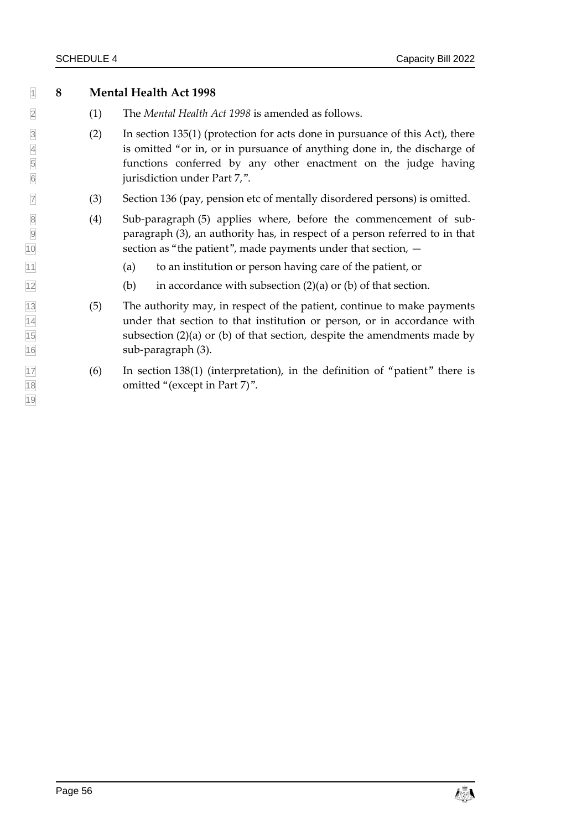**8 Mental Health Act 1998**

- (1) The *Mental Health Act 1998* is amended as follows.
- 3 (2) In section 135(1) (protection for acts done in pursuance of this Act), there is omitted "or in, or in pursuance of anything done in, the discharge of functions conferred by any other enactment on the judge having is omitted "or in, or in pursuance of anything done in, the discharge of functions conferred by any other enactment on the judge having jurisdiction under Part 7,".
- (3) Section 136 (pay, pension etc of mentally disordered persons) is omitted.
- (4) Sub-paragraph (5) applies where, before the commencement of sub- paragraph (3), an authority has, in respect of a person referred to in that section as "the patient", made payments under that section, —
- (a) to an institution or person having care of the patient, or
- (b) in accordance with subsection (2)(a) or (b) of that section.
- (5) The authority may, in respect of the patient, continue to make payments under that section to that institution or person, or in accordance with subsection (2)(a) or (b) of that section, despite the amendments made by sub-paragraph (3).
- (6) In section 138(1) (interpretation), in the definition of "patient" there is omitted "(except in Part 7)".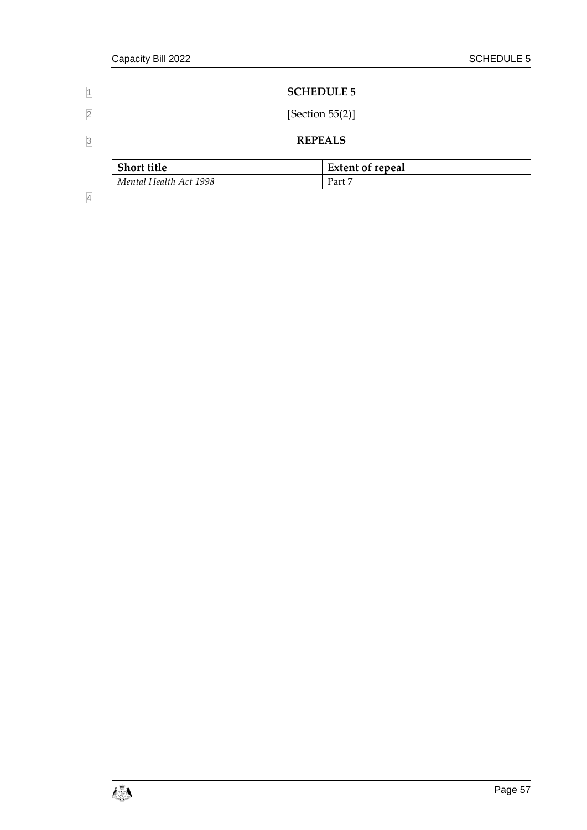<span id="page-62-1"></span><span id="page-62-0"></span>

| $\overline{1}$          |                        | <b>SCHEDULE 5</b>       |  |  |  |  |
|-------------------------|------------------------|-------------------------|--|--|--|--|
| $\overline{\mathbf{2}}$ | [Section $55(2)$ ]     |                         |  |  |  |  |
| $\overline{3}$          |                        | <b>REPEALS</b>          |  |  |  |  |
|                         | <b>Short title</b>     | <b>Extent of repeal</b> |  |  |  |  |
|                         | Mental Health Act 1998 | Part 7                  |  |  |  |  |

4